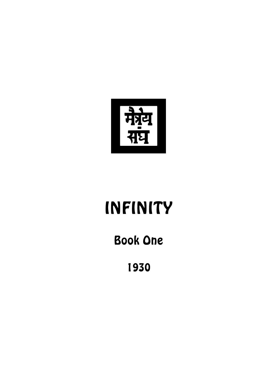

## INFINITY<br>Book One

1930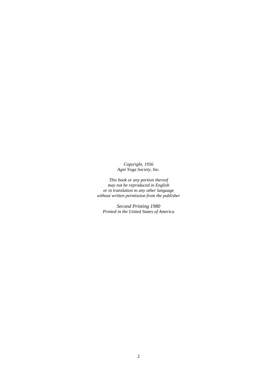*Copyright, 1956 Agni Yoga Society, Inc.*

*This book or any portion thereof may not be reproduced in English or in translation to any other language without written permission from the publisher*

*Second Printing 1980 Printed in the United States of America*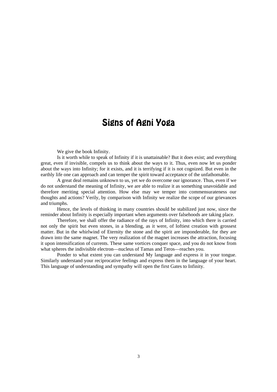## Signs of Agni Yoga

We give the book Infinity.

 Is it worth while to speak of Infinity if it is unattainable? But it does exist; and everything great, even if invisible, compels us to think about the ways to it. Thus, even now let us ponder about the ways into Infinity; for it exists, and it is terrifying if it is not cognized. But even in the earthly life one can approach and can temper the spirit toward acceptance of the unfathomable.

 A great deal remains unknown to us, yet we do overcome our ignorance. Thus, even if we do not understand the meaning of Infinity, we are able to realize it as something unavoidable and therefore meriting special attention. How else may we temper into commensurateness our thoughts and actions? Verily, by comparison with Infinity we realize the scope of our grievances and triumphs.

 Hence, the levels of thinking in many countries should be stabilized just now, since the reminder about Infinity is especially important when arguments over falsehoods are taking place.

 Therefore, we shall offer the radiance of the rays of Infinity, into which there is carried not only the spirit but even stones, in a blending, as it were, of loftiest creation with grossest matter. But in the whirlwind of Eternity the stone and the spirit are imponderable, for they are drawn into the same magnet. The very realization of the magnet increases the attraction, focusing it upon intensification of currents. These same vortices conquer space, and you do not know from what spheres the indivisible electron—nucleus of Tamas and Teros—reaches you.

 Ponder to what extent you can understand My language and express it in your tongue. Similarly understand your reciprocative feelings and express them in the language of your heart. This language of understanding and sympathy will open the first Gates to Infinity.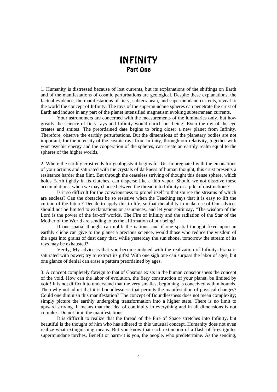## INFINITY Part One

1. Humanity is distressed because of lost currents, but its explanations of the shiftings on Earth and of the manifestations of cosmic perturbations are geological. Despite these explanations, the factual evidence, the manifestations of fiery, subterranean, and supermundane currents, reveal to the world the concept of Infinity. The rays of the supermundane spheres can penetrate the crust of Earth and induce in any part of the planet intensified magnetism evoking subterranean currents.

 Your astronomers are concerned with the measurements of the luminaries only, but how greatly the science of fiery rays and Infinity would enrich our being! Even the ray of the eye creates and smites! The preordained date begins to bring closer a new planet from Infinity. Therefore, observe the earthly perturbations. But the dimensions of the planetary bodies are not important, for the intensity of the cosmic rays from Infinity, through our relativity, together with your psychic energy and the cooperation of the spheres, can create an earthly realm equal to the spheres of the higher worlds.

2. Where the earthly crust ends for geologists it begins for Us. Impregnated with the emanations of your actions and saturated with the crystals of darkness of human thought, this crust presents a resistance harder than flint. But through the ceaseless striving of thought this dense sphere, which holds Earth tightly in its clutches, can disperse like a thin vapor. Should we not dissolve these accumulations, when we may choose between the thread into Infinity or a pile of obstructions?

 Is it so difficult for the consciousness to propel itself to that source the streams of which are endless? Can the obstacles be so resistive when the Teaching says that it is easy to lift the curtain of the future? Decide to apply this to life, so that the ability to make use of Our advices should not be limited to exclamations or assurances, and let your spirit say, "The wisdom of the Lord is the power of the far-off worlds. The Fire of Infinity and the radiation of the Star of the Mother of the World are sending to us the affirmation of our being!

 If one spatial thought can uplift the nations, and if one spatial thought fixed upon an earthly cliche can give to the planet a precious science, would those who reduce the wisdom of the ages into grains of dust deny that, while yesterday the sun shone, tomorrow the stream of its rays may be exhausted?

 Verily, My advice is that you become imbued with the realization of Infinity. Prana is saturated with power; try to extract its gifts! With one sigh one can surpass the labor of ages, but one glance of denial can erase a pattern preordained by ages.

3. A concept completely foreign to that of Cosmos exists in the human consciousness the concept of the void. How can the labor of evolution, the fiery construction of your planet, be limited by void! It is not difficult to understand that the very smallest beginning is conceived within bounds. Then why not admit that it is boundlessness that permits the manifestation of physical changes? Could one diminish this manifestation? The concept of Boundlessness does not mean complexity; simply picture the earthly undergoing transformation into a higher state. There is no limit to upward striving. It means that the idea of continuity in everything and in all dimensions is not complex. Do not limit the manifestations!

 It is difficult to realize that the thread of the Fire of Space stretches into Infinity, but beautiful is the thought of him who has adhered to this unusual concept. Humanity does not even realize what extinguishing means. But you know that each extinction of a flash of fires ignites supermundane torches. Benefit or harm-it is you, the people, who predetermine. As the sending,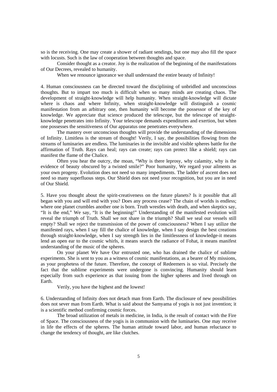so is the receiving. One may create a shower of radiant sendings, but one may also fill the space with locusts. Such is the law of cooperation between thoughts and space.

 Consider thought as a creator. Joy is the realization of the beginning of the manifestations of Our Decrees, revealed to humanity.

When we renounce ignorance we shall understand the entire beauty of Infinity!

4. Human consciousness can be directed toward the disciplining of unbridled and unconscious thoughts. But to impart too much is difficult when so many minds are creating chaos. The development of straight-knowledge will help humanity. When straight-knowledge will dictate where is chaos and where Infinity, when straight-knowledge will distinguish a cosmic manifestation from an arbitrary one, then humanity will become the possessor of the key of knowledge. We appreciate that science produced the telescope, but the telescope of straightknowledge penetrates into Infinity. Your telescope demands expenditures and exertion, but when one possesses the sensitiveness of Our apparatus one penetrates everywhere.

 The mastery over unconscious thoughts will provide the understanding of the dimensions of Infinity. Limitless is the stream of thought! Verily, I say, the possibilities flowing from the streams of luminaries are endless. The luminaries in the invisible and visible spheres battle for the affirmation of Truth. Rays can heal; rays can create; rays can protect like a shield; rays can manifest the flame of the Chalice.

 Often you hear the outcry, the moan, "Why is there leprosy, why calamity, why is the evidence of beauty obscured by a twisted smile?" Poor humanity, We regard your ailments as your own progeny. Evolution does not need so many impediments. The ladder of ascent does not need so many superfluous steps. Our Shield does not need your recognition, but you are in need of Our Shield.

5. Have you thought about the spirit-creativeness on the future planets? Is it possible that all began with you and will end with you? Does any process cease? The chain of worlds is endless; where one planet crumbles another one is born. Truth wrestles with death, and when skeptics say, "It is the end," We say, "It is the beginning!" Understanding of the manifested evolution will reveal the triumph of Truth. Shall we not share in the triumph? Shall we seal our vessels still empty? Shall we reject the transmission of the power of consciousness? When I say utilize the manifested rays, when I say fill the chalice of knowledge, when I say design the best creations through straight-knowledge, when I say strength lies in the limitlessness of knowledge-it means lend an open ear to the cosmic whirls, it means search the radiance of Fohat, it means manifest understanding of the music of the spheres.

 On your planet We have Our entrusted one, who has drained the chalice of sublime experiments. She is sent to you as a witness of cosmic manifestations, as a bearer of My missions, as your prophetess of the future. Therefore, the concept of Redeemers is so vital. Precisely the fact that the sublime experiments were undergone is convincing. Humanity should learn especially from such experience as that issuing from the higher spheres and lived through on Earth.

Verily, you have the highest and the lowest!

6. Understanding of Infinity does not detach man from Earth. The disclosure of new possibilities does not sever man from Earth. What is said about the Samyama of yogis is not just invention; it is a scientific method confirming cosmic forces.

 The broad utilization of metals in medicine, in India, is the result of contact with the Fire of Space. The consciousness of the yogis is in communion with the luminaries. One may receive in life the effects of the spheres. The human attitude toward labor, and human reluctance to change the tendency of thought, are like clutches.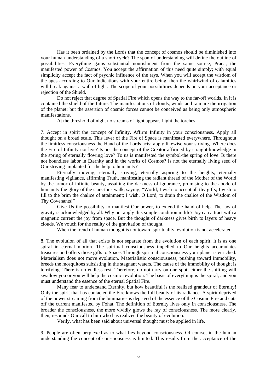Has it been ordained by the Lords that the concept of cosmos should be diminished into your human understanding of a short cycle? The span of understanding will define the outline of possibilities. Everything gains substantial nourishment from the same source, Prana, the manifested power of Cosmos. You accept the affirmation of this need quite simply; with equal simplicity accept the fact of psychic influence of the rays. When you will accept the wisdom of the ages according to Our Indications with your entire being, then the whirlwind of calamities will break against a wall of light. The scope of your possibilities depends on your acceptance or rejection of the Shield.

 Do not reject that degree of Spatial Fire which opens the way to the far-off worlds. In it is contained the shield of the future. The manifestations of clouds, winds and rain are the irrigation of the planet; but the assertion of cosmic forces cannot be conceived as being only atmospheric manifestations.

At the threshold of night no streams of light appear. Light the torches!

7. Accept in spirit the concept of Infinity. Affirm Infinity in your consciousness. Apply all thought on a broad scale. This lever of the Fire of Space is manifested everywhere. Throughout the limitless consciousness the Hand of the Lords acts; apply likewise your striving. Where does the Fire of Infinity not live? Is not the concept of the Creator affirmed by straight-knowledge in the spring of eternally flowing love? To us is manifested the symbol-the spring of love. Is there not boundless labor in Eternity and in the works of Cosmos? Is not the eternally living seed of Our striving implanted for the help to humanity?

 Eternally moving, eternally striving, eternally aspiring to the heights, eternally manifesting vigilance, affirming Truth, manifesting the radiant thread of the Mother of the World by the armor of infinite beauty, assailing the darkness of ignorance, promising to the abode of humanity the glory of the stars-thus walk, saying, "World, I wish to accept all thy gifts; I wish to fill to the brim the chalice of attainment; I wish, O Lord, to drain the chalice of the Wisdom of Thy Covenants!"

 Give Us the possibility to manifest Our power, to extend the hand of help. The law of gravity is acknowledged by all. Why not apply this simple condition in life? Joy can attract with a magnetic current the joy from space. But the thought of darkness gives birth to layers of heavy clouds. We vouch for the reality of the gravitation of thought.

When the trend of human thought is not toward spirituality, evolution is not accelerated.

8. The evolution of all that exists is not separate from the evolution of each spirit; it is as one spiral in eternal motion. The spiritual consciousness impelled to Our heights accumulates treasures and offers those gifts to Space. Through spiritual consciousness your planet is enriched. Materialism does not move evolution. Materialistic consciousness, pushing toward immobility, breeds the mosquitoes subsisting in the stagnant waters. The cause of the immobility of thought is terrifying. There is no endless rest. Therefore, do not tarry on one spot; either the shifting will swallow you or you will help the cosmic revolution. The basis of everything is the spiral, and you must understand the essence of the eternal Spatial Fire.

 Many fear to understand Eternity, but how beautiful is the realized grandeur of Eternity! Only the spirit that has contacted the Fire knows the full beauty of its radiance. A spirit deprived of the power streaming from the luminaries is deprived of the essence of the Cosmic Fire and cuts off the current manifested by Fohat. The definition of Eternity lives only in consciousness. The broader the consciousness, the more vividly glows the ray of consciousness. The more clearly, then, resounds Our call to him who has realized the beauty of evolution.

Verily, what has been said about universal thought must be applied in life.

9. People are often perplexed as to what lies beyond consciousness. Of course, in the human understanding the concept of consciousness is limited. This results from the acceptance of the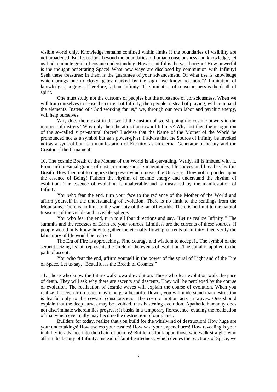visible world only. Knowledge remains confined within limits if the boundaries of visibility are not broadened. But let us look beyond the boundaries of human consciousness and knowledge; let us find a minute grain of cosmic understanding. How beautiful is the vast horizon! How powerful is the thought penetrating Space! What new ways are disclosed by communion with Infinity! Seek these treasures; in them is the guarantee of your advancement. Of what use is knowledge which brings one to closed gates marked by the sign "we know no more"? Limitation of knowledge is a grave. Therefore, fathom Infinity! The limitation of consciousness is the death of spirit.

 One must study not the customs of peoples but the substance of consciousness. When we will train ourselves to sense the current of Infinity, then people, instead of praying, will command the elements. Instead of "God working for us," we, through our own labor and psychic energy, will help ourselves.

 Why does there exist in the world the custom of worshipping the cosmic powers in the moment of distress? Why only then the attraction toward Infinity? Why just then the recognition of the so-called super-natural forces? I advise that the Name of the Mother of the World be pronounced not as a symbol but as a power-giver. I advise that the Source of Infinity be invoked not as a symbol but as a manifestation of Eternity, as an eternal Generator of beauty and the Creator of the firmament.

10. The cosmic Breath of the Mother of the World is all-pervading. Verily, all is imbued with it. From infinitesimal grains of dust to immeasurable magnitudes, life moves and breathes by this Breath. How then not to cognize the power which moves the Universe! How not to ponder upon the essence of Being! Fathom the rhythm of cosmic energy and understand the rhythm of evolution. The essence of evolution is unalterable and is measured by the manifestation of Infinity.

 You who fear the end, turn your face to the radiance of the Mother of the World and affirm yourself in the understanding of evolution. There is no limit to the sendings from the Mountains. There is no limit to the warranty of the far-off worlds. There is no limit to the natural treasures of the visible and invisible spheres.

 You who fear the end, turn to all four directions and say, "Let us realize Infinity!" The summits and the recesses of Earth are your sources. Limitless are the currents of these sources. If people would only know how to gather the eternally flowing currents of Infinity, then verily the laboratory of life would be realized.

 The Era of Fire is approaching. Find courage and wisdom to accept it. The symbol of the serpent seizing its tail represents the circle of the events of evolution. The spiral is applied to the path of ascent.

 You who fear the end, affirm yourself in the power of the spiral of Light and of the Fire of Space. Let us say, "Beautiful is the Breath of Cosmos!"

11. Those who know the future walk toward evolution. Those who fear evolution walk the pace of death. They will ask why there are ascents and descents. They will be perplexed by the course of evolution. The realization of cosmic waves will explain the course of evolution. When you realize that even from ashes may emerge a beautiful flower, you will understand that destruction is fearful only to the coward consciousness. The cosmic motion acts in waves. One should explain that the deep curves may be avoided, thus hastening evolution. Apathetic humanity does not discriminate wherein lies progress; it basks in a temporary florescence, evading the realization of that which eventually may become the destruction of our planet.

 Builders for today, realize that you build for the whirlwind of destruction! How huge are your undertakings! How useless your castles! How vast your expenditures! How revealing is your inability to advance into the chain of actions! But let us look upon those who walk straight, who affirm the beauty of Infinity. Instead of faint-heartedness, which denies the reactions of Space, we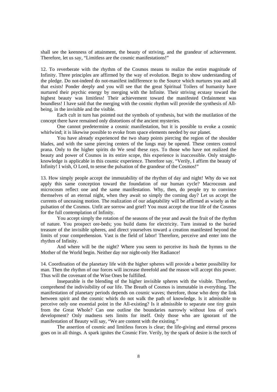shall see the keenness of attainment, the beauty of striving, and the grandeur of achievement. Therefore, let us say, "Limitless are the cosmic manifestations!"

12. To reverberate with the rhythm of the Cosmos means to realize the entire magnitude of Infinity. Three principles are affirmed by the way of evolution. Begin to show understanding of the pledge. Do not-indeed do not-manifest indifference to the Source which nurtures you and all that exists! Ponder deeply and you will see that the great Spiritual Toilers of humanity have nurtured their psychic energy by merging with the Infinite. Their striving ecstasy toward the highest beauty was limitless! Their achievement toward the manifested Ordainment was boundless! I have said that the merging with the cosmic rhythm will provide the synthesis of Allbeing, in the invisible and the visible.

 Each cult in turn has pointed out the symbols of synthesis, but with the mutilation of the concept there have remained only distortions of the ancient mysteries.

 One cannot predetermine a cosmic manifestation, but it is possible to evoke a cosmic whirlwind; it is likewise possible to evoke from space elements needed by our planet.

 You have already experienced the two sharp points piercing the region of the shoulder blades, and with the same piercing centers of the lungs may be opened. These centers control prana. Only to the higher spirits do We send these rays. To those who have not realized the beauty and power of Cosmos in its entire scope, this experience is inaccessible. Only straightknowledge is applicable in this cosmic experience. Therefore say, "Verily, I affirm the beauty of Infinity! I wish, O Lord, to sense the pulsation of the grandeur of the Cosmos!"

13. How simply people accept the immutability of the rhythm of day and night! Why do we not apply this same conception toward the foundation of our human cycle? Macrocosm and microcosm reflect one and the same manifestation. Why, then, do people try to convince themselves of an eternal night, when they await so simply the coming day? Let us accept the currents of unceasing motion. The realization of our adaptability will be affirmed as wisely as the pulsation of the Cosmos. Unfit are sorrow and grief! You must accept the true life of the Cosmos for the full contemplation of Infinity.

 You accept simply the rotation of the seasons of the year and await the fruit of the rhythm of nature. You prospect ore-beds; you build dams for electricity. Turn instead to the buried treasure of the invisible spheres, and direct yourselves toward a creation manifested beyond the limits of your comprehension. Vast is the field of labor! Therefore, perceive and enter into the rhythm of Infinity.

 And where will be the night? Where you seem to perceive its hush the hymns to the Mother of the World begin. Neither day nor night-only Her Radiance!

14. Coordination of the planetary life with the higher spheres will provide a better possibility for man. Then the rhythm of our forces will increase threefold and the reason will accept this power. Thus will the covenant of the Wise Ones be fulfilled.

 Inseparable is the blending of the higher invisible spheres with the visible. Therefore, comprehend the indivisibility of our life. The Breath of Cosmos is immutable in everything. The manifestation of planetary periods depends on cosmic waves; therefore, those who deny the link between spirit and the cosmic whirls do not walk the path of knowledge. Is it admissible to perceive only one essential point in the All-existing? Is it admissible to separate one tiny grain from the Great Whole? Can one outline the boundaries narrowly without loss of one's development? Only madness sets limits for itself. Only those who are ignorant of the manifestation of Beauty will say, "We are content with the existing."

 The assertion of cosmic and limitless forces is clear; the life-giving and eternal process goes on in all things. A spark ignites the Cosmic Fire. Verily, by the spark of desire is the torch of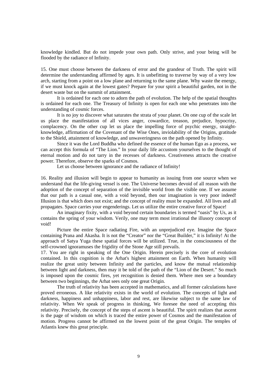knowledge kindled. But do not impede your own path. Only strive, and your being will be flooded by the radiance of Infinity.

15. One must choose between the darkness of error and the grandeur of Truth. The spirit will determine the understanding affirmed by ages. It is unbefitting to traverse by way of a very low arch, starting from a point on a low plane and returning to the same plane. Why waste the energy, if we must knock again at the lowest gates? Prepare for your spirit a beautiful garden, not in the desert waste but on the summit of attainment.

 It is ordained for each one to adorn the path of evolution. The help of the spatial thoughts is ordained for each one. The Treasury of Infinity is open for each one who penetrates into the understanding of cosmic forces.

 It is no joy to discover what saturates the strata of your planet. On one cup of the scale let us place the manifestation of all vices anger, cowardice, treason, prejudice, hypocrisy, complacency. On the other cup let us place the impelling force of psychic energy, straightknowledge, affirmation of the Covenant of the Wise Ones, inviolability of the Origins, gratitude to the Shield, attainment of knowledge, and unwaveringness on the path opened by Infinity.

 Since it was the Lord Buddha who defined the essence of the human Ego as a process, we can accept this formula of "The Lion." In your daily life accustom yourselves to the thought of eternal motion and do not tarry in the recesses of darkness. Creativeness attracts the creative power. Therefore, observe the sparks of Cosmos.

Let us choose between ignorance and the radiance of Infinity!

16. Reality and illusion will begin to appear to humanity as issuing from one source when we understand that the life-giving vessel is one. The Universe becomes devoid of all reason with the adoption of the concept of separation of the invisible world from the visible one. If we assume that our path is a casual one, with a void beyond, then our imagination is very poor indeed! Illusion is that which does not exist; and the concept of reality must be expanded. All lives and all propagates. Space carries your engenderings. Let us utilize the entire creative force of Space!

 An imaginary fixity, with a void beyond certain boundaries is termed "oasis" by Us, as it contains the spring of your wisdom. Verily, one may term most irrational the illusory concept of void!

 Picture the entire Space radiating Fire, with an unprejudiced eye. Imagine the Space containing Prana and Akasha. It is not the "Creator" nor the "Great Builder," it is Infinity! At the approach of Satya Yuga these spatial forces will be utilized. True, in the consciousness of the self-crowned ignoramuses the frigidity of the Stone Age still prevails.

17. You are right in speaking of the One Origin. Herein precisely is the core of evolution contained. In this cognition is the Arhat's highest attainment on Earth. When humanity will realize the great unity between Infinity and the particles, and know the mutual relationship between light and darkness, then may it be told of the path of the "Lion of the Desert." So much is imposed upon the cosmic fires, yet recognition is denied them. Where men see a boundary between two beginnings, the Arhat sees only one great Origin.

 The truth of relativity has been accepted in mathematics, and all former calculations have proved erroneous. A like relativity exists in the world of evolution. The concepts of light and darkness, happiness and unhappiness, labor and rest, are likewise subject to the same law of relativity. When We speak of progress in thinking, We foresee the need of accepting this relativity. Precisely, the concept of the steps of ascent is beautiful. The spirit realizes that ascent is the page of wisdom on which is traced the entire power of Cosmos and the manifestation of motion. Progress cannot be affirmed on the lowest point of the great Origin. The temples of Atlantis knew this great principle.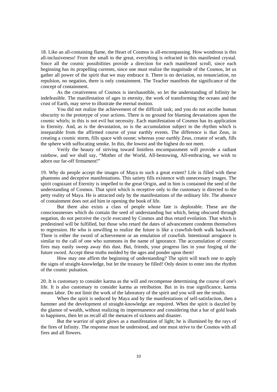18. Like an all-containing flame, the Heart of Cosmos is all-encompassing. How wondrous is this all-inclusiveness! From the small to the great, everything is refracted in this manifested crystal. Since all the cosmic possibilities provide a direction for each manifested scroll, since each beginning has its propelling currents, since one must realize the magnitude of the Cosmos, let us gather all power of the spirit that we may embrace it. There is no deviation, no renunciation, no repulsion, no negation, there is only containment. The Teacher manifests the significance of the concept of containment.

 As the creativeness of Cosmos is inexhaustible, so let the understanding of Infinity be indefeasible. The manifestation of ages in eternity, the work of transforming the oceans and the crust of Earth, may serve to illustrate the eternal motion.

 You did not realize the achievement of the difficult task; and you do not ascribe human obscurity to the prototype of your actions. There is no ground for blaming devastations upon the cosmic whirls; in this is not evil but necessity. Each manifestation of Cosmos has its application in Eternity. And, as is the devastation, so is the accumulation subject to the rhythm which is inseparable from the affirmed course of your earthly events. The difference is that Zeus, in creating a cosmic storm, fills space with ozone; whereas your earthly Zeus, creator of wrath, fills the sphere with suffocating smoke. In this, the lowest and the highest do not meet.

 Verily the beauty of striving toward limitless encompassment will provide a radiant rainbow, and we shall say, "Mother of the World, All-bestowing, All-embracing, we wish to adorn our far-off firmament!"

19. Why do people accept the images of Maya to such a great extent? Life is filled with these phantoms and deceptive manifestations. This satiety fills existence with unnecessary images. The spirit cognizant of Eternity is impelled to the great Origin, and in him is contained the seed of the understanding of Cosmos. That spirit which is receptive only to the customary is directed to the petty reality of Maya. He is attracted only by the manifestations of the ordinary life. The absence of containment does not aid him in opening the book of life.

 But there also exists a class of people whose fate is deplorable. These are the consciousnesses which do contain the seed of understanding but which, being obscured through negation, do not perceive the cycle executed by Cosmos and thus retard evolution. That which is predestined will be fulfilled, but those who retard the dates of advancement condemn themselves to regression. He who is unwilling to realize the future is like a crawfish-both walk backward. There is either the sword of achievement or an emulation of crawfish. Intentional arrogance is similar to the call of one who summons in the name of ignorance. The accumulation of cosmic fires may easily sweep away this dust. But, friends, your progress lies in your forging of the future sword. Accept these truths molded by the ages and ponder upon them!

 How may one affirm the beginning of understanding? The spirit will teach one to apply the signs of straight-knowledge, but let the treasury be filled! Only desire to enter into the rhythm of the cosmic pulsation.

20. It is customary to consider karma as the will and recompense determining the course of one's life. It is also customary to consider karma as retribution. But in its true significance, karma means labor. Do not limit the work of the laboratory of the spirit and you will see the results.

 When the spirit is seduced by Maya and by the manifestations of self-satisfaction, then a hammer and the development of straight-knowledge are required. When the spirit is dazzled by the glamor of wealth, without realizing its impermanence and considering that a bar of gold leads to happiness, then let us recall all the menaces of sickness and disaster.

 But the warrior of spirit glows as a manifestation of light; he is illumined by the rays of the fires of Infinity. The response must be understood, and one must strive to the Cosmos with all fires and all flowers.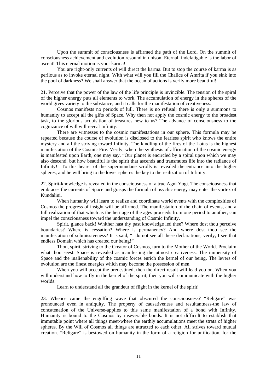Upon the summit of consciousness is affirmed the path of the Lord. On the summit of consciousness achievement and evolution resound in unison. Eternal, indefatigable is the labor of ascent! This eternal motion is your karma!

 You are right-only currents of will direct the karma. But to stop the course of karma is as perilous as to invoke eternal night. With what will you fill the Chalice of Amrita if you sink into the pool of darkness? We shall answer that the ocean of actions is verily more beautiful!

21. Perceive that the power of the law of the life principle is invincible. The tension of the spiral of the higher energy puts all elements to work. The accumulation of energy in the spheres of the world gives variety to the substance, and it calls for the manifestation of creativeness.

 Cosmos manifests no periods of lull. There is no refusal; there is only a summons to humanity to accept all the gifts of Space. Why then not apply the cosmic energy to the broadest task, to the glorious acquisition of treasures new to us? The advance of consciousness to the cognizance of will will reveal Infinity.

 There are witnesses to the cosmic manifestations in our sphere. This formula may be repeated because the course of evolution is disclosed to the fearless spirit who knows the entire mystery and all the striving toward Infinity. The kindling of the fires of the Lotus is the highest manifestation of the Cosmic Fire. Verily, when the synthesis of affirmation of the cosmic energy is manifested upon Earth, one may say, "Our planet is encircled by a spiral upon which we may also descend, but how beautiful is the spirit that ascends and transmutes life into the radiance of Infinity!" To this bearer of the supermundane scrolls is revealed the entrance into the higher spheres, and he will bring to the lower spheres the key to the realization of Infinity.

22. Spirit-knowledge is revealed in the consciousness of a true Agni Yogi. The consciousness that embraces the currents of Space and grasps the formula of psychic energy may enter the vortex of Kundalini.

 When humanity will learn to realize and coordinate world events with the complexities of Cosmos the progress of insight will be affirmed. The manifestation of the chain of events, and a full realization of that which as the heritage of the ages proceeds from one period to another, can impel the consciousness toward the understanding of Cosmic Infinity.

 Spirit, glance back! Whither hast thy past knowledge led thee? Where dost thou perceive boundaries? Where is cessation? Where is permanency? And where dost thou see the manifestation of submissiveness? It is said, "I do not see all these declarations; verily, I see that endless Domain which has created our being!"

 Thou, spirit, striving to the Creator of Cosmos, turn to the Mother of the World. Proclaim what thou seest. Space is revealed as manifesting the utmost creativeness. The immensity of Space and the inalienability of the cosmic forces enrich the kernel of our being. The levers of evolution are the finest energies which may become the possession of men.

 When you will accept the predestined, then the direct result will lead you on. When you will understand how to fly in the kernel of the spirit, then you will communicate with the higher worlds.

Learn to understand all the grandeur of flight in the kernel of the spirit!

23. Whence came the engulfing wave that obscured the consciousness? "Religare" was pronounced even in antiquity. The property of causativeness and resultantness-the law of concatenation of the Universe-applies to this same manifestation of a bond with Infinity. Humanity is bound to the Cosmos by inseverable bonds. It is not difficult to establish that immutable point where all things meet-where the earthly accumulations meet the strata of higher spheres. By the Will of Cosmos all things are attracted to each other. All strives toward mutual creation. "Religare" is bestowed on humanity in the form of a religion for unification, for the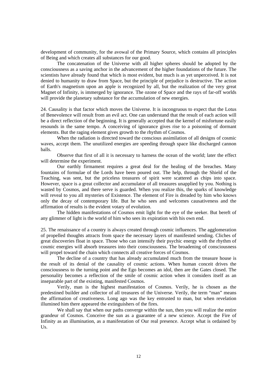development of community, for the avowal of the Primary Source, which contains all principles of Being and which creates all substances for our good.

 The concatenation of the Universe with all higher spheres should be adopted by the consciousness as a saving anchor in the advancement of the higher foundations of the future. The scientists have already found that which is most evident, but much is as yet unperceived. It is not denied to humanity to draw from Space, but the principle of prejudice is destructive. The action of Earth's magnetism upon an apple is recognized by all, but the realization of the very great Magnet of Infinity, is immerged by ignorance. The ozone of Space and the rays of far-off worlds will provide the planetary substance for the accumulation of new energies.

24. Causality is that factor which moves the Universe. It is incongruous to expect that the Lotus of Benevolence will result from an evil act. One can understand that the result of each action will be a direct reflection of the beginning. It is generally accepted that the kernel of misfortune easily resounds in the same tempo. A conceiving of ignorance gives rise to a poisoning of dormant elements. But the raging element gives growth to the rhythm of Cosmos.

 When the radiation is directed toward the conscious assimilation of all designs of cosmic waves, accept them. The unutilized energies are speeding through space like discharged cannon balls.

 Observe that first of all it is necessary to harness the ocean of the world; later the effect will determine the experiment.

 Our earthly firmament requires a great deal for the healing of the breaches. Many fountains of formulae of the Lords have been poured out. The help, through the Shield of the Teaching, was sent, but the priceless treasures of spirit were scattered as chips into space. However, space is a great collector and accumulator of all treasures unapplied by you. Nothing is wasted by Cosmos, and there serve is guarded. When you realize this, the sparks of knowledge will reveal to you all mysteries of Existence. The element of Fire is dreaded by him who knows only the decay of contemporary life. But he who sees and welcomes causativeness and the affirmation of results is the evident votary of evolution.

 The hidden manifestations of Cosmos emit light for the eye of the seeker. But bereft of any glimmer of light is the world of him who sees its expiration with his own end.

25. The renaissance of a country is always created through cosmic influences. The agglomeration of propelled thoughts attracts from space the necessary layers of manifested sending. Cliches of great discoveries float in space. Those who can intensify their psychic energy with the rhythm of cosmic energies will absorb treasures into their consciousness. The broadening of consciousness will propel toward the chain which connects all creative forces of Cosmos.

 The decline of a country that has already accumulated much from the treasure house is the result of its denial of the causality of cosmic actions. When human conceit drives the consciousness to the turning point and the Ego becomes an idol, then are the Gates closed. The personality becomes a reflection of the smile of cosmic action when it considers itself as an inseparable part of the existing, manifested Cosmos.

 Verily, man is the highest manifestation of Cosmos. Verily, he is chosen as the predestined builder and collector of all treasures of the Universe. Verily, the term "man" means the affirmation of creativeness. Long ago was the key entrusted to man, but when revelation illumined him there appeared the extinguishers of the fires.

We shall say that when our paths converge within the sun, then you will realize the entire grandeur of Cosmos. Conceive the sun as a guarantee of a new science. Accept the Fire of Infinity as an illumination, as a manifestation of Our real presence. Accept what is ordained by Us.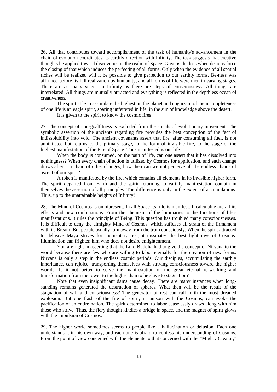26. All that contributes toward accomplishment of the task of humanity's advancement in the chain of evolution coordinates its earthly direction with Infinity. The task suggests that creative thoughts be applied toward discoveries in the realm of Space. Great is the loss when designs force the closing of that which induces the perfecting of all forms. Only when the evidence of all spatial riches will be realized will it be possible to give perfection to our earthly forms. Be-ness was affirmed before its full realization by humanity, and all forms of life were then in varying stages. There are as many stages in Infinity as there are steps of consciousness. All things are interrelated. All things are mutually attracted and everything is reflected in the depthless ocean of creativeness.

 The spirit able to assimilate the highest on the planet and cognizant of the incompleteness of one life is an eagle spirit, soaring unfettered in life, in the sun of knowledge above the desert.

It is given to the spirit to know the cosmic fires!

27. The concept of non-goalfitness is excluded from the annals of evolutionary movement. The symbolic assertion of the ancients regarding fire provides the best conception of the fact of indissolubility into void. The ancient covenants assert that fire, after consuming all fuel, is not annihilated but returns to the primary stage, to the form of invisible fire, to the stage of the highest manifestation of the Fire of Space. Thus manifested is our life.

 When the body is consumed, on the path of life, can one assert that it has dissolved into nothingness? When every chain of action is utilized by Cosmos for application, and each change draws after it a chain of other changes, how then can we not perceive all the endless chains of ascent of our spirit?

 A token is manifested by the fire, which contains all elements in its invisible higher form. The spirit departed from Earth and the spirit returning to earthly manifestation contain in themselves the assertion of all principles. The difference is only in the extent of accumulations. Thus, up to the unattainable heights of Infinity!

28. The Mind of Cosmos is omnipresent. In all Space its rule is manifest. Incalculable are all its effects and new combinations. From the chemism of the luminaries to the functions of life's manifestations, it rules the principle of Being. This question has troubled many consciousnesses. It is difficult to deny the almighty Mind of Cosmos, which suffuses all strata of the firmament with its Breath. But people usually turn away from the truth consciously. When the spirit attracted to delusive Maya strives for momentary rest, it dissipates the best light rays of Cosmos. Illumination can frighten him who does not desire enlightenment.

 You are right in asserting that the Lord Buddha had to give the concept of Nirvana to the world because there are few who are willing to labor eternally for the creation of new forms. Nirvana is only a step in the endless cosmic periods. Our disciples, accumulating the earthly inheritance, can rejoice, transporting themselves with striving consciousness toward the higher worlds. Is it not better to serve the manifestation of the great eternal re-working and transformation from the lower to the higher than to be slave to stagnation?

 Note that even insignificant dams cause decay. There are many instances when longstanding remains generated the destruction of spheres. What then will be the result of the stagnation of will and consciousness? The generator of rest can call forth the most dreaded explosion. But one flash of the fire of spirit, in unison with the Cosmos, can evoke the pacification of an entire nation. The spirit determined to labor ceaselessly draws along with him those who strive. Thus, the fiery thought kindles a bridge in space, and the magnet of spirit glows with the impulsion of Cosmos.

29. The higher world sometimes seems to people like a hallucination or delusion. Each one understands it in his own way, and each one is afraid to confess his understanding of Cosmos. From the point of view concerned with the elements to that concerned with the "Mighty Creator,"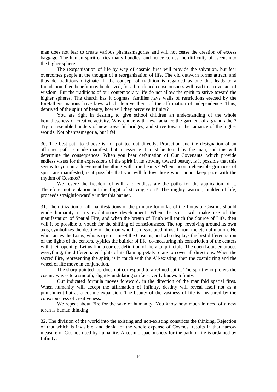man does not fear to create various phantasmagories and will not cease the creation of excess baggage. The human spirit carries many bundles, and hence comes the difficulty of ascent into the higher sphere.

 The reorganization of life by way of cosmic fires will provide the salvation, but fear overcomes people at the thought of a reorganization of life. The old outworn forms attract, and thus do traditions originate. If the concept of tradition is regarded as one that leads to a foundation, then benefit may be derived, for a broadened consciousness will lead to a covenant of wisdom. But the traditions of our contemporary life do not allow the spirit to strive toward the higher spheres. The church has it dogmas; families have walls of restrictions erected by the forefathers; nations have laws which deprive them of the affirmation of independence. Thus, deprived of the spirit of beauty, how will they perceive Infinity?

 You are right in desiring to give school children an understanding of the whole boundlessness of creative activity. Why endue with new radiance the garment of a grandfather? Try to resemble builders of new powerful bridges, and strive toward the radiance of the higher worlds. Not phantasmagoria, but life!

30. The best path to choose is not pointed out directly. Protection and the designation of an affirmed path is made manifest; but in essence it must be found by the man, and this will determine the consequences. When you hear defamation of Our Covenants, which provide endless vistas for the expressions of the spirit in its striving toward beauty, is it possible that this seems to you an achievement breathing with true beauty? When incomprehensible grimaces of spirit are manifested, is it possible that you will follow those who cannot keep pace with the rhythm of Cosmos?

 We revere the freedom of will, and endless are the paths for the application of it. Therefore, not violation but the flight of striving spirit! The mighty warrior, builder of life, proceeds straightforwardly under this banner.

31. The utilization of all manifestations of the primary formulae of the Lotus of Cosmos should guide humanity in its evolutionary development. When the spirit will make use of the manifestation of Spatial Fire, and when the breath of Truth will touch the Source of Life, then will it be possible to vouch for the shifting of consciousness. The top, revolving around its own axis, symbolizes the destiny of the man who has dissociated himself from the eternal motion. He who carries the Lotus, who is open to meet the Cosmos, and who displays the best differentiation of the lights of the centers, typifies the builder of life, co-measuring his constriction of the centers with their opening. Let us find a correct definition of the vital principle. The open Lotus embraces everything; the differentiated lights of its flaming petals rotate to cover all directions. When the sacred Fire, representing the spirit, is in touch with the All-existing, then the cosmic ring and the wheel of life move in conjunction.

 The sharp-pointed top does not correspond to a refined spirit. The spirit who prefers the cosmic waves to a smooth, slightly undulating surface, verily knows Infinity.

 Our indicated formula moves foreword, in the direction of the manifold spatial fires. When humanity will accept the affirmation of Infinity, destiny will reveal itself not as a punishment but as a cosmic expansion. The beauty of the vastness of life is measured by the consciousness of creativeness.

 We repeat about Fire for the sake of humanity. You know how much in need of a new torch is human thinking!

32. The division of the world into the existing and non-existing constricts the thinking. Rejection of that which is invisible, and denial of the whole expanse of Cosmos, results in that narrow measure of Cosmos used by humanity. A cosmic spaciousness for the path of life is ordained by Infinity.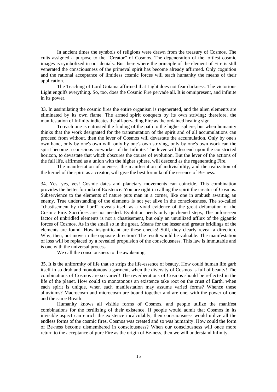In ancient times the symbols of religions were drawn from the treasury of Cosmos. The cults assigned a purpose to the "Creator" of Cosmos. The degeneration of the loftiest cosmic images is symbolized in our denials. But there where the principle of the element of Fire is still venerated the consciousness of the primeval spirit has become already affirmed. Only cognition and the rational acceptance of limitless cosmic forces will teach humanity the means of their application.

 The Teaching of Lord Gotama affirmed that Light does not fear darkness. The victorious Light engulfs everything. So, too, does the Cosmic Fire pervade all. It is omnipresent, and infinite in its power.

33. In assimilating the cosmic fires the entire organism is regenerated, and the alien elements are eliminated by its own flame. The armed spirit conquers by its own striving; therefore, the manifestation of Infinity indicates the all-pervading Fire as the ordained healing sign.

 To each one is entrusted the finding of the path to the higher sphere; but when humanity thinks that the work designated for the transmutation of the spirit and of all accumulations can proceed from without, then the lever of Cosmos will devastate the accumulation. Only by one's own hand, only by one's own will, only by one's own striving, only by one's own work can the spirit become a conscious co-worker of the Infinite. The lever will descend upon the constricted horizon, to devastate that which obscures the course of evolution. But the lever of the actions of the full life, affirmed as a union with the higher sphere, will descend as the regenerating Fire.

 The manifestation of oneness, the manifestation of indivisibility, and the realization of the kernel of the spirit as a creator, will give the best formula of the essence of Be-ness.

34. Yes, yes, yes! Cosmic dates and planetary movements can coincide. This combination provides the better formula of Existence. You are right in calling the spirit the creator of Cosmos. Subservience to the elements of nature puts man in a corner, like one in ambush awaiting an enemy. True understanding of the elements is not yet alive in the consciousness. The so-called "chastisement by the Lord" reveals itself as a vivid evidence of the great defamation of the Cosmic Fire. Sacrifices are not needed. Evolution needs only quickened steps, The unforeseen factor of unbridled elements is not a chastisement, but only an unutilized afflux of the gigantic forces of Cosmos. As in the small so in the great. Means for the lesser and greater bridlings of the elements are found. How insignificant are these checks! Still, they clearly reveal a direction. Why, then, not move in the opposite direction? The result would be valuable. The manifestation of loss will be replaced by a revealed propulsion of the consciousness. This law is immutable and is one with the universal process.

We call the consciousness to the awakening.

35. It is the uniformity of life that so strips the life-essence of beauty. How could human life garb itself in so drab and monotonous a garment, when the diversity of Cosmos is full of beauty! The combinations of Cosmos are so varied! The reverberations of Cosmos should be reflected in the life of the planet. How could so monotonous an existence take root on the crust of Earth, when each spirit is unique, when each manifestation may assume varied forms? Whence these alluviums? Macrocosm and microcosm are bound together and are one, with the power of one and the same Breath!

 Humanity knows all visible forms of Cosmos, and people utilize the manifest combinations for the fertilizing of their existence. If people would admit that Cosmos in its invisible aspect can enrich the existence incalculably, then consciousness would utilize all the endless forms of the cosmic fires. Cosmos was created and so was humanity. How could the form of Be-ness become dismembered in consciousness? When our consciousness will once more return to the acceptance of pure Fire as the origin of Be-ness, then we will understand Infinity.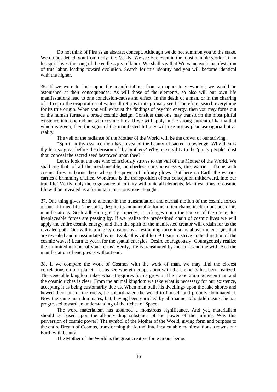Do not think of Fire as an abstract concept. Although we do not summon you to the stake, We do not detach you from daily life. Verily, We see Fire even in the most humble worker, if in his spirit lives the song of the endless joy of labor. We shall say that We value each manifestation of true labor, leading toward evolution. Search for this identity and you will become identical with the higher.

36. If we were to look upon the manifestations from an opposite viewpoint, we would be astonished at their consequences. As will those of the elements, so also will our own life manifestations lead to one conclusion-cause and effect. In the death of a man, or in the charring of a tree, or the evaporation of water-all returns to its primary seed. Therefore, search everything for its true origin. When you will exhaust the findings of psychic energy, then you may forge out of the human furnace a broad cosmic design. Consider that one may transform the most pitiful existence into one radiant with cosmic fires. If we will apply in the strong current of karma that which is given, then the signs of the manifested Infinity will rise not as phantasmagoria but as reality.

The veil of the radiance of the Mother of the World will be the crown of our striving.

 "Spirit, in thy essence thou hast revealed the beauty of sacred knowledge. Why then is thy fear so great before the derision of thy brothers? Why, in servility to the 'pretty people', dost thou conceal the sacred seed bestowed upon thee?"

 Let us look at the one who consciously strives to the veil of the Mother of the World. We shall see that, of all the inexhaustible, numberless consciousnesses, this warrior, aflame with cosmic fires, is borne there where the power of Infinity glows. But here on Earth the warrior carries a brimming chalice. Wondrous is the transposition of our conception thitherward, into our true life! Verily, only the cognizance of Infinity will unite all elements. Manifestations of cosmic life will be revealed as a formula in our conscious thought.

37. One thing gives birth to another-in the transmutation and eternal motion of the cosmic forces of our affirmed life. The spirit, despite its innumerable forms, often chains itself to but one of its manifestations. Such adhesion greatly impedes; it infringes upon the course of the circle, for irreplaceable forces are passing by. If we realize the predestined chain of cosmic lives we will apply the entire cosmic energy, and then the spirit of the manifested creator will ordain for us the revealed path. Our will is a mighty creator; as a restraining force it soars above the energies that are revealed and unassimilated by us. Evoke this vital force! Learn to strive in the direction of the cosmic waves! Learn to yearn for the spatial energies! Desire courageously! Courageously realize the unlimited number of your forms! Verily, life is transmuted by the spirit and the will! And the manifestation of energies is without end.

38. If we compare the work of Cosmos with the work of man, we may find the closest correlations on our planet. Let us see wherein cooperation with the elements has been realized. The vegetable kingdom takes what it requires for its growth. The cooperation between man and the cosmic riches is clear. From the animal kingdom we take what is necessary for our existence, accepting it as being customarily due us. When man built his dwellings upon the lake shores and hewed them out of the rocks, he subordinated the world to himself and proudly dominated it. Now the same man dominates, but, having been enriched by all manner of subtle means, he has progressed toward an understanding of the riches of Space.

 The word materialism has assumed a monstrous significance. And yet, materialism should be based upon the all-pervading substance of the power of the Infinite. Why this perversion of cosmic power? The symbol of the Mother of the World, giving form and purpose to the entire Breath of Cosmos, transforming the kernel into incalculable manifestations, crowns our Earth with beauty.

The Mother of the World is the great creative force in our being.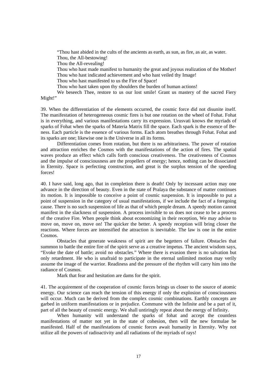"Thou hast abided in the cults of the ancients as earth, as sun, as fire, as air, as water. Thou, the All-bestowing!

Thou the All-revealing!

 Thou who hast made manifest to humanity the great and joyous realization of the Mother! Thou who hast indicated achievement and who hast veiled thy Image!

Thou who hast manifested to us the Fire of Space!

 Thou who hast taken upon thy shoulders the burden of human actions! We beseech Thee, restore to us our lost smile! Grant us mastery of the sacred Fiery

Might!"

39. When the differentiation of the elements occurred, the cosmic force did not disunite itself. The manifestation of heterogeneous cosmic fires is but one rotation on the wheel of Fohat. Fohat is in everything, and various manifestations carry its expression. Urusvati knows the myriads of sparks of Fohat when the sparks of Materia Matrix fill the space. Each spark is the essence of Beness. Each particle is the essence of various forms. Each atom breathes through Fohat. Fohat and its sparks are one; likewise one is the Universe in all its forms.

 Differentiation comes from rotation, but there is no arbitrariness. The power of rotation and attraction enriches the Cosmos with the manifestations of the action of fires. The spatial waves produce an effect which calls forth conscious creativeness. The creativeness of Cosmos and the impulse of consciousness are the propellers of energy; hence, nothing can be dissociated in Eternity. Space is perfecting construction, and great is the surplus tension of the speeding forces!

40. I have said, long ago, that in completion there is death! Only by incessant action may one advance in the direction of beauty. Even in the state of Pralaya the substance of matter continues its motion. It is impossible to conceive a point of cosmic suspension. It is impossible to put a point of suspension in the category of usual manifestations, if we include the fact of a foregoing cause. There is no such suspension of life as that of which people dream. A speedy motion cannot manifest in the slackness of suspension. A process invisible to us does not cease to be a process of the creative Fire. When people think about economizing in their reception, We may advise to move on, move on, move on! The quicker the better. A speedy reception will bring closer the reactions. Where forces are intensified the attraction is inevitable. The law is one in the entire Cosmos.

 Obstacles that generate weakness of spirit are the begetters of failure. Obstacles that summon to battle the entire fire of the spirit serve as a creative impetus. The ancient wisdom says, "Evoke the date of battle; avoid no obstacles." Where there is evasion there is no salvation but only retardment. He who is unafraid to participate in the eternal unlimited motion may verily assume the image of the warrior. Readiness and the pressure of the rhythm will carry him into the radiance of Cosmos.

Mark that fear and hesitation are dams for the spirit.

41. The acquirement of the cooperation of cosmic forces brings us closer to the source of atomic energy. Our science can reach the tension of this energy if only the explosion of consciousness will occur. Much can be derived from the complex cosmic combinations. Earthly concepts are garbed in uniform manifestations or in prejudice. Commune with the Infinite and be a part of it, part of all the beauty of cosmic energy. We shall untiringly repeat about the energy of Infinity.

 When humanity will understand the sparks of fohat and accept the countless manifestations of matter not yet in the state of cohesion, then will the new formulae be manifested. Half of the manifestations of cosmic forces await humanity in Eternity. Why not utilize all the powers of radioactivity and all radiations of the myriads of rays!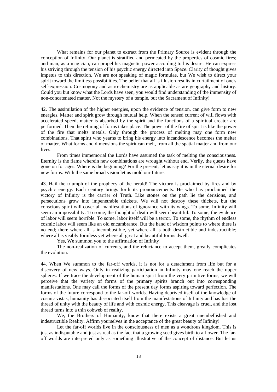What remains for our planet to extract from the Primary Source is evident through the conception of Infinity. Our planet is stratified and permeated by the properties of cosmic fires; and man, as a magician, can propel his magnetic power according to his desire. He can express his striving through the tension of his psychic energy directed into Space. Clarity of thought gives impetus to this direction. We are not speaking of magic formulae, but We wish to direct your spirit toward the limitless possibilities. The belief that all is illusion results in curtailment of one's self-expression. Cosmogony and astro-chemistry are as applicable as are geography and history. Could you but know what the Lords have seen, you would find understanding of the immensity of non-concatenated matter. Not the mystery of a temple, but the Sacrament of Infinity!

42. The assimilation of the higher energies, upon the evidence of tension, can give form to new energies. Matter and spirit grow through mutual help. When the tensed current of will flows with accelerated speed, matter is absorbed by the spirit and the functions of a spiritual creator are performed. Then the refining of forms takes place. The power of the fire of spirit is like the power of the fire that melts metals. Only through the process of melting may one form new combinations. That spirit who yearns to bring his energy into incandescence becomes the melter of matter. What forms and dimensions the spirit can melt, from all the spatial matter and from our lives!

 From times immemorial the Lords have assumed the task of melting the consciousness. Eternity is the flame wherein new combinations are wrought without end. Verily, the quests have gone on for ages. Where is the beginning? For the present, let us say it is in the eternal desire for new forms. With the same broad vision let us mold our future.

43. Hail the triumph of the prophecy of the herald! The victory is proclaimed by fires and by psychic energy. Each century brings forth its pronouncements. He who has proclaimed the victory of Infinity is the carrier of Truth. Like stones on the path lie the derisions, and persecutions grow into impenetrable thickets. We will not destroy these thickets, but the conscious spirit will cover all manifestations of ignorance with its wings. To some, Infinity will seem an impossibility. To some, the thought of death will seem beautiful. To some, the evidence of labor will seem horrible. To some, labor itself will be a terror. To some, the rhythm of endless cosmic labor will seem like an old encumbrance. But the hand of wisdom points to where there is no end; there where all is incombustible, yet where all is both destructible and indestructible; where all is visibly formless yet where all great and beautiful forms dwell.

Yes, We summon you to the affirmation of Infinity!

 The non-realization of currents, and the reluctance to accept them, greatly complicates the evolution.

44. When We summon to the far-off worlds, it is not for a detachment from life but for a discovery of new ways. Only in realizing participation in Infinity may one reach the upper spheres. If we trace the development of the human spirit from the very primitive forms, we will perceive that the variety of forms of the primary spirits branch out into corresponding manifestations. One may call the forms of the present day forms aspiring toward perfection. The forms of the future correspond to the far-off worlds. Having deprived itself of the knowledge of cosmic vistas, humanity has dissociated itself from the manifestations of Infinity and has lost the thread of unity with the beauty of life and with cosmic energy. This cleavage is cruel, and the lost thread turns into a thin cobweb of reality.

 We, the Brothers of Humanity, know that there exists a great unembellished and indestructible Reality. Affirm yourselves in the acceptance of the great beauty of Infinity!

 Let the far-off worlds live in the consciousness of men as a wondrous kingdom. This is just as indisputable and just as real as the fact that a growing seed gives birth to a flower. The faroff worlds are interpreted only as something illustrative of the concept of distance. But let us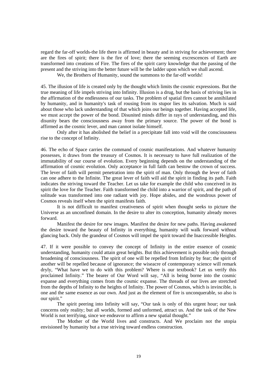regard the far-off worlds-the life there is affirmed in beauty and in striving for achievement; there are the fires of spirit; there is the fire of love; there the seeming excrescences of Earth are transformed into creations of Fire. The fires of the spirit carry knowledge that the passing of the present and the striving into the better future will be the ladder upon which we shall ascend.

We, the Brothers of Humanity, sound the summons to the far-off worlds!

45. The illusion of life is created only by the thought which limits the cosmic expressions. But the true meaning of life impels striving into Infinity. Illusion is a drug, but the basis of striving lies in the affirmation of the endlessness of our tasks. The problem of spatial fires cannot be annihilated by humanity, and in humanity's task of rousing from its stupor lies its salvation. Much is said about those who lack understanding of that which joins our beings together. Having accepted life, we must accept the power of the bond. Disunited minds differ in rays of understanding, and this disunity bears the consciousness away from the primary source. The power of the bond is affirmed as the cosmic lever, and man cannot isolate himself.

 Only after it has abolished the belief in a precipitate fall into void will the consciousness rise to the concept of Infinity.

46. The echo of Space carries the command of cosmic manifestations. And whatever humanity possesses, it draws from the treasury of Cosmos. It is necessary to have full realization of the immutability of our course of evolution. Every beginning depends on the understanding of the affirmation of cosmic evolution. Only acceptance in full faith can bestow the crown of success. The lever of faith will permit penetration into the spirit of man. Only through the lever of faith can one adhere to the Infinite. The great lever of faith will aid the spirit in finding its path. Faith indicates the striving toward the Teacher. Let us take for example the child who conceived in its spirit the love for the Teacher. Faith transformed the child into a warrior of spirit, and the path of solitude was transformed into one radiant with joy. Hope abides, and the wondrous power of Cosmos reveals itself when the spirit manifests faith.

 It is not difficult to manifest creativeness of spirit when thought seeks to picture the Universe as an unconfined domain. In the desire to alter its conception, humanity already moves forward.

 Manifest the desire for new images. Manifest the desire for new paths. Having awakened the desire toward the beauty of Infinity in everything, humanity will walk forward without glancing back. Only the grandeur of Cosmos will impel the spirit toward the Inaccessible Heights.

47. If it were possible to convey the concept of Infinity in the entire essence of cosmic understanding, humanity could attain great heights. But this achievement is possible only through broadening of consciousness. The spirit of one will be repelled from Infinity by fear; the spirit of another will be repelled because of ignorance; the wiseacre of contemporary science will remark dryly, "What have we to do with this problem? Where is our textbook? Let us verify this proclaimed Infinity." The bearer of Our Word will say, "All is being borne into the cosmic expanse and everything comes from the cosmic expanse. The threads of our lives are stretched from the depths of Infinity to the heights of Infinity. The power of Cosmos, which is invincible, is one and the same essence as our own. And just as the element of fire is unconquerable, so also is our spirit."

 The spirit peering into Infinity will say, "Our task is only of this urgent hour; our task concerns only reality; but all worlds, formed and unformed, attract us. And the task of the New World is not terrifying, since we endeavor to affirm a new spatial thought."

 The Mother of the World lives and constructs. And We proclaim not the utopia envisioned by humanity but a true striving toward endless construction.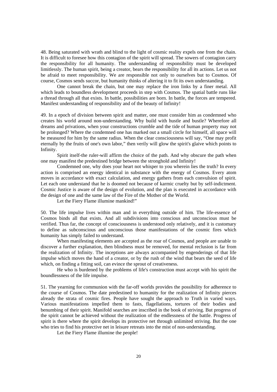48. Being saturated with wrath and blind to the light of cosmic reality expels one from the chain. It is difficult to foresee how this contagion of the spirit will spread. The sowers of contagion carry the responsibility for all humanity. The understanding of responsibility must be developed limitlessly. The human spirit, being a creator, bears the responsibility for all its actions. Let us not be afraid to meet responsibility. We are responsible not only to ourselves but to Cosmos. Of course, Cosmos sends succor, but humanity thinks of altering it to fit its own understanding.

 One cannot break the chain, but one may replace the iron links by a finer metal. All which leads to boundless development proceeds in step with Cosmos. The spatial battle runs like a thread through all that exists. In battle, possibilities are born. In battle, the forces are tempered. Manifest understanding of responsibility and of the beauty of Infinity!

49. In a epoch of division between spirit and matter, one must consider him as condemned who creates his world around non-understanding. Why build with hustle and bustle? Wherefore all dreams and privations, when your constructions crumble and the tide of human property may not be prolonged? Where the condemned one has marked out a small circle for himself, all space will be measured for him by the same radius. When the clear consciousness will say, "One may profit eternally by the fruits of one's own labor," then verily will glow the spirit's glaive which points to Infinity.

 Spirit itself-the ruler-will affirm the choice of the path. And why obscure the path when one may manifest the predestined bridge between the stronghold and Infinity!

 Condemned one, why does your heart not whisper to you wherein lies the truth? In every action is comprised an energy identical in substance with the energy of Cosmos. Every atom moves in accordance with exact calculation, and energy gathers from each convulsion of spirit. Let each one understand that he is doomed not because of karmic cruelty but by self-indictment. Cosmic Justice is aware of the design of evolution, and the plan is executed in accordance with the design of one and the same law of the Fire of the Mother of the World.

Let the Fiery Flame illumine mankind!"

50. The life impulse lives within man and in everything outside of him. The life-essence of Cosmos binds all that exists. And all subdivisions into conscious and unconscious must be verified. Thus far, the concept of consciousness is understood only relatively, and it is customary to define as subconscious and unconscious those manifestations of the cosmic fires which humanity has simply failed to understand.

 When manifesting elements are accepted as the roar of Cosmos, and people are unable to discover a further explanation, then blindness must be removed, for mental reclusion is far from the realization of Infinity. The inceptions are always accompanied by engenderings of that life impulse which moves the hand of a creator, or by the rush of the wind that bears the seed of life which, on finding a fitting soil, can evince the sprout of creativeness.

 He who is burdened by the problems of life's construction must accept with his spirit the boundlessness of the life impulse.

51. The yearning for communion with the far-off worlds provides the possibility for adherence to the course of Cosmos. The date predestined to humanity for the realization of Infinity pierces already the strata of cosmic fires. People have sought the approach to Truth in varied ways. Various manifestations impelled them to fasts, flagellations, tortures of their bodies and benumbing of their spirit. Manifold searches are inscribed in the book of striving. But progress of the spirit cannot be achieved without the realization of the endlessness of the battle. Progress of spirit is there where the spirit develops its protective net through unlimited striving. But the one who tries to find his protective net in leisure retreats into the mist of non-understanding.

Let the Fiery Flame illumine the people!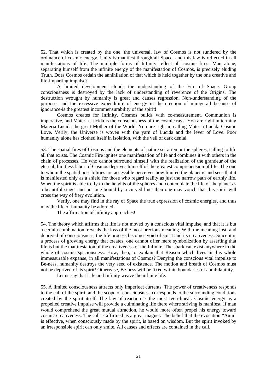52. That which is created by the one, the universal, law of Cosmos is not sundered by the ordinance of cosmic energy. Unity is manifest through all Space, and this law is reflected in all manifestations of life. The multiple forms of Infinity reflect all cosmic fires. Man alone, separating himself from the infinite energy of the manifestation of Cosmos, is precisely eluding Truth. Does Cosmos ordain the annihilation of that which is held together by the one creative and life-imparting impulse?

 A limited development clouds the understanding of the Fire of Space. Group consciousness is destroyed by the lack of understanding of reverence of the Origins. The destruction wrought by humanity is great and causes regression. Non-understanding of the purpose, and the excessive expenditure of energy in the erection of mirage-all because of ignorance-is the greatest incommensurability of the spirit!

 Cosmos creates for Infinity. Cosmos builds with co-measurement. Communion is imperative, and Materia Lucida is the consciousness of the cosmic rays. You are right in terming Materia Lucida the great Mother of the World. You are right in calling Materia Lucida Cosmic Love. Verily, the Universe is woven with the yarn of Lucida and the lever of Love. Poor humanity alone has clothed itself in isolation, with the veil of dark denial.

53. The spatial fires of Cosmos and the elements of nature set atremor the spheres, calling to life all that exists. The Cosmic Fire ignites one manifestation of life and combines it with others in the chain of processes. He who cannot surround himself with the realization of the grandeur of the eternal, limitless labor of Cosmos deprives himself of the greatest comprehension of life. The one to whom the spatial possibilities are accessible perceives how limited the planet is and sees that it is manifested only as a shield for those who regard reality as just the narrow path of earthly life. When the spirit is able to fly to the heights of the spheres and contemplate the life of the planet as a beautiful stage, and not one bound by a curved line, then one may vouch that this spirit will cross the way of fiery evolution.

 Verily, one may find in the ray of Space the true expression of cosmic energies, and thus may the life of humanity be adorned.

The affirmation of Infinity approaches!

54. The theory which affirms that life is not moved by a conscious vital impulse, and that it is but a certain combination, reveals the loss of the most precious meaning. With the meaning lost, and deprived of consciousness, the life process becomes void of spirit and its creativeness. Since it is a process of growing energy that creates, one cannot offer mere symbolization by asserting that life is but the manifestation of the creativeness of the Infinite. The spark can exist anywhere in the whole of cosmic spaciousness. How, then, to explain that Reason which lives in this whole immeasurable expanse, in all manifestations of Cosmos? Denying the conscious vital impulse to Be-ness, humanity destroys the very seed of existence. The motion and breath of Cosmos must not be deprived of its spirit! Otherwise, Be-ness will be fixed within boundaries of annihilability.

Let us say that Life and Infinity weave the infinite life.

55. A limited consciousness attracts only imperfect currents. The power of creativeness responds to the call of the spirit, and the scope of consciousness corresponds to the surrounding conditions created by the spirit itself. The law of reaction is the most recti-lineal. Cosmic energy as a propelled creative impulse will provide a culminating life there where striving is manifest. If man would comprehend the great mutual attraction, he would more often propel his energy toward cosmic creativeness. The call is affirmed as a great magnet. The belief that the evocation "Aum" is effective, when consciously made by the spirit, is based on wisdom. But the spirit invoked by an irresponsible spirit can only smite. All causes and effects are contained in the call.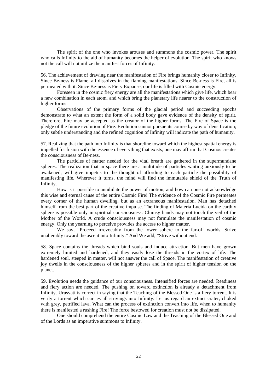The spirit of the one who invokes arouses and summons the cosmic power. The spirit who calls Infinity to the aid of humanity becomes the helper of evolution. The spirit who knows not the call will not utilize the manifest forces of Infinity.

56. The achievement of drawing near the manifestation of Fire brings humanity closer to Infinity. Since Be-ness is Flame, all dissolves in the flaming manifestations. Since Be-ness is Fire, all is permeated with it. Since Be-ness is Fiery Expanse, our life is filled with Cosmic energy.

 Foreseen in the cosmic fiery energy are all the manifestations which give life, which bear a new combination in each atom, and which bring the planetary life nearer to the construction of higher forms.

 Observations of the primary forms of the glacial period and succeeding epochs demonstrate to what an extent the form of a solid body gave evidence of the density of spirit. Therefore, Fire may be accepted as the creator of the higher forms. The Fire of Space is the pledge of the future evolution of Fire. Evolution cannot pursue its course by way of densification; only subtle understanding and the refined cognition of Infinity will indicate the path of humanity.

57. Realizing that the path into Infinity is that shoreline toward which the highest spatial energy is impelled for fusion with the essence of everything that exists, one may affirm that Cosmos creates the consciousness of Be-ness.

 The particles of matter needed for the vital breath are gathered in the supermundane spheres. The realization that in space there are a multitude of particles waiting anxiously to be awakened, will give impetus to the thought of affording to each particle the possibility of manifesting life. Wherever it turns, the mind will find the immutable shield of the Truth of Infinity.

 How is it possible to annihilate the power of motion, and how can one not acknowledge this wise and eternal cause of the entire Cosmic Fire! The evidence of the Cosmic Fire permeates every corner of the human dwelling, but as an extraneous manifestation. Man has detached himself from the best part of the creative impulse. The finding of Materia Lucida on the earthly sphere is possible only in spiritual consciousness. Clumsy hands may not touch the veil of the Mother of the World. A crude consciousness may not formulate the manifestation of cosmic energy. Only the yearning to perceive provides the access to higher matter.

 We say, "Proceed irrevocably from the lower sphere to the far-off worlds. Strive unalterably toward the ascent into Infinity." And We add, "Strive without end.

58. Space contains the threads which bind souls and induce attraction. But men have grown extremely limited and hardened, and they easily lose the threads in the vortex of life. The hardened soul, steeped in matter, will not answer the call of Space. The manifestation of creative joy dwells in the consciousness of the higher spheres and in the spirit of higher tension on the planet.

59. Evolution needs the guidance of our consciousness. Intensified forces are needed. Readiness and fiery action are needed. The pushing on toward extinction is already a detachment from Infinity. Urusvati is correct in saying that the Teaching of the Blessed One is a fiery torrent. It is verily a torrent which carries all strivings into Infinity. Let us regard an extinct crater, choked with grey, petrified lava. What can the process of extinction convert into life, when to humanity there is manifested a rushing Fire! The force bestowed for creation must not be dissipated.

 One should comprehend the entire Cosmic Law and the Teaching of the Blessed One and of the Lords as an imperative summons to Infinity.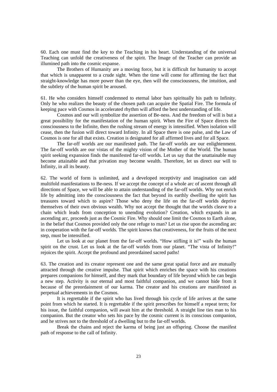60. Each one must find the key to the Teaching in his heart. Understanding of the universal Teaching can unfold the creativeness of the spirit. The Image of the Teacher can provide an illumined path into the cosmic expanse.

 The Brothers of Humanity are a moving force, but it is difficult for humanity to accept that which is unapparent to a crude sight. When the time will come for affirming the fact that straight-knowledge has more power than the eye, then will the consciousness, the intuition, and the subtlety of the human spirit be aroused.

61. He who considers himself condemned to eternal labor bars spiritually his path to Infinity. Only he who realizes the beauty of the chosen path can acquire the Spatial Fire. The formula of keeping pace with Cosmos in accelerated rhythm will afford the best understanding of life.

 Cosmos and our will symbolize the assertion of Be-ness. And the freedom of will is but a great possibility for the manifestation of the human spirit. When the Fire of Space directs the consciousness to the Infinite, then the rushing stream of energy is intensified. When isolation will cease, then the fusion will direct toward Infinity. In all Space there is one pulse, and the Law of Cosmos is one for all that exists. Creation is designated for all affirmed lives and for all Space.

 The far-off worlds are our manifested path. The far-off worlds are our enlightenment. The far-off worlds are our vistas of the mighty vision of the Mother of the World. The human spirit seeking expansion finds the manifested far-off worlds. Let us say that the unattainable may become attainable and that privation may become wealth. Therefore, let us direct our will to Infinity, in all its beauty.

62. The world of form is unlimited, and a developed receptivity and imagination can add multifold manifestations to Be-ness. If we accept the concept of a whole arc of ascent through all directions of Space, we will be able to attain understanding of the far-off worlds. Why not enrich life by admitting into the consciousness the fact that beyond its earthly dwelling the spirit has treasures toward which to aspire? Those who deny the life on the far-off worlds deprive themselves of their own obvious wealth. Why not accept the thought that the worlds cleave to a chain which leads from conception to unending evolution? Creation, which expands in an ascending arc, proceeds just as the Cosmic Fire. Why should one limit the Cosmos to Earth alone, in the belief that Cosmos provided only the one refuge to man? Let us rise upon the ascending arc in cooperation with the far-off worlds. The spirit knows that creativeness, for the fruits of the next step, must be intensified.

 Let us look at our planet from the far-off worlds. "How stifling it is!" wails the human spirit on the crust. Let us look at the far-off worlds from our planet. "The vista of Infinity!" rejoices the spirit. Accept the profound and preordained sacred paths!

63. The creation and its creator represent one and the same great spatial force and are mutually attracted through the creative impulse. That spirit which enriches the space with his creations prepares companions for himself, and they mark that boundary of life beyond which he can begin a new step. Activity is our eternal and most faithful companion, and we cannot hide from it because of the preordainment of our karma. The creator and his creations are manifested as perpetual achievements in the Cosmos.

 It is regrettable if the spirit who has lived through his cycle of life arrives at the same point from which he started. It is regrettable if the spirit prescribes for himself a repeat term; for his issue, the faithful companion, will await him at the threshold. A straight line ties man to his companion. But the creator who sets his pace by the cosmic current is its conscious companion, and he strives not to the threshold of a dwelling but to the far-off worlds.

 Break the chains and reject the karma of being just an offspring. Choose the manifest path of response to the call of Infinity.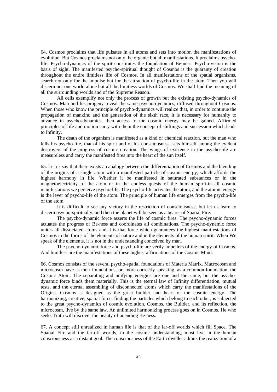64. Cosmos proclaims that life pulsates in all atoms and sets into motion the manifestations of evolution. But Cosmos proclaims not only the organic but all manifestations. It proclaims psycholife. Psycho-dynamics of the spirit constitutes the foundation of Be-ness. Psycho-vision is the basis of sight. The manifested psycho-spiritual thought of Cosmos is the guaranty of creation throughout the entire limitless life of Cosmos. In all manifestations of the spatial organisms, search not only for the impulse but for the attraction of psycho-life in the atom. Then you will discern not one world alone but all the limitless worlds of Cosmos. We shall find the meaning of all the surrounding worlds and of the Supreme Reason.

 All cells exemplify not only the process of growth but the existing psycho-dynamics of Cosmos. Man and his progeny reveal the same psycho-dynamics, diffused throughout Cosmos. When those who know the principle of psycho-dynamics will realize that, in order to continue the propagation of mankind and the generation of the sixth race, it is necessary for humanity to advance in psycho-dynamics, then access to the cosmic energy may be gained. Affirmed principles of life and motion carry with them the concept of shiftings and succession which leads to Infinity.

 The death of the organism is manifested as a kind of chemical reaction, but the man who kills his psycho-life, that of his spirit and of his consciousness, sets himself among the evident destroyers of the progress of cosmic creation. The wings of existence in the psycho-life are measureless and carry the manifested fires into the heart of the sun itself.

65. Let us say that there exists an analogy between the differentiation of Cosmos and the blending of the origins of a single atom with a manifested particle of cosmic energy, which affords the highest harmony in life. Whether it be manifested in saturated substances or in the magnetoelectricity of the atom or in the endless quests of the human spirit-in all cosmic manifestations we perceive psycho-life. The psycho-life activates the atom, and the atomic energy is the lever of psycho-life of the atom. The principle of human life emerges from the psycho-life of the atom.

 It is difficult to see any victory in the restriction of consciousness; but let us learn to discern psycho-spiritually, and then the planet will be seen as a bearer of Spatial Fire.

 The psycho-dynamic force asserts the life of cosmic fires. The psycho-dynamic forces actuates the progress of Be-ness and coordinates all combinations. The psycho-dynamic force unites all dissociated atoms and it is that force which guarantees the highest manifestations of Cosmos in the forms of the elements of nature and in the elements of the human spirit. When We speak of the elements, it is not in the understanding conceived by man.

 The psycho-dynamic force and psycho-life are verily impellers of the energy of Cosmos. And limitless are the manifestations of these highest affirmations of the Cosmic Mind.

66. Cosmos consists of the several psycho-spatial foundations of Materia Matrix. Macrocosm and microcosm have as their foundations, or, more correctly speaking, as a common foundation, the Cosmic Atom. The separating and unifying energies are one and the same, but the psychodynamic force binds them materially. This is the eternal law of Infinity differentiation, mutual tests, and the eternal assembling of disconnected atoms which carry the manifestations of the Origins. Cosmos is designed as the great builder and heart of the cosmic energy. The harmonizing, creative, spatial force, finding the particles which belong to each other, is subjected to the great psycho-dynamics of cosmic evolution. Cosmos, the Builder, and its reflection, the microcosm, live by the same law. An unlimited harmonizing process goes on in Cosmos. He who seeks Truth will discover the beauty of unending Be-ness.

67. A concept still unrealized in human life is that of the far-off worlds which fill Space. The Spatial Fire and the far-off worlds, in the cosmic understanding, must live in the human consciousness as a distant goal. The consciousness of the Earth dweller admits the realization of a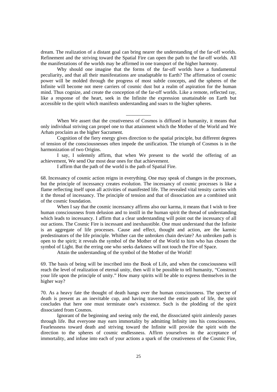dream. The realization of a distant goal can bring nearer the understanding of the far-off worlds. Refinement and the striving toward the Spatial Fire can open the path to the far-off worlds. All the manifestations of the worlds may be affirmed in one transport of the higher harmony.

 Why should one imagine that the forms of the far-off worlds have a fundamental peculiarity, and that all their manifestations are unadaptable to Earth? The affirmation of cosmic power will be molded through the progress of most subtle concepts, and the spheres of the Infinite will become not mere carriers of cosmic dust but a realm of aspiration for the human mind. Thus cognize, and create the conception of the far-off worlds. Like a remote, reflected ray, like a response of the heart, seek in the Infinite the expression unattainable on Earth but accessible to the spirit which manifests understanding and soars to the higher spheres.

 When We assert that the creativeness of Cosmos is diffused in humanity, it means that only individual striving can propel one to that attainment which the Mother of the World and We Arhats proclaim as the higher Sacrament.

—————

 Cognition of the fiery energy gives direction to the spatial principle, but different degrees of tension of the consciousnesses often impede the unification. The triumph of Cosmos is in the harmonization of two Origins.

 I say, I solemnly affirm, that when We present to the world the offering of an achievement, We send Our most dear ones for that achievement.

I affirm that the path of the world is the path of Spatial Fire.

68. Incessancy of cosmic action reigns in everything. One may speak of changes in the processes, but the principle of incessancy creates evolution. The incessancy of cosmic processes is like a flame reflecting itself upon all activities of manifested life. The revealed vital tensity carries with it the thread of incessancy. The principle of tension and that of dissociation are a combined unit of the cosmic foundation.

 When I say that the cosmic incessancy affirms also our karma, it means that I wish to free human consciousness from delusion and to instill in the human spirit the thread of understanding which leads to incessancy. I affirm that a clear understanding will point out the incessancy of all our actions. The Cosmic Fire is incessant and inexhaustible. One must understand that the Infinite is an aggregate of life processes. Cause and effect, thought and action, are the karmic predestinators of the life principle. Whither can the unbroken chain deviate? An unbroken path is open to the spirit; it reveals the symbol of the Mother of the World to him who has chosen the symbol of Light. But the erring one who seeks darkness will not touch the Fire of Space.

Attain the understanding of the symbol of the Mother of the World!

69. The basis of being will be inscribed into the Book of Life, and when the consciousness will reach the level of realization of eternal unity, then will it be possible to tell humanity, "Construct your life upon the principle of unity." How many spirits will be able to express themselves in the higher way?

70. As a heavy fate the thought of death hangs over the human consciousness. The spectre of death is present as an inevitable cup, and having traversed the entire path of life, the spirit concludes that here one must terminate one's existence. Such is the plodding of the spirit dissociated from Cosmos.

 Ignorant of the beginning and seeing only the end, the dissociated spirit aimlessly passes through life. But everyone may earn immortality by admitting Infinity into his consciousness. Fearlessness toward death and striving toward the Infinite will provide the spirit with the direction to the spheres of cosmic endlessness. Affirm yourselves in the acceptance of immortality, and infuse into each of your actions a spark of the creativeness of the Cosmic Fire,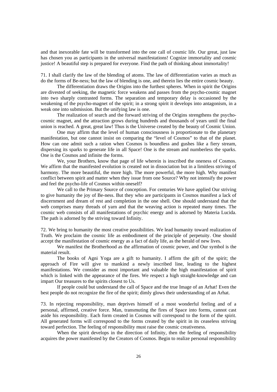and that inexorable fate will be transformed into the one call of cosmic life. Our great, just law has chosen you as participants in the universal manifestations! Cognize immortality and cosmic justice! A beautiful step is prepared for everyone. Find the path of thinking about immortality!

71. I shall clarify the law of the blending of atoms. The law of differentiation varies as much as do the forms of Be-ness; but the law of blending is one, and therein lies the entire cosmic beauty.

 The differentiation draws the Origins into the furthest spheres. When in spirit the Origins are divested of seeking, the magnetic force weakens and passes from the psycho-cosmic magnet into two sharply contrasted forms. The separation and temporary delay is occasioned by the weakening of the psycho-magnet of the spirit; in a strong spirit it develops into antagonism, in a weak one into submission. But the unifying law is one.

 The realization of search and the forward striving of the Origins strengthens the psychocosmic magnet, and the attraction grows during hundreds and thousands of years until the final union is reached. A great, great law! Thus is the Universe created by the beauty of Cosmic Union.

 One may affirm that the level of human consciousness is proportionate to the planetary manifestation, but one cannot insist on comparing the "level of Cosmos" to that of the planet. How can one admit such a ration when Cosmos is boundless and gushes like a fiery stream, dispersing its sparks to generate life in all Space! One is the stream and numberless the sparks. One is the Cosmos and infinite the forms.

 We, your Brothers, know that page of life wherein is inscribed the oneness of Cosmos. We affirm that the manifested evolution is created not in dissociation but in a limitless striving of harmony. The more beautiful, the more high. The more powerful, the more high. Why manifest conflict between spirit and matter when they issue from one Source? Why not intensify the power and feel the psycho-life of Cosmos within oneself?

 We call to the Primary Source of conception. For centuries We have applied Our striving to give humanity the joy of Be-ness. But they who are participants in Cosmos manifest a lack of discernment and dream of rest and completion in the one shell. One should understand that the web comprises many threads of yarn and that the weaving action is repeated many times. The cosmic web consists of all manifestations of psychic energy and is adorned by Materia Lucida. The path is adorned by the striving toward Infinity.

72. We bring to humanity the most creative possibilities. We lead humanity toward realization of Truth. We proclaim the cosmic life as embodiment of the principle of perpetuity. One should accept the manifestation of cosmic energy as a fact of daily life, as the herald of new lives.

 We manifest the Brotherhood as the affirmation of cosmic power, and Our symbol is the material result.

 The books of Agni Yoga are a gift to humanity. I affirm the gift of the spirit; the approach of Fire will give to mankind a newly inscribed line, leading to the highest manifestations. We consider as most important and valuable the high manifestation of spirit which is linked with the appearance of the fires. We respect a high straight-knowledge and can impart Our treasures to the spirits closest to Us.

 If people could but understand the call of Space and the true Image of an Arhat! Even the best people do not recognize the fire of the spirit; dimly glows their understanding of an Arhat.

73. In rejecting responsibility, man deprives himself of a most wonderful feeling and of a personal, affirmed, creative force. Man, transmuting the fires of Space into forms, cannot cast aside his responsibility. Each form created in Cosmos will correspond to the form of the spirit. All generated forms will correspond to the forms created by the spirit in its ceaseless striving toward perfection. The feeling of responsibility must raise the cosmic creativeness.

 When the spirit develops in the direction of Infinity, then the feeling of responsibility acquires the power manifested by the Creators of Cosmos. Begin to realize personal responsibility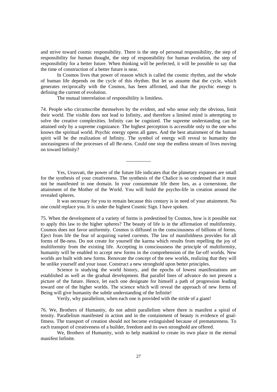and strive toward cosmic responsibility. There is the step of personal responsibility, the step of responsibility for human thought, the step of responsibility for human evolution, the step of responsibility for a better future. When thinking will be perfected, it will be possible to say that the time of construction of a better future is near.

 In Cosmos lives that power of reason which is called the cosmic rhythm, and the whole of human life depends on the cycle of this rhythm. But let us assume that the cycle, which generates reciprocally with the Cosmos, has been affirmed, and that the psychic energy is defining the current of evolution.

The mutual interrelation of responsibility is limitless.

74. People who circumscribe themselves by the evident, and who sense only the obvious, limit their world. The visible does not lead to Infinity, and therefore a limited mind is attempting to solve the creative complexities. Infinity can be cognized. The supreme understanding can be attained only by a supreme cognizance. The highest perception is accessible only to the one who knows the spiritual world. Psychic energy opens all gates. And the best attainment of the human spirit will be the realization of Infinity. The symbol of energy will reveal to humanity the unceasingness of the processes of all Be-ness. Could one stop the endless stream of lives moving on toward Infinity?

 Yes, Urusvati, the power of the future life indicates that the planetary expanses are small for the synthesis of your creativeness. The synthesis of the Chalice is so condensed that it must not be manifested in one domain. In your consummate life there lies, as a cornerstone, the attainment of the Mother of the World. You will build the psycho-life in creation around the revealed spheres.

—————

 It was necessary for you to remain because this century is in need of your attainment. No one could replace you. It is under the highest Cosmic Sign. I have spoken.

75. When the development of a variety of forms is predestined by Cosmos, how is it possible not to apply this law to the higher spheres? The beauty of life is in the affirmation of multiformity. Cosmos does not favor uniformity. Cosmos is diffused in the consciousness of billions of forms. Eject from life the fear of acquiring varied currents. The law of manifoldness provides for all forms of Be-ness. Do not create for yourself the karma which results from repelling the joy of multiformity from the existing life. Accepting in consciousness the principle of multiformity, humanity will be enabled to accept new forms in the comprehension of the far-off worlds. New worlds are built with new forms. Renovate the concept of the new worlds, realizing that they will be unlike yourself and your issue. Construct a new stronghold upon better principles.

 Science is studying the world history, and the epochs of lowest manifestations are established as well as the gradual development. But parallel lines of advance do not present a picture of the future. Hence, let each one designate for himself a path of progression leading toward one of the higher worlds. The science which will reveal the approach of new forms of Being will give humanity the subtle understanding of the Infinite!

Verily, why parallelism, when each one is provided with the stride of a giant!

76. We, Brothers of Humanity, do not admit parallelism where there is manifest a spiral of tensity. Parallelism manifested in action and in the containment of beauty is evidence of goalfitness. The transport of creation should not become extinguished because of prematureness. To each transport of creativeness of a builder, freedom and its own stronghold are offered.

 We, Brothers of Humanity, wish to help mankind to create its own place in the eternal manifest Infinite.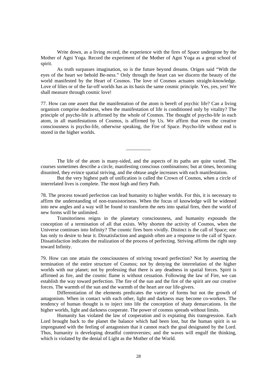Write down, as a living record, the experience with the fires of Space undergone by the Mother of Agni Yoga. Record the experiment of the Mother of Agni Yoga as a great school of spirit.

 As truth surpasses imagination, so is the future beyond dreams. Origen said "With the eyes of the heart we behold Be-ness." Only through the heart can we discern the beauty of the world manifested by the Heart of Cosmos. The love of Cosmos actuates straight-knowledge. Love of lilies or of the far-off worlds has as its basis the same cosmic principle. Yes, yes, yes! We shall measure through cosmic love!

77. How can one assert that the manifestation of the atom is bereft of psychic life? Can a living organism comprise deadness, when the manifestation of life is conditioned only by vitality? The principle of psycho-life is affirmed by the whole of Cosmos. The thought of psycho-life in each atom, in all manifestations of Cosmos, is affirmed by Us. We affirm that even the creative consciousness is psycho-life, otherwise speaking, the Fire of Space. Psycho-life without end is stored in the higher worlds.

 The life of the atom is many-sided, and the aspects of its paths are quite varied. The courses sometimes describe a circle, manifesting conscious combinations; but at times, becoming disunited, they evince spatial striving, and the obtuse angle increases with each manifestation.

—————

 But the very highest path of unification is called the Crown of Cosmos, when a circle of interrelated lives is complete. The most high and fiery Path.

78. The process toward perfection can lead humanity to higher worlds. For this, it is necessary to affirm the understanding of non-transistoriness. When the focus of knowledge will be widened into new angles and a way will be found to transform the nets into spatial fires, then the world of new forms will be unlimited.

 Transitoriness reigns in the planetary consciousness, and humanity expounds the conception of a termination of all that exists. Why shorten the activity of Cosmos, when the Universe continues into Infinity? The cosmic fires burn vividly. Distinct is the call of Space; one has only to desire to hear it. Dissatisfaction and anguish often are a response to the call of Space. Dissatisfaction indicates the realization of the process of perfecting. Striving affirms the right step toward Infinity.

79. How can one attain the consciousness of striving toward perfection? Not by asserting the termination of the entire structure of Cosmos; not by denying the interrelation of the higher worlds with our planet; not by professing that there is any deadness in spatial forces. Spirit is affirmed as fire, and the cosmic flame is without cessation. Following the law of Fire, we can establish the way toward perfection. The fire of the sun and the fire of the spirit are our creative forces. The warmth of the sun and the warmth of the heart are our life-givers.

 Differentiation of the elements predicates the variety of forms but not the growth of antagonism. When in contact with each other, light and darkness may become co-workers. The tendency of human thought is to inject into life the conception of sharp demarcations. In the higher worlds, light and darkness cooperate. The power of cosmos spreads without limits.

 Humanity has violated the law of cooperation and is expiating this transgression. Each Lord brought back to the planet the balance which had been lost, but the human spirit is so impregnated with the feeling of antagonism that it cannot reach the goal designated by the Lord. Thus, humanity is developing dreadful controversies; and the waves will engulf the thinking, which is violated by the denial of Light as the Mother of the World.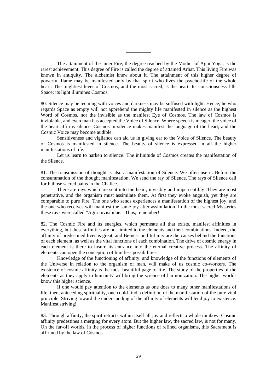The attainment of the inner Fire, the degree reached by the Mother of Agni Yoga, is the rarest achievement. This degree of Fire is called the degree of attained Arhat. This living Fire was known in antiquity. The alchemist knew about it. The attainment of this higher degree of powerful flame may be manifested only by that spirit who lives the psycho-life of the whole heart. The mightiest lever of Cosmos, and the most sacred, is the heart. Its consciousness fills Space; its light illumines Cosmos.

—————

80. Silence may be teeming with voices and darkness may be suffused with light. Hence, he who regards Space as empty will not apprehend the mighty life manifested in silence as the highest Word of Cosmos, nor the invisible as the manifest Eye of Cosmos. The law of Cosmos is inviolable, and even man has accepted the Voice of Silence. Where speech is meager, the voice of the heart affirms silence. Cosmos in silence makes manifest the language of the heart, and the Cosmic Voice may become audible.

 Sensitiveness and vigilance can aid us in giving ear to the Voice of Silence. The beauty of Cosmos is manifested in silence. The beauty of silence is expressed in all the higher manifestations of life.

 Let us learn to harken to silence! The infinitude of Cosmos creates the manifestation of the Silence.

81. The transmission of thought is also a manifestation of Silence. We often use it. Before the consummation of the thought manifestation, We send the ray of Silence. The rays of Silence call forth those sacred pains in the Chalice.

 There are rays which are sent into the heart, invisibly and imperceptibly. They are most penetrative, and the organism must assimilate them. At first they evoke anguish, yet they are comparable to pure Fire. The one who sends experiences a manifestation of the highest joy, and the one who receives will manifest the same joy after assimilation. In the most sacred Mysteries these rays were called "Agni Invisibilae." Thus, remember!

82. The Cosmic Fire and its energies, which permeate all that exists, manifest affinities in everything, but these affinities are not limited to the elements and their combinations. Indeed, the affinity of predestined lives is great, and Be-ness and Infinity are the causes behind the functions of each element, as well as the vital functions of each combination. The drive of cosmic energy in each element is there to insure its entrance into the eternal creative process. The affinity of elements can open the conception of limitless possibilities.

 Knowledge of the functioning of affinity, and knowledge of the functions of elements of the Universe in relation to the organism of man, will make of us cosmic co-workers. The existence of cosmic affinity is the most beautiful page of life. The study of the properties of the elements as they apply to humanity will bring the science of harmonization. The higher worlds know this higher science.

 If one would pay attention to the elements as one does to many other manifestations of life, then, anteceding spirituality, one could find a definition of the manifestation of the pure vital principle. Striving toward the understanding of the affinity of elements will lend joy to existence. Manifest striving!

83. Through affinity, the spirit retracts within itself all joy and reflects a whole rainbow. Cosmic affinity predestines a merging for every atom. But the higher law, the sacred law, is not for many. On the far-off worlds, in the process of higher functions of refined organisms, this Sacrament is affirmed by the law of Cosmos.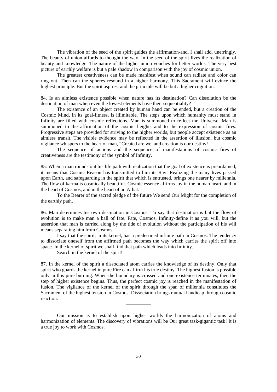The vibration of the seed of the spirit guides the affirmation-and, I shall add, unerringly. The beauty of union affords to thought the way. In the seed of the spirit lives the realization of beauty and knowledge. The nature of the higher union vouches for better worlds. The very best picture of earthly welfare is but a pale shadow in comparison with the joy of cosmic union.

 The greatest creativeness can be made manifest when sound can radiate and color can ring out. Then can the spheres resound in a higher harmony. This Sacrament will evince the highest principle. But the spirit aspires, and the principle will be but a higher cognition.

84. Is an aimless existence possible when nature has its destination? Can dissolution be the destination of man when even the lowest elements have their sequentiality?

 The existence of an object created by human hand can be ended, but a creation of the Cosmic Mind, in its goal-fitness, is illimitable. The steps upon which humanity must stand in Infinity are filled with cosmic reflections. Man is summoned to reflect the Universe. Man is summoned to the affirmation of the cosmic heights and to the expression of cosmic fires. Progressive steps are provided for striving to the higher worlds, but people accept existence as an aimless transit. The visible evidence may be reflected in the assertion of illusion, but cosmic vigilance whispers to the heart of man, "Created are we, and creation is our destiny!

 The sequence of actions and the sequence of manifestations of cosmic fires of creativeness are the testimony of the symbol of Infinity.

85. When a man rounds out his life path with realization that the goal of existence is preordained, it means that Cosmic Reason has transmitted to him its Ray. Realizing the many lives passed upon Earth, and safeguarding in the spirit that which is entrusted, brings one nearer by millennia. The flow of karma is cosmically beautiful. Cosmic essence affirms joy in the human heart, and in the heart of Cosmos, and in the heart of an Arhat.

 To the Bearer of the sacred pledge of the future We send Our Might for the completion of the earthly path.

86. Man determines his own destination in Cosmos. To say that destination is but the flow of evolution is to make man a ball of fate. Fate, Cosmos, Infinity-define it as you will, but the assertion that man is carried along by the tide of evolution without the participation of his will means separating him from Cosmos.

 I say that the spirit, in its kernel, has a predestined infinite path in Cosmos. The tendency to dissociate oneself from the affirmed path becomes the way which carries the spirit off into space. In the kernel of spirit we shall find that path which leads into Infinity.

Search in the kernel of the spirit!

87. In the kernel of the spirit a dissociated atom carries the knowledge of its destiny. Only that spirit who guards the kernel in pure Fire can affirm his true destiny. The highest fusion is possible only in this pure burning. When the boundary is crossed and one existence terminates, then the step of higher existence begins. Thus, the perfect cosmic joy is reached in the manifestation of fusion. The vigilance of the kernel of the spirit through the span of millennia constitutes the Sacrament of the highest tension in Cosmos. Dissociation brings mutual handicap through cosmic reaction.

 Our mission is to establish upon higher worlds the harmonization of atoms and harmonization of elements. The discovery of vibrations will be Our great task-gigantic task! It is a true joy to work with Cosmos.

—————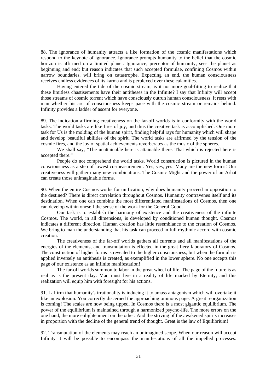88. The ignorance of humanity attracts a like formation of the cosmic manifestations which respond to the keynote of ignorance. Ignorance prompts humanity to the belief that the cosmic horizon is affirmed on a limited planet. Ignorance, preceptor of humanity, sees the planet as beginning and end; but reason indicates that such accepted formulae, confining Cosmos within narrow boundaries, will bring on catastrophe. Expecting an end, the human consciousness receives endless evidences of its karma and is perplexed over these calamities.

 Having entered the tide of the cosmic stream, is it not more goal-fitting to realize that these limitless chastisements have their antitheses in the Infinite? I say that Infinity will accept those streams of cosmic torrent which have consciously outrun human consciousness. It rests with man whether his arc of consciousness keeps pace with the cosmic stream or remains behind. Infinity provides a ladder of ascent for everyone.

89. The indication affirming creativeness on the far-off worlds is in conformity with the world tasks. The world tasks are like fires of joy, and thus the creative task is accomplished. One more task for Us is the molding of the human spirit, finding helpful rays for humanity which will shape and develop beautiful abilities of the spirit. The world tasks are affirmed by the tension of the cosmic fires, and the joy of spatial achievements reverberates as the music of the spheres.

 We shall say, "The unattainable here is attainable there. That which is rejected here is accepted there."

 People do not comprehend the world tasks. World construction is pictured in the human consciousness as a step of lowest co-measurement. Yes, yes, yes! Many are the new forms! Our creativeness will gather many new combinations. The Cosmic Might and the power of an Arhat can create those unimaginable forms.

90. When the entire Cosmos works for unification, why does humanity proceed in opposition to the destined? There is direct correlation throughout Cosmos. Humanity contravenes itself and its destination. When one can combine the most differentiated manifestations of Cosmos, then one can develop within oneself the sense of the work for the General Good.

 Our task is to establish the harmony of existence and the creativeness of the infinite Cosmos. The world, in all dimensions, is developed by conditioned human thought. Cosmos indicates a different direction. Human creation has little resemblance to the creation of Cosmos. We bring to man the understanding that his task can proceed in full rhythmic accord with cosmic creation.

 The creativeness of the far-off worlds gathers all currents and all manifestations of the energies of the elements, and transmutation is effected in the great fiery laboratory of Cosmos. The construction of higher forms is revealed to the higher consciousness, but when the formula is applied inversely an antithesis is created, as exemplified in the lower sphere. No one accepts this page of our existence as an infinite manifestation!

 The far-off worlds summon to labor in the great wheel of life. The page of the future is as real as is the present day. Man must live in a reality of life marked by Eternity, and this realization will equip him with foresight for his actions.

91. I affirm that humanity's irrationality is inducing it to amass antagonism which will overtake it like an explosion. You correctly discerned the approaching ominous page. A great reorganization is coming! The scales are now being tipped. In Cosmos there is a most gigantic equilibrium. The power of the equilibrium is maintained through a harmonized psycho-life. The more errors on the one hand, the more enlightenment on the other. And the striving of the awakened spirits increases in proportion with the decline of the general trend of thought. Great is the law of Equilibrium!

92. Transmutation of the elements may reach an unimagined scope. When our reason will accept Infinity it will be possible to encompass the manifestations of all the impelled processes.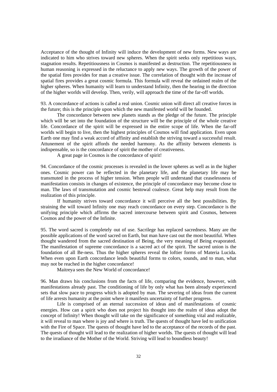Acceptance of the thought of Infinity will induce the development of new forms. New ways are indicated to him who strives toward new spheres. When the spirit seeks only repetitious ways, stagnation results. Repetitiousness in Cosmos is manifested as destruction. The repetitiousness in human reasoning is expressed in the reluctance to apply new ways. The growth of the power of the spatial fires provides for man a creative issue. The correlation of thought with the increase of spatial fires provides a great cosmic formula. This formula will reveal the ordained realm of the higher spheres. When humanity will learn to understand Infinity, then the hearing in the direction of the higher worlds will develop. Then, verily, will approach the time of the far-off worlds.

93. A concordance of actions is called a real union. Cosmic union will direct all creative forces in the future; this is the principle upon which the new manifested world will be founded.

 The concordance between new planets stands as the pledge of the future. The principle which will be set into the foundation of the structure will be the principle of the whole creative life. Concordance of the spirit will be expressed in the entire scope of life. When the far-off worlds will begin to live, then the highest principles of Cosmos will find application. Even upon Earth one may find a weak accord of affinity and establish the striving toward a successful result. Attunement of the spirit affords the needed harmony. As the affinity between elements is indispensable, so is the concordance of spirit the mother of creativeness.

A great page in Cosmos is the concordance of spirit!

94. Concordance of the cosmic processes is revealed in the lower spheres as well as in the higher ones. Cosmic power can be reflected in the planetary life, and the planetary life may be transmuted in the process of higher tension. When people will understand that ceaselessness of manifestation consists in changes of existence, the principle of concordance may become close to man. The laws of transmutation and cosmic bestowal coalesce. Great help may result from the realization of this principle.

 If humanity strives toward concordance it will perceive all the best possibilities. By straining the will toward Infinity one may reach concordance on every step. Concordance is the unifying principle which affirms the sacred intercourse between spirit and Cosmos, between Cosmos and the power of the Infinite.

95. The word sacred is completely out of use. Sacrilege has replaced sacredness. Many are the possible applications of the word sacred on Earth, but man have cast out the most beautiful. When thought wandered from the sacred destination of Being, the very meaning of Being evaporated. The manifestation of supreme concordance is a sacred act of the spirit. The sacred union is the foundation of all Be-ness. Thus the higher spheres reveal the loftier forms of Materia Lucida. When even upon Earth concordance lends beautiful forms to colors, sounds, and to man, what may not be reached in the higher concordance!

Maitreya sees the New World of concordance!

96. Man draws his conclusions from the facts of life, comparing the evidence, however, with manifestations already past. The conditioning of life by only what has been already experienced sets that slow pace to progress which is adopted by man. The severing of ideas from the current of life arrests humanity at the point where it manifests uncertainty of further progress.

 Life is comprised of an eternal succession of ideas and of manifestations of cosmic energies. How can a spirit who does not project his thought into the realm of ideas adopt the concept of Infinity! When thought will take on the significance of something vital and realizable, it will reveal to man where is joy and where is truth. The quests of thought have led to unification with the Fire of Space. The quests of thought have led to the acceptance of the records of the past. The quests of thought will lead to the realization of higher worlds. The quests of thought will lead to the irradiance of the Mother of the World. Striving will lead to boundless beauty!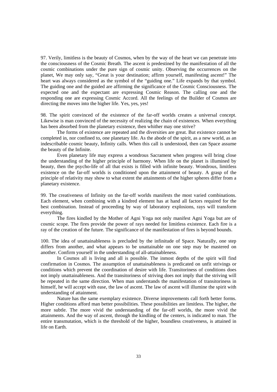97. Verily, limitless is the beauty of Cosmos, when by the way of the heart we can penetrate into the consciousness of the Cosmic Breath. The ascent is predestined by the manifestation of all the cosmic combinations under the pure sign of cosmic unity. Observing the occurrences on the planet, We may only say, "Great is your destination; affirm yourself, manifesting ascent!" The heart was always considered as the symbol of the "guiding one." Life expands by that symbol. The guiding one and the guided are affirming the significance of the Cosmic Consciousness. The expected one and the expectant are expressing Cosmic Reason. The calling one and the responding one are expressing Cosmic Accord. All the feelings of the Builder of Cosmos are directing the moves into the higher life. Yes, yes, yes!

98. The spirit convinced of the existence of the far-off worlds creates a universal concept. Likewise is man convinced of the necessity of realizing the chain of existences. When everything has been absorbed from the planetary existence, then whither may one strive?

 The forms of existence are repeated and the diversities are great. But existence cannot be completed in, nor confined to, one planetary life. As the abode of the spirit, as a new world, as an indescribable cosmic beauty, Infinity calls. When this call is understood, then can Space assume the beauty of the Infinite.

 Even planetary life may express a wondrous Sacrament when progress will bring close the understanding of the higher principle of harmony. When life on the planet is illumined by beauty, then the psycho-life of all that exists is filled with infinite beauty. Wondrous, limitless existence on the far-off worlds is conditioned upon the attainment of beauty. A grasp of the principle of relativity may show to what extent the attainments of the higher spheres differ from a planetary existence.

99. The creativeness of Infinity on the far-off worlds manifests the most varied combinations. Each element, when combining with a kindred element has at hand all factors required for the best combination. Instead of proceeding by way of laboratory explosions, rays will transform everything.

 The fires kindled by the Mother of Agni Yoga not only manifest Agni Yoga but are of cosmic scope. The fires provide the power of rays needed for limitless existence. Each fire is a ray of the creation of the future. The significance of the manifestation of fires is beyond bounds.

100. The idea of unattainableness is precluded by the infinitude of Space. Naturally, one step differs from another, and what appears to be unattainable on one step may be mastered on another. Confirm yourself in the understanding of all-attainableness.

 In Cosmos all is living and all is possible. The inmost depths of the spirit will find confirmation in Cosmos. The assumption of unattainableness is predicated on unfit strivings or conditions which prevent the coordination of desire with life. Transitoriness of conditions does not imply unattainableness. And the transitoriness of striving does not imply that the striving will be repeated in the same direction. When man understands the manifestation of transitoriness in himself, he will accept with ease, the law of ascent. The law of ascent will illumine the spirit with understanding of attainment.

 Nature has the same exemplary existence. Diverse improvements call forth better forms. Higher conditions afford man better possibilities. These possibilities are limitless. The higher, the more subtle. The more vivid the understanding of the far-off worlds, the more vivid the attainments. And the way of ascent, through the kindling of the centers, is indicated to man. The entire transmutation, which is the threshold of the higher, boundless creativeness, is attained in life on Earth.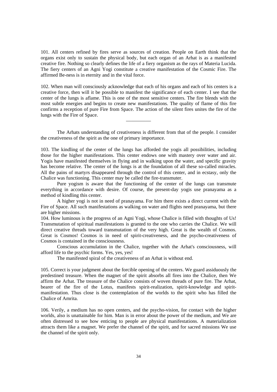101. All centers refined by fires serve as sources of creation. People on Earth think that the organs exist only to sustain the physical body, but each organ of an Arhat is as a manifested creative fire. Nothing so clearly defines the life of a fiery organism as the rays of Materia Lucida. The fiery centers of an Agni Yogi constitute a creative manifestation of the Cosmic Fire. The affirmed Be-ness is in eternity and in the vital force.

102. When man will consciously acknowledge that each of his organs and each of his centers is a creative force, then will it be possible to manifest the significance of each center. I see that the center of the lungs is aflame. This is one of the most sensitive centers. The fire blends with the most subtle energies and begins to create new manifestations. The quality of flame of this fire confirms a reception of pure Fire from Space. The action of the silent fires unites the fire of the lungs with the Fire of Space.

 The Arhats understanding of creativeness is different from that of the people. I consider the creativeness of the spirit as the one of primary importance.

—————

103. The kindling of the center of the lungs has afforded the yogis all possibilities, including those for the higher manifestations. This center endows one with mastery over water and air. Yogis have manifested themselves in flying and in walking upon the water, and specific gravity has become relative. The center of the lungs is at the foundation of all these so-called miracles. All the pains of martyrs disappeared through the control of this center, and in ecstasy, only the Chalice was functioning. This center may be called the fire-transmuter.

 Pure yogism is aware that the functioning of the center of the lungs can transmute everything in accordance with desire. Of course, the present-day yogis use pranayama as a method of kindling this center.

 A higher yogi is not in need of pranayama. For him there exists a direct current with the Fire of Space. All such manifestations as walking on water and flights need pranayama, but there are higher missions.

104. How luminous is the progress of an Agni Yogi, whose Chalice is filled with thoughts of Us! Transmutation of spiritual manifestations is granted to the one who carries the Chalice. We will direct creative threads toward transmutation of the very high. Great is the wealth of Cosmos. Great is Cosmos! Cosmos is in need of spirit-creativeness, and the psycho-creativeness of Cosmos is contained in the consciousness.

 Conscious accumulation in the Chalice, together with the Arhat's consciousness, will afford life to the psychic forms. Yes, yes, yes!

The manifested spiral of the creativeness of an Arhat is without end.

105. Correct is your judgment about the forcible opening of the centers. We guard assiduously the predestined treasure. When the magnet of the spirit absorbs all fires into the Chalice, then We affirm the Arhat. The treasure of the Chalice consists of woven threads of pure fire. The Arhat, bearer of the fire of the Lotus, manifests spirit-realization, spirit-knowledge and spiritmanifestation. Thus close is the contemplation of the worlds to the spirit who has filled the Chalice of Amrita.

106. Verily, a medium has no open centers, and the psycho-vision, for contact with the higher worlds, also is unattainable for him. Man is in error about the power of the medium, and We are often distressed to see how enticing to people are physical manifestations. A materialization attracts them like a magnet. We prefer the channel of the spirit, and for sacred missions We use the channel of the spirit only.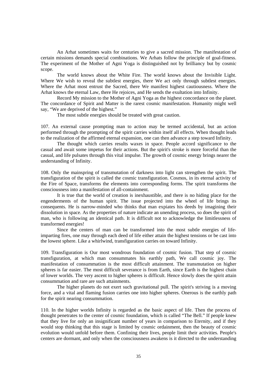An Arhat sometimes waits for centuries to give a sacred mission. The manifestation of certain missions demands special combinations. We Arhats follow the principle of goal-fitness. The experiment of the Mother of Agni Yoga is distinguished not by brilliancy but by cosmic scope.

 The world knows about the White Fire. The world knows about the Invisible Light. Where We wish to reveal the subtlest energies, there We act only through subtlest energies. Where the Arhat most entrust the Sacred, there We manifest highest cautiousness. Where the Arhat knows the eternal Law, there He rejoices, and He sends the exultation into Infinity.

 Record My mission to the Mother of Agni Yoga as the highest concordance on the planet. The concordance of Spirit and Matter is the rarest cosmic manifestation. Humanity might well say, "We are deprived of the highest."

The most subtle energies should be treated with great caution.

107. An external cause prompting man to action may be termed accidental, but an action performed through the prompting of the spirit carries within itself all effects. When thought leads to the realization of the affirmed eternal expansion, one can then advance a step toward Infinity.

 The thought which carries results waxes in space. People accord significance to the casual and await some impetus for their actions. But the spirit's stroke is more forceful than the casual, and life pulsates through this vital impulse. The growth of cosmic energy brings nearer the understanding of Infinity.

108. Only the mainspring of transmutation of darkness into light can strengthen the spirit. The transfiguration of the spirit is called the cosmic transfiguration. Cosmos, in its eternal activity of the Fire of Space, transforms the elements into corresponding forms. The spirit transforms the consciousness into a manifestation of all-containment.

 It is true that the world of creation is inexhaustible, and there is no hiding place for the engenderments of the human spirit. The issue projected into the wheel of life brings its consequents. He is narrow-minded who thinks that man expiates his deeds by imagining their dissolution in space. As the properties of nature indicate an unending process, so does the spirit of man, who is following an identical path. It is difficult not to acknowledge the limitlessness of transformed energies!

 Since the centers of man can be transformed into the most subtle energies of lifeimparting fires, one may through each deed of life either attain the highest tensions or be cast into the lowest sphere. Like a whirlwind, transfiguration carries on toward Infinity.

109. Transfiguration is Our most wondrous foundation of cosmic fusion. That step of cosmic transfiguration, at which man consummates his earthly path, We call cosmic joy. The manifestation of consummation is the most difficult attainment. The transmutation on higher spheres is far easier. The most difficult severance is from Earth, since Earth is the highest chain of lower worlds. The very ascent to higher spheres is difficult. Hence slowly does the spirit attain consummation and rare are such attainments.

 The higher planets do not exert such gravitational pull. The spirit's striving is a moving force, and a vital and flaming fusion carries one into higher spheres. Onerous is the earthly path for the spirit nearing consummation.

110. In the higher worlds Infinity is regarded as the basic aspect of life. Then the process of thought penetrates to the center of cosmic foundation, which is called "The Bell." If people knew that they live for only an insignificant number of years in comparison to Eternity, and if they would stop thinking that this stage is limited by cosmic ordainment, then the beauty of cosmic evolution would unfold before them. Confining their lives, people limit their activities. People's centers are dormant, and only when the consciousness awakens is it directed to the understanding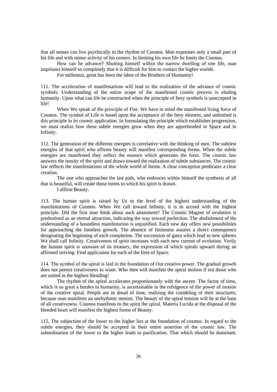that all senses can live psychically in the rhythm of Cosmos. Man expresses only a small part of his life and with minor activity of his centers. In limiting his own life he limits the Cosmos.

 How can he advance? Shutting himself within the narrow dwelling of one life, man imprisons himself so completely that it is difficult for him to contact the higher worlds.

For millennia, great has been the labor of the Brothers of Humanity!

111. The acceleration of manifestations will lead to the realization of the advance of cosmic symbols. Understanding of the entire scope of the manifested cosmic process is eluding humanity. Upon what can life be constructed when the principle of fiery symbols is unaccepted in life!

 When We speak of the principle of Fire. We have in mind the manifested living force of Cosmos. The symbol of Life is based upon the acceptance of the fiery element, and unlimited is this principle in its cosmic application. In formulating the principle which establishes progression, we must realize how these subtle energies grow when they are apprehended in Space and in Infinity.

112. The generation of the different energies is correlative with the thinking of men. The subtlest energies of that spirit who affirms beauty will manifest corresponding forms. When the subtle energies are manifested they reflect the essence which generates the form. The cosmic law answers the tensity of the spirit and draws toward the realization of subtle substances. The cosmic law reflects the manifestations of the whole world of forms. A clear conception predicates a clear creation.

 The one who approaches the last path, who embraces within himself the synthesis of all that is beautiful, will create those forms to which his spirit is drawn.

I affirm Beauty.

113. The human spirit is raised by Us to the level of the highest understanding of the manifestations of Cosmos. When We call toward Infinity, it is in accord with the highest principle. Did the first man think about such attainment? The Cosmic Magnet of evolution is predestined as an eternal attraction, indicating the way toward perfection. The abolishment of the understanding of a boundless manifestation is unjustified. Each new day offers new possibilities for approaching the limitless growth. The absence of finiteness assures a direct consequence designating the beginning of each completion. The succession of gates which lead to new spheres We shall call Infinity. Creativeness of spirit increases with each new current of evolution. Verily the human spirit is unaware of its treasury, the expression of which spirals upward during an affirmed striving. Find application for each of the fires of Space.

114. The symbol of the spiral is laid in the foundation of Our creative power. The gradual growth does not permit creativeness to wane. Who then will manifest the spiral motion if not those who are united in the highest blending!

 The rhythm of the spiral accelerates proportionately with the ascent. The factor of time, which is so great a burden to humanity, is ascertainable in the refulgence of the power of motion of the creative spiral. People are in dread of time, realizing the crumbling of their structures, because man manifests an unrhythmic motion. The beauty of the spiral tension will be at the base of all creativeness. Cosmos manifests to the spirit the spiral. Materia Lucida at the disposal of the blended heart will manifest the highest forms of Beauty.

115. The subjection of the lower to the higher lies at the foundation of cosmos. In regard to the subtle energies, they should be accepted in their entire assertion of the cosmic law. The subordination of the lower to the higher leads to purification. That which should be dominant,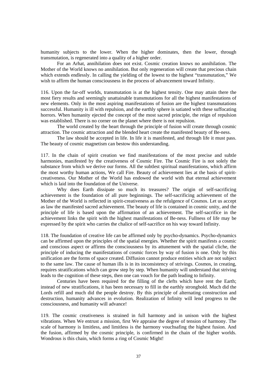humanity subjects to the lower. When the higher dominates, then the lower, through transmutation, is regenerated into a quality of a higher order.

 For an Arhat, annihilation does not exist. Cosmic creation knows no annihilation. The Mother of the World knows no annihilation. But only regeneration will create that precious chain which extends endlessly. In calling the yielding of the lowest to the highest "transmutation," We wish to affirm the human consciousness in the process of advancement toward Infinity.

116. Upon the far-off worlds, transmutation is at the highest tensity. One may attain there the most fiery results and seemingly unattainable transmutations for all the highest manifestations of new elements. Only in the most aspiring manifestations of fusion are the highest transmutations successful. Humanity is ill with repulsion, and the earthly sphere is satiated with these suffocating horrors. When humanity ejected the concept of the most sacred principle, the reign of repulsion was established. There is no corner on the planet where there is not repulsion.

 The world created by the heart through the principle of fusion will create through cosmic attraction. The cosmic attraction and the blended heart create the manifested beauty of Be-ness.

 The law should be accepted in life. In life it is manifested, and through life it must pass. The beauty of cosmic magnetism can bestow this understanding.

117. In the chain of spirit creation we find manifestations of the most precise and subtle harmonies, manifested by the creativeness of Cosmic Fire. The Cosmic Fire is not solely the substance from which we derive our forms. All the subtlest spiritual manifestations, which affirm the most worthy human actions, We call Fire. Beauty of achievement lies at the basis of spiritcreativeness. Our Mother of the World has endowed the world with that eternal achievement which is laid into the foundation of the Universe.

 Why does Earth dissipate so much its treasures? The origin of self-sacrificing achievement is the foundation of all pure beginnings. The self-sacrificing achievement of the Mother of the World is reflected in spirit-creativeness as the refulgence of Cosmos. Let us accept as law the manifested sacred achievement. The beauty of life is contained in cosmic unity, and the principle of life is based upon the affirmation of an achievement. The self-sacrifice in the achievement links the spirit with the highest manifestations of Be-ness. Fullness of life may be expressed by the spirit who carries the chalice of self-sacrifice on his way toward Infinity.

118. The foundation of creative life can be affirmed only by psycho-dynamics. Psycho-dynamics can be affirmed upon the principles of the spatial energies. Whether the spirit manifests a cosmic and conscious aspect or affirms the consciousness by its attunement with the spatial cliche, the principle of inducing the manifestations of cosmic forces by way of fusion is one. Only by this unification are the forms of space created. Diffusion cannot produce entities which are not subject to the same law. The cause of human ills is in its inconsistency of strivings. Cosmos, in creating, requires stratifications which can grow step by step. When humanity will understand that striving leads to the cognition of these steps, then one can vouch for the path leading to Infinity.

 Centuries have been required for the filling of the clefts which have rent the Earth; instead of new stratifications, it has been necessary to fill in the earthly stronghold. Much did the Lords refill and much did the people destroy. By this principle of alternating construction and destruction, humanity advances in evolution. Realization of Infinity will lend progress to the consciousness, and humanity will advance!

119. The cosmic creativeness is strained in full harmony and in unison with the highest vibrations. When We entrust a mission, first We appraise the degree of tension of harmony. The scale of harmony is limitless, and limitless is the harmony vouchsafing the highest fusion. And the fusion, affirmed by the cosmic principle, is confirmed in the chain of the higher worlds. Wondrous is this chain, which forms a ring of Cosmic Might!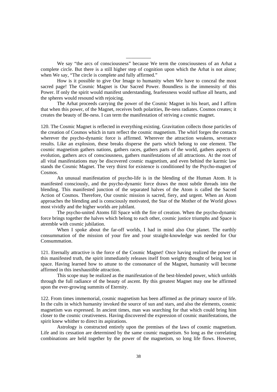We say "the arcs of consciousness" because We term the consciousness of an Arhat a complete circle. But there is a still higher step of cognition upon which the Arhat is not alone; when We say, "The circle is complete and fully affirmed."

—————

 How is it possible to give Our Image to humanity when We have to conceal the most sacred page! The Cosmic Magnet is Our Sacred Power. Boundless is the immensity of this Power. If only the spirit would manifest understanding, fearlessness would suffuse all hearts, and the spheres would resound with rejoicing.

 The Arhat proceeds carrying the power of the Cosmic Magnet in his heart, and I affirm that when this power, of the Magnet, receives both polarities, Be-ness radiates. Cosmos creates; it creates the beauty of Be-ness. I can term the manifestation of striving a cosmic magnet.

120. The Cosmic Magnet is reflected in everything existing. Gravitation collects those particles of the creation of Cosmos which in turn reflect the cosmic magnetism. The whirl forges the contacts wherever the psycho-dynamic force is affirmed. Wherever the attraction weakens, severance results. Like an explosion, these breaks disperse the parts which belong to one element. The cosmic magnetism gathers nations, gathers races, gathers parts of the world, gathers aspects of evolution, gathers arcs of consciousness, gathers manifestations of all attractions. At the root of all vital manifestations may be discovered cosmic magnetism, and even behind the karmic law stands the Cosmic Magnet. The very thirst for existence is conditioned by the Psycho-magnet of Cosmos.

 An unusual manifestation of psycho-life is in the blending of the Human Atom. It is manifested consciously, and the psycho-dynamic force draws the most subtle threads into the blending. This manifested junction of the separated halves of the Atom is called the Sacred Action of Cosmos. Therefore, Our cosmic mission is sacred, fiery, and urgent. When an Atom approaches the blending and is consciously motivated, the Star of the Mother of the World glows most vividly and the higher worlds are jubilant.

 The psycho-united Atoms fill Space with the fire of creation. When the psycho-dynamic force brings together the halves which belong to each other, cosmic justice triumphs and Space is atremble with cosmic jubilation.

When I spoke about the far-off worlds, I had in mind also Our planet. The earthly consummation of the mission of your fire and your straight-knowledge was needed for Our Consummation.

121. Eternally attractive is the force of the Cosmic Magnet! Once having realized the power of this manifested truth, the spirit immediately releases itself from weighty thought of being lost in space. Having learned how to attune to the consonance of the Magnet, humanity will become affirmed in this inexhaustible attraction.

 This scope may be realized as the manifestation of the best-blended power, which unfolds through the full radiance of the beauty of ascent. By this greatest Magnet may one be affirmed upon the ever-growing summits of Eternity.

122. From times immemorial, cosmic magnetism has been affirmed as the primary source of life. In the cults in which humanity invoked the source of sun and stars, and also the elements, cosmic magnetism was expressed. In ancient times, man was searching for that which could bring him closer to the cosmic creativeness. Having discovered the expression of cosmic manifestations, the spirit knew whither to direct its aspirations.

 Astrology is constructed entirely upon the premises of the laws of cosmic magnetism. Life and its cessation are determined by the same cosmic magnetism. So long as the correlating combinations are held together by the power of the magnetism, so long life flows. However,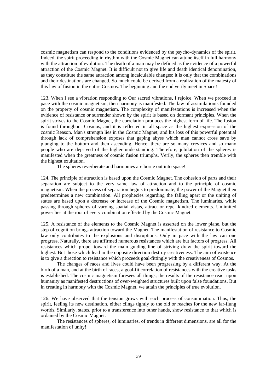cosmic magnetism can respond to the conditions evidenced by the psycho-dynamics of the spirit. Indeed, the spirit proceeding in rhythm with the Cosmic Magnet can attune itself in full harmony with the attraction of evolution. The death of a man may be defined as the evidence of a powerful attraction of the Cosmic Magnet. It is difficult not to give life and death identical denomination, as they constitute the same attraction among incalculable changes; it is only that the combinations and their destinations are changed. So much could be derived from a realization of the majesty of this law of fusion in the entire Cosmos. The beginning and the end verily meet in Space!

123. When I see a vibration responding to Our sacred vibrations, I rejoice. When we proceed in pace with the cosmic magnetism, then harmony is manifested. The law of assimilationis founded on the property of cosmic magnetism. The complexity of manifestations is increased when the evidence of resistance or surrender shown by the spirit is based on dormant principles. When the spirit strives to the Cosmic Magnet, the correlation produces the highest form of life. The fusion is found throughout Cosmos, and it is reflected in all space as the highest expression of the cosmic Reason. Man's strength lies in the Cosmic Magnet, and his loss of this powerful potential through lack of comprehension exposes that gaping abyss which man cannot cross save by plunging to the bottom and then ascending. Hence, there are so many crevices and so many people who are deprived of the higher understanding. Therefore, jubilation of the spheres is manifested when the greatness of cosmic fusion triumphs. Verily, the spheres then tremble with the highest exultation.

The spheres reverberate and harmonies are borne out into space!

124. The principle of attraction is based upon the Cosmic Magnet. The cohesion of parts and their separation are subject to the very same law of attraction and to the principle of cosmic magnetism. When the process of separation begins to predominate, the power of the Magnet then predetermines a new combination. All prophecies regarding the falling apart or the uniting of states are based upon a decrease or increase of the Cosmic magnetism. The luminaries, while passing through spheres of varying spatial vistas, attract or repel kindred elements. Unlimited power lies at the root of every combination effected by the Cosmic Magnet.

125. A resistance of the elements to the Cosmic Magnet is asserted on the lower plane, but the step of cognition brings attraction toward the Magnet. The manifestation of resistance to Cosmic law only contributes to the explosions and disruptions. Only in pace with the law can one progress. Naturally, there are affirmed numerous resistances which are but factors of progress. All resistances which propel toward the main guiding line of striving draw the spirit toward the highest. But those which lead in the opposite direction destroy creativeness. The aim of existence is to give a direction to resistance which proceeds goal-fittingly with the creativeness of Cosmos.

 The changes of races and lives could have been progressing by a different way. At the birth of a man, and at the birth of races, a goal-fit correlation of resistances with the creative tasks is established. The cosmic magnetism foresees all things; the results of the resistance react upon humanity as manifested destructions of over-weighted structures built upon false foundations. But in creating in harmony with the Cosmic Magnet, we attain the principles of true evolution.

126. We have observed that the tension grows with each process of consummation. Thus, the spirit, feeling its new destination, either clings tightly to the old or reaches for the new far-flung worlds. Similarly, states, prior to a transference into other hands, show resistance to that which is ordained by the Cosmic Magnet.

 The resistances of spheres, of luminaries, of trends in different dimensions, are all for the manifestation of unity!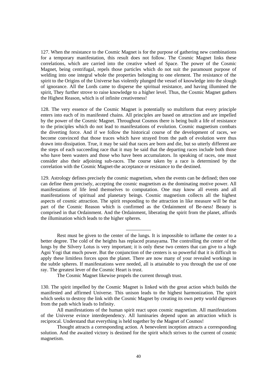127. When the resistance to the Cosmic Magnet is for the purpose of gathering new combinations for a temporary manifestation, this result does not follow. The Cosmic Magnet links these correlations, which are carried into the creative wheel of Space. The power of the Cosmic Magnet, being centrifugal, repels those particles which do not suit the paramount purpose of welding into one integral whole the properties belonging to one element. The resistance of the spirit to the Origins of the Universe has violently plunged the vessel of knowledge into the slough of ignorance. All the Lords came to disperse the spiritual resistance, and having illumined the spirit, They further strove to raise knowledge to a higher level. Thus, the Cosmic Magnet gathers the Highest Reason, which is of infinite creativeness!

128. The very essence of the Cosmic Magnet is potentially so multiform that every principle enters into each of its manifested chains. All principles are based on attraction and are impelled by the power of the Cosmic Magnet. Throughout Cosmos there is being built a life of resistance to the principles which do not lead to manifestations of evolution. Cosmic magnetism combats the diverting force. And if we follow the historical course of the development of races, we become convinced that those traces which have strayed from the path of evolution were thus drawn into dissipation. True, it may be said that races are born and die, but so utterly different are the steps of each succeeding race that it may be said that the departing races include both those who have been wasters and those who have been accumulators. In speaking of races, one must consider also their adjoining sub-races. The course taken by a race is determined by the correlation with the Cosmic Magnet-the acceptance or resistance to the destined.

129. Astrology defines precisely the cosmic magnetism, when the events can be defined; then one can define them precisely, accepting the cosmic magnetism as the dominating motive power. All manifestations of life lend themselves to computation. One may know all events and all manifestations of spiritual and planetary beings. Cosmic magnetism collects all the highest aspects of cosmic attraction. The spirit responding to the attraction in like measure will be that part of the Cosmic Reason which is confirmed as the Ordainment of Be-ness! Beauty is comprised in that Ordainment. And the Ordainment, liberating the spirit from the planet, affords the illumination which leads to the higher spheres.

 Rest must be given to the center of the lungs. It is impossible to inflame the center to a better degree. The cold of the heights has replaced pranayama. The controlling the center of the lungs by the Silvery Lotus is very important; it is only these two centers that can give to a high Agni Yogi that much power. But the conjunction of the centers is so powerful that it is difficult to apply these limitless forces upon the planet. There are now many of your revealed workings in the subtle spheres. If manifestations were needed, all is attainable to you through the use of one ray. The greatest lever of the Cosmic Heart is trust.

—————

The Cosmic Magnet likewise propels the current through trust.

130. The spirit impelled by the Cosmic Magnet is linked with the great action which builds the manifested and affirmed Universe. This unison leads to the highest harmonization. The spirit which seeks to destroy the link with the Cosmic Magnet by creating its own petty world digresses from the path which leads to Infinity.

 All manifestations of the human spirit react upon cosmic magnetism. All manifestations of the Universe evince interdependency. All luminaries depend upon an attraction which is reciprocal. Understand that everything is held together by the Magnet of Cosmos!

 Thought attracts a corresponding action. A benevolent inception attracts a corresponding solution. And the awaited victory is destined for the spirit which strives to the current of cosmic magnetism.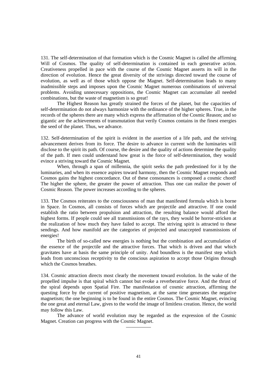131. The self-determination of that formation which is the Cosmic Magnet is called the affirming Will of Cosmos. The quality of self-determination is contained in each generative action. Creativeness propelled in pace with the course of the Cosmic Magnet asserts its will in the direction of evolution. Hence the great diversity of the strivings directed toward the course of evolution, as well as of those which oppose the Magnet. Self-determination leads to many inadmissible steps and imposes upon the Cosmic Magnet numerous combinations of universal problems. Avoiding unnecessary oppositions, the Cosmic Magnet can accumulate all needed combinations, but the waste of magnetism is so great!

 The Highest Reason has greatly strained the forces of the planet, but the capacities of self-determination do not always harmonize with the ordinance of the higher spheres. True, in the records of the spheres there are many which express the affirmation of the Cosmic Reason; and so gigantic are the achievements of transmutation that verily Cosmos contains in the finest energies the seed of the planet. Thus, we advance.

132. Self-determination of the spirit is evident in the assertion of a life path, and the striving advancement derives from its force. The desire to advance in current with the luminaries will disclose to the spirit its path. Of course, the desire and the quality of actions determine the quality of the path. If men could understand how great is the force of self-determination, they would evince a striving toward the Cosmic Magnet.

 When, through a span of millennia, the spirit seeks the path predestined for it by the luminaries, and when its essence aspires toward harmony, then the Cosmic Magnet responds and Cosmos gains the highest concordance. Out of these consonances is composed a cosmic chord! The higher the sphere, the greater the power of attraction. Thus one can realize the power of Cosmic Reason. The power increases according to the spheres.

133. The Cosmos reiterates to the consciousness of man that manifested formula which is borne in Space. In Cosmos, all consists of forces which are projectile and attractive. If one could establish the ratio between propulsion and attraction, the resulting balance would afford the highest forms. If people could see all transmissions of the rays, they would be horror-stricken at the realization of how much they have failed to accept. The striving spirit is attracted to these sendings. And how manifold are the categories of projected and unaccepted transmissions of energies!

 The birth of so-called new energies is nothing but the combination and accumulation of the essence of the projectile and the attractive forces. That which is driven and that which gravitates have at basis the same principle of unity. And boundless is the manifest step which leads from unconscious receptivity to the conscious aspiration to accept those Origins through which the Cosmos breathes.

134. Cosmic attraction directs most clearly the movement toward evolution. In the wake of the propelled impulse is that spiral which cannot but evoke a reverberative force. And the thrust of the spiral depends upon Spatial Fire. The manifestation of cosmic attraction, affirming the questing force by the current of positive magnetism, at the same time generates the negative magnetism; the one beginning is to be found in the entire Cosmos. The Cosmic Magnet, evincing the one great and eternal Law, gives to the world the image of limitless creation. Hence, the world may follow this Law.

 The advance of world evolution may be regarded as the expression of the Cosmic Magnet. Creation can progress with the Cosmic Magnet. —————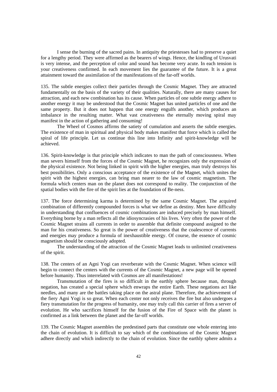I sense the burning of the sacred pains. In antiquity the priestesses had to preserve a quiet for a lengthy period. They were affirmed as the bearers of wings. Hence, the kindling of Urusvati is very intense, and the perception of color and sound has become very acute. In each tension is your creativeness confirmed. In each movement lies the guarantee of the future. It is a great attainment toward the assimilation of the manifestations of the far-off worlds.

135. The subtle energies collect their particles through the Cosmic Magnet. They are attracted fundamentally on the basis of the variety of their qualities. Naturally, there are many causes for attraction, and each new combination has its cause. When particles of one subtle energy adhere to another energy it may be understood that the Cosmic Magnet has united particles of one and the same property. But it does not happen that one energy engulfs another, which produces an imbalance in the resulting matter. What vast creativeness the eternally moving spiral may manifest in the action of gathering and consuming!

 The Wheel of Cosmos affirms the satiety of cumulation and asserts the subtle energies. The existence of man in spiritual and physical body makes manifest that force which is called the spiral of life principle. Let us continue this line into Infinity and spirit-knowledge will be achieved.

136. Spirit-knowledge is that principle which indicates to man the path of consciousness. When man severs himself from the forces of the Cosmic Magnet, he recognizes only the expression of the physical existence. Not being linked in spirit with the higher energies, man truly destroys his best possibilities. Only a conscious acceptance of the existence of the Magnet, which unites the spirit with the highest energies, can bring man nearer to the law of cosmic magnetism. The formula which centers man on the planet does not correspond to reality. The conjunction of the spatial bodies with the fire of the spirit lies at the foundation of Be-ness.

137. The force determining karma is determined by the same Cosmic Magnet. The acquired combination of differently compounded forces is what we define as destiny. Men have difficulty in understanding that confluences of cosmic combinations are induced precisely by man himself. Everything borne by a man reflects all the idiosyncrasies of his lives. Very often the power of the Cosmic Magnet strains all currents in order to assemble that definite compound assigned to the man for his creativeness. So great is the power of creativeness that the coalescence of currents and energies may produce a formula of inexhaustible energy. Of course, the essence of cosmic magnetism should be consciously adopted.

 The understanding of the attraction of the Cosmic Magnet leads to unlimited creativeness of the spirit.

138. The centers of an Agni Yogi can reverberate with the Cosmic Magnet. When science will begin to connect the centers with the currents of the Cosmic Magnet, a new page will be opened before humanity. Thus interrelated with Cosmos are all manifestations!

 Transmutation of the fires is so difficult in the earthly sphere because man, through negation, has created a special sphere which enwraps the entire Earth. These negations act like needles, and many are the battles taking place on the astral plane. Therefore, the achievement of the fiery Agni Yogi is so great. When each center not only receives the fire but also undergoes a fiery transmutation for the progress of humanity, one may truly call this carrier of fires a server of evolution. He who sacrifices himself for the fusion of the Fire of Space with the planet is confirmed as a link between the planet and the far-off worlds.

139. The Cosmic Magnet assembles the predestined parts that constitute one whole entering into the chain of evolution. It is difficult to say which of the combinations of the Cosmic Magnet adhere directly and which indirectly to the chain of evolution. Since the earthly sphere admits a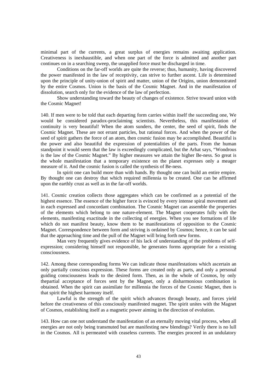minimal part of the currents, a great surplus of energies remains awaiting application. Creativeness is inexhaustible, and when one part of the force is admitted and another part continues on in a searching sweep, the unapplied force must be discharged in time.

 Conditions on the far-off worlds are quite the reverse; thus, humanity, having discovered the power manifested in the law of receptivity, can strive to further ascent. Life is determined upon the principle of unity-union of spirit and matter, union of the Origins, union demonstrated by the entire Cosmos. Union is the basis of the Cosmic Magnet. And in the manifestation of dissolution, search only for the evidence of the law of perfection.

 Show understanding toward the beauty of changes of existence. Strive toward union with the Cosmic Magnet!

140. If men were to be told that each departing form carries within itself the succeeding one, We would be considered paradox-proclaiming scientists. Nevertheless, this manifestation of continuity is very beautiful! When the atom sunders, the center, the seed of spirit, finds the Cosmic Magnet. These are not errant particles, but rational forces. And when the power of the seed of spirit gathers the force of an atom, then cosmic fusion may be accomplished. Beautiful is the power and also beautiful the expression of potentialities of the parts. From the human standpoint it would seem that the law is exceedingly complicated, but the Arhat says, "Wondrous is the law of the Cosmic Magnet." By higher measures we attain the higher Be-ness. So great is the whole manifestation that a temporary existence on the planet expresses only a meager measure of it. And the cosmic fusion is called the synthesis of Be-ness.

 In spirit one can build more than with hands. By thought one can build an entire empire. By thought one can destroy that which required millennia to be created. One can be affirmed upon the earthly crust as well as in the far-off worlds.

141. Cosmic creation collects those aggregates which can be confirmed as a potential of the highest essence. The essence of the higher force is evinced by every intense spiral movement and in each expressed and concordant combination. The Cosmic Magnet can assemble the properties of the elements which belong to one nature-element. The Magnet cooperates fully with the elements, manifesting exactitude in the collecting of energies. When you see formations of life which do not manifest beauty, know them to be manifestations of opposition to the Cosmic Magnet. Correspondence between form and striving is ordained by Cosmos; hence, it can be said that the approaching time and the pull of the Magnet will bring forth new forms.

 Man very frequently gives evidence of his lack of understanding of the problems of selfexpression; considering himself not responsible, he generates forms appropriate for a resisting consciousness.

142. Among these corresponding forms We can indicate those manifestations which ascertain an only partially conscious expression. These forms are created only as parts, and only a personal guiding consciousness leads to the desired form. Then, as in the whole of Cosmos, by only thepartial acceptance of forces sent by the Magnet, only a disharmonious combination is obtained. When the spirit can assimilate for millennia the forces of the Cosmic Magnet, then is that spirit the highest harmony itself.

 Lawful is the strength of the spirit which advances through beauty, and forces yield before the creativeness of this consciously manifested magnet. The spirit unites with the Magnet of Cosmos, establishing itself as a magnetic power aiming in the direction of evolution.

143. How can one not understand the manifestation of an eternally moving vital process, when all energies are not only being transmuted but are manifesting new blendings? Verily there is no lull in the Cosmos. All is permeated with ceaseless currents. The energies proceed in an undulatory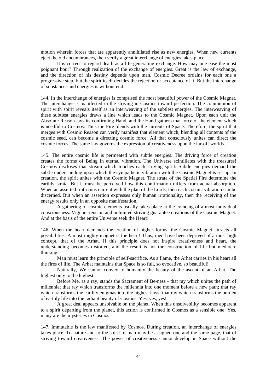motion wherein forces that are apparently annihilated rise as new energies. When new currents eject the old encumbrances, then verily a great interchange of energies takes place.

 It is correct to regard death as a life-generating exchange. How may one ease the most poignant hour? Through realization of the exchange of energies. Great is the law of exchange, and the direction of his destiny depends upon man. Cosmic Decree ordains for each one a progressive step, but the spirit itself decides the rejection or acceptance of it. But the interchange of substances and energies is without end.

144. In the interchange of energies is comprised the most beautiful power of the Cosmic Magnet. The interchange is manifested in the striving in Cosmos toward perfection. The communion of spirit with spirit reveals itself as an interweaving of the subtlest energies. The interweaving of these subtlest energies draws a line which leads to the Cosmic Magnet. Upon each unit the Absolute Reason lays its confirming Hand, and the Hand gathers that force of the element which is needful to Cosmos. Thus the Fire blends with the currents of Space. Therefore, the spirit that merges with Cosmic Reason can verily manifest that element which, blending all contents of the cosmic seed, can become a directing cosmic force. All that consciously unites can direct the cosmic forces. The same law governs the expression of creativeness upon the far-off worlds.

145. The entire cosmic life is permeated with subtle energies. The driving force of creation creates the forms of Being in eternal vibration. The Universe scintillates with the treasures! Cosmos discloses that stream which touches each striving spirit. Subtle energies demand the subtle understanding upon which the sympathetic vibration with the Cosmic Magnet is set up. In creation, the spirit unites with the Cosmic Magnet. The strata of the Spatial Fire determine the earthly strata. But it must be perceived how this confirmation differs from actual absorption. When an asserted truth runs current with the plan of the Lords, then each cosmic vibration can be discerned. But when an assertion expresses only human irrationality, then the receiving of the energy results only in an opposite manifestation.

 A gathering of cosmic elements usually takes place at the evincing of a most individual consciousness. Vigilant tension and unlimited striving guarantee creations of the Cosmic Magnet. And at the basis of the entire Universe seek the Heart!

146. When the heart demands the creation of higher forms, the Cosmic Magnet attracts all possibilities. A most mighty magnet is the heart! Thus, men have been deprived of a most high concept, that of the Arhat. If this principle does not inspire creativeness and heart, the understanding becomes distorted, and the result is not the construction of life but mediocre thinking.

 Man must learn the principle of self-sacrifice. As a flame, the Arhat carries in his heart all the fires of life. The Arhat maintains that Space is so full, so evocative, so beautiful!

 Naturally, We cannot convey to humanity the beauty of the ascent of an Arhat. The highest only to the highest.

 Before Me, as a ray, stands the Sacrament of Be-ness - that ray which unites the path of millennia; that ray which transforms the millennia into one moment before a new path; that ray which transforms the earthly enigmas into the highest laws; that ray which transforms the burden of earthly life into the radiant beauty of Cosmos. Yes, yes, yes!

 A great deal appears unsolvable on the planet. When this unsolvability becomes apparent to a spirit departing from the planet, this action is confirmed in Cosmos as a sensible one. Yes, many are the mysteries in Cosmos!

147. Immutable is the law manifested by Cosmos. During creation, an interchange of energies takes place. To nature and to the spirit of man may be assigned one and the same page, that of striving toward creativeness. The power of creativeness cannot develop in Space without the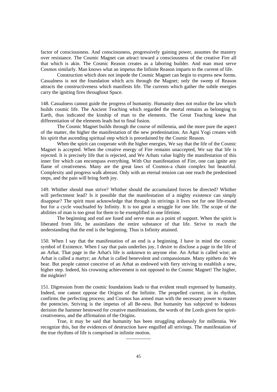factor of consciousness. And consciousness, progressively gaining power, assumes the mastery over resistance. The Cosmic Magnet can attract toward a consciousness of the creative Fire all that which is akin. The Cosmic Reason creates as a laboring builder. And man must serve Cosmos similarly. Man knows what an impetus the Infinite Reason imparts to the current of life.

 Construction which does not impede the Cosmic Magnet can begin to express new forms. Casualness is not the foundation which acts through the Magnet; only the sweep of Reason attracts the constructiveness which manifests life. The currents which gather the subtle energies carry the igniting fires throughout Space.

148. Casualness cannot guide the progress of humanity. Humanity does not realize the law which builds cosmic life. The Ancient Teaching which regarded the mortal remains as belonging to Earth, thus indicated the kinship of man to the elements. The Great Teaching knew that differentiation of the elements leads but to final fusion.

 The Cosmic Magnet builds through the course of millennia, and the more pure the aspect of the matter, the higher the manifestation of the new predestination. An Agni Yogi creates with his spirit that ascending spiritual step which is preordained by the Cosmic Reason.

 When the spirit can cooperate with the higher energies, We say that the life of the Cosmic Magnet is accepted. When the creative energy of Fire remains unaccepted, We say that life is rejected. It is precisely life that is rejected, and We Arhats value highly the manifestation of this inner fire which can encompass everything. With Our manifestation of Fire, one can ignite any flame of creativeness. Many are the great laws of Cosmos-a chain complex but beautiful. Complexity and progress walk abreast. Only with an eternal tension can one reach the predestined steps, and the pain will bring forth joy.

149. Whither should man strive? Whither should the accumulated forces be directed? Whither will perfectment lead? Is it possible that the manifestation of a mighty existence can simply disappear? The spirit must acknowledge that through its strivings it lives not for one life-round but for a cycle vouchsafed by Infinity. It is too great a struggle for one life. The scope of the abilities of man is too great for them to be exemplified in one lifetime.

 The beginning and end are fused and serve man as a point of support. When the spirit is liberated from life, he assimilates the entire substance of that life. Strive to reach the understanding that the end is the beginning. Thus is Infinity attained.

150. When I say that the manifestation of an end is a beginning, I have in mind the cosmic symbol of Existence. When I say that pain underlies joy, I desire to disclose a page in the life of an Arhat. That page in the Arhat's life is unknown to anyone else. An Arhat is called wise; an Arhat is called a martyr; an Arhat is called benevolent and compassionate. Many epithets do We bear. But people cannot conceive of an Arhat as endowed with fiery striving to establish a new, higher step. Indeed, his crowning achievement is not opposed to the Cosmic Magnet! The higher, the mightier!

151. Digression from the cosmic foundations leads to that evident result expressed by humanity. Indeed, one cannot oppose the Origins of the Infinite. The propelled current, in its rhythm, confirms the perfecting process; and Cosmos has armed man with the necessary power to master the potencies. Striving is the impetus of all Be-ness. But humanity has subjected to hideous derision the hammer bestowed for creative manifestations, the words of the Lords given for spiritcreativeness, and the affirmation of the Origins.

 True, it may be said that humanity has been struggling arduously for millennia. We recognize this, but the evidences of destruction have engulfed all strivings. The manifestation of the true rhythms of life is comprised in infinite motion.

—————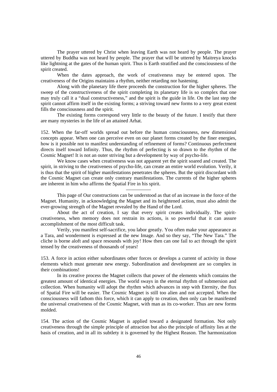The prayer uttered by Christ when leaving Earth was not heard by people. The prayer uttered by Buddha was not heard by people. The prayer that will be uttered by Maitreya knocks like lightning at the gates of the human spirit. Thus is Earth stratified and the consciousness of the spirit created.

 When the dates approach, the work of creativeness may be entered upon. The creativeness of the Origins maintains a rhythm, neither retarding nor hastening.

 Along with the planetary life there proceeds the construction for the higher spheres. The sweep of the constructiveness of the spirit completing its planetary life is so complex that one may truly call it a "dual constructiveness," and the spirit is the guide in life. On the last step the spirit cannot affirm itself in the existing forms; a striving toward new forms to a very great extent fills the consciousness and the spirit.

 The existing forms correspond very little to the beauty of the future. I testify that there are many mysteries in the life of an attained Arhat.

152. When the far-off worlds spread out before the human consciousness, new dimensional concepts appear. When one can perceive even on our planet forms created by the finer energies, how is it possible not to manifest understanding of refinement of forms? Continuous perfectment directs itself toward Infinity. Thus, the rhythm of perfecting is so drawn to the rhythm of the Cosmic Magnet! It is not an outer striving but a development by way of psycho-life.

 We know cases when creativeness was not apparent yet the spirit soared and created. The spirit, in striving to the creativeness of psycho-life, can create an entire world evolution. Verily, it is thus that the spirit of higher manifestations penetrates the spheres. But the spirit discordant with the Cosmic Magnet can create only contrary manifestations. The currents of the higher spheres are inherent in him who affirms the Spatial Fire in his spirit.

 This page of Our constructions can be understood as that of an increase in the force of the Magnet. Humanity, in acknowledging the Magnet and its heightened action, must also admit the ever-growing strength of the Magnet revealed by the Hand of the Lord.

—————

 About the act of creation, I say that every spirit creates individually. The spiritcreativeness, when memory does not restrain its actions, is so powerful that it can assure accomplishment of the most difficult task.

 Verily, you manifest self-sacrifice, you labor greatly. You often make your appearance as a Tara, and wonderment is expressed at the new Image. And so they say, "The New Tara." The cliche is borne aloft and space resounds with joy! How then can one fail to act through the spirit tensed by the creativeness of thousands of years!

153. A force in action either subordinates other forces or develops a current of activity in those elements which must generate new energy. Subordination and development are so complex in their combinations!

 In its creative process the Magnet collects that power of the elements which contains the greatest amount of identical energies. The world sways in the eternal rhythm of submersion and collection. When humanity will adopt the rhythm which advances in step with Eternity, the flux of Spatial Fire will be easier. The Cosmic Magnet is still too alien and not accepted. When the consciousness will fathom this force, which it can apply to creation, then only can be manifested the universal creativeness of the Cosmic Magnet, with man as its co-worker. Thus are new forms molded.

154. The action of the Cosmic Magnet is applied toward a designated formation. Not only creativeness through the simple principle of attraction but also the principle of affinity lies at the basis of creation, and in all its subtlety it is governed by the Highest Reason. The harmonization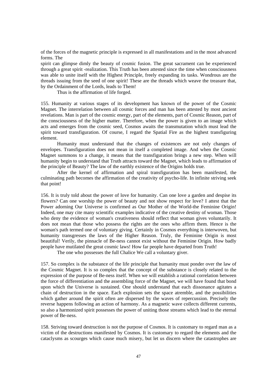of the forces of the magnetic principle is expressed in all manifestations and in the most advanced forms. The

spirit can glimpse dimly the beauty of cosmic fusion. The great sacrament can be experienced through a great spirit -realization. This Truth has been attested since the time when consciousness was able to unite itself with the Highest Principle, freely expanding its tasks. Wondrous are the threads issuing from the seed of one spirit! These are the threads which weave the treasure that, by the Ordainment of the Lords, leads to Them!

Thus is the affirmation of life forged.

155. Humanity at various stages of its development has known of the power of the Cosmic Magnet. The interrelation between all cosmic forces and man has been attested by most ancient revelations. Man is part of the cosmic energy, part of the elements, part of Cosmic Reason, part of the consciousness of the higher matter. Therefore, when the power is given to an image which acts and emerges from the cosmic seed, Cosmos awaits the transmutation which must lead the spirit toward transfiguration. Of course, I regard the Spatial Fire as the highest transfiguring element.

 Humanity must understand that the changes of existences are not only changes of envelopes. Transfiguration does not mean in itself a completed image. And when the Cosmic Magnet summons to a change, it means that the transfiguration brings a new step. When will humanity begin to understand that Truth attracts toward the Magnet, which leads to affirmation of the principle of Beauty? The law of the earthly existence of the Origins holds true.

 After the kernel of affirmation and spiral transfiguration has been manifested, the culminating path becomes the affirmation of the creativity of psycho-life. In infinite striving seek that point!

156. It is truly told about the power of love for humanity. Can one love a garden and despise its flowers? Can one worship the power of beauty and not show respect for love? I attest that the Power adorning Our Universe is confirmed as Our Mother of the World-the Feminine Origin! Indeed, one may cite many scientific examples indicative of the creative destiny of woman. Those who deny the evidence of woman's creativeness should reflect that woman gives voluntarily. It does not mean that those who possess the rights are the ones who affirm them. Hence is the woman's path termed one of voluntary giving. Certainly in Cosmos everything is interwoven, but humanity transgresses the laws of the Higher Reason. Truly, the Feminine Origin is most beautiful! Verily, the pinnacle of Be-ness cannot exist without the Feminine Origin. How badly people have mutilated the great cosmic laws! How far people have departed from Truth!

The one who possesses the full Chalice We call a voluntary giver.

157. So complex is the substance of the life principle that humanity must ponder over the law of the Cosmic Magnet. It is so complex that the concept of the substance is closely related to the expression of the purpose of Be-ness itself. When we will establish a rational correlation between the force of differentiation and the assembling force of the Magnet, we will have found that bond upon which the Universe is sustained. One should understand that each dissonance agitates a chain of destruction in the space. Each explosion sets the space atremble, and the possibilities which gather around the spirit often are dispersed by the waves of repercussion. Precisely the reverse happens following an action of harmony. As a magnetic wave collects different currents, so also a harmonized spirit possesses the power of uniting those streams which lead to the eternal power of Be-ness.

158. Striving toward destruction is not the purpose of Cosmos. It is customary to regard man as a victim of the destructions manifested by Cosmos. It is customary to regard the elements and the cataclysms as scourges which cause much misery, but let us discern where the catastrophes are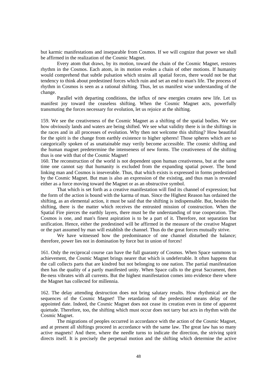but karmic manifestations and inseparable from Cosmos. If we will cognize that power we shall be affirmed in the realization of the Cosmic Magnet.

 Every atom that draws, by its motion, toward the chain of the Cosmic Magnet, restores rhythm in the Cosmos. Each atom, in its motion evokes a chain of other motions. If humanity would comprehend that subtle pulsation which strains all spatial forces, there would not be that tendency to think about predestined forces which ruin and set an end to man's life. The process of rhythm in Cosmos is seen as a rational shifting. Thus, let us manifest wise understanding of the change.

 Parallel with departing conditions, the influx of new energies creates new life. Let us manifest joy toward the ceaseless shifting. When the Cosmic Magnet acts, powerfully transmuting the forces necessary for evolution, let us rejoice at the shifting.

159. We see the creativeness of the Cosmic Magnet as a shifting of the spatial bodies. We see how obviously lands and waters are being shifted. We see what validity there is in the shiftings in the races and in all processes of evolution. Why then not welcome this shifting? How beautiful for the spirit is the change from earthly existence to higher spheres! Those spheres which are so categorically spoken of as unattainable may verily become accessible. The cosmic shifting and the human magnet predetermine the intenseness of new forms. The creativeness of the shifting thus is one with that of the Cosmic Magnet!

160. The reconstruction of the world is not dependent upon human creativeness, but at the same time one cannot say that humanity is excluded from the expanding spatial power. The bond linking man and Cosmos is inseverable. Thus, that which exists is expressed in forms predestined by the Cosmic Magnet. But man is also an expression of the existing, and thus man is revealed either as a force moving toward the Magnet or as an obstructive symbol.

 That which is set forth as a creative manifestation will find its channel of expression; but the form of the action is bound with the karma of man. Since the Highest Reason has ordained the shifting, as an elemental action, it must be said that the shifting is indispensable. But, besides the shifting, there is the matter which receives the entrusted mission of construction. When the Spatial Fire pierces the earthly layers, there must be the understanding of true cooperation. The Cosmos is one, and man's finest aspiration is to be a part of it. Therefore, not separation but unification. Hence, either the predestined will be affirmed in the measure of the creative Magnet or the part assumed by man will establish the channel. Thus do the great forces mutually strive.

 We have witnessed how the predominance of one channel disturbed the balance; therefore, power lies not in domination by force but in union of forces!

161. Only the reciprocal course can have the full guaranty of Cosmos. When Space summons to achievement, the Cosmic Magnet brings nearer that which is undeferrable. It often happens that the call collects parts that are kindred but not belonging to one nation. The partial manifestation then has the quality of a partly manifested unity. When Space calls to the great Sacrament, then Be-ness vibrates with all currents. But the highest manifestation comes into evidence there where the Magnet has collected for millennia.

162. The delay attending destruction does not bring salutary results. How rhythmical are the sequences of the Cosmic Magnet! The retardation of the predestined means delay of the appointed date. Indeed, the Cosmic Magnet does not cease its creation even in time of apparent quietude. Therefore, too, the shifting which must occur does not tarry but acts in rhythm with the Cosmic Magnet.

 The migrations of peoples occurred in accordance with the action of the Cosmic Magnet, and at present all shiftings proceed in accordance with the same law. The great law has so many active magnets! And there, where the needle turns to indicate the direction, the striving spirit directs itself. It is precisely the perpetual motion and the shifting which determine the active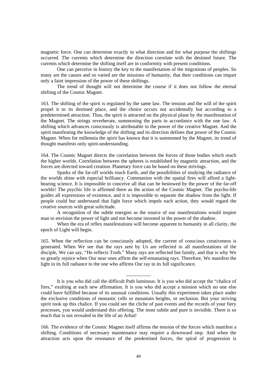magnetic force. One can determine exactly in what direction and for what purpose the shiftings occurred. The currents which determine the direction correlate with the destined future. The currents which determine the shifting itself are in conformity with present conditions.

 One can perceive in history the key to the manifestation of the migrations of peoples. So many are the causes and so varied are the missions of humanity, that their conditions can impart only a faint impression of the power of these shiftings.

 The trend of thought will not determine the course if it does not follow the eternal shifting of the Cosmic Magnet.

163. The shifting of the spirit is regulated by the same law. The tension and the will of the spirit propel it to its destined place, and the choice occurs not accidentally but according to a predetermined attraction. Thus, the spirit is attracted on the physical plane by the manifestation of the Magnet. The strings reverberate, summoning the parts in accordance with the one law. A shifting which advances consciously is attributable to the power of the creative Magnet. And the spirit manifesting the knowledge of the shifting and its direction defines that power of the Cosmic Magnet. When for millennia the spirit has known that it is summoned by the Magnet, its trend of thought manifests only spirit-understanding.

164. The Cosmic Magnet directs the correlation between the forces of those bodies which reach the higher worlds. Correlation between the spheres is established by magnetic attraction, and the forces are directed toward creation. Planetary force can be based on these strivings.

 Sparks of the far-off worlds reach Earth, and the possibilities of studying the radiance of the worlds shine with especial brilliancy. Communion with the spatial fires will afford a lightbearing science. It is impossible to conceive all that can be bestowed by the power of the far-off worlds! The psychic life is affirmed there as the action of the Cosmic Magnet. The psycho-life guides all expressions of existence, and it is impossible to separate the shadow from the light. If people could but understand that light force which impels each action, they would regard the creative sources with great solicitude.

 A recognition of the subtle energies as the source of our manifestations would inspire man to envision the power of light and not become inrooted in the power of the shadow.

 When the era of reflex manifestations will become apparent to humanity in all clarity, the epoch of Light will begin.

165. When the reflection can be consciously adopted, the current of conscious creativeness is generated. When We see that the rays sent by Us are reflected in all manifestations of the disciple, We can say, "He reflects Truth." Many rays are reflected but faintly, and that is why We so greatly rejoice when Our near ones affirm the self-emanating rays. Therefore, We manifest the light in its full radiance to the one who affirms Our ray in its full significance.

—————

 It is you who did call the difficult Path luminous. It is you who did accept the "chalice of fires," exulting at each new affirmation. It is you who did accept a mission which no one else could have fulfilled because of its unusual conditions. Usually this experiment takes place under the exclusive conditions of monastic cells or mountain heights, or seclusion. But your striving spirit took up this chalice. If you could see the cliche of past events and the records of your fiery processes, you would understand this offering. The most subtle and pure is invisible. There is so much that is not revealed in the life of an Arhat!

166. The evidence of the Cosmic Magnet itself affirms the tension of the forces which manifest a shifting. Conditions of necessary maintenance may require a downward step. And when the attraction acts upon the resonance of the predestined forces, the spiral of progression is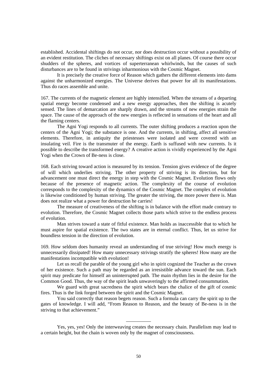established. Accidental shiftings do not occur, nor does destruction occur without a possibility of an evident restitution. The cliches of necessary shiftings exist on all planes. Of course there occur shudders of the spheres, and vortices of superterranean whirlwinds, but the causes of such disturbances are to be found in strivings inharmonious with the Cosmic Magnet.

 It is precisely the creative force of Reason which gathers the different elements into dams against the unharmonized energies. The Universe derives that power for all its manifestations. Thus do races assemble and unite.

167. The currents of the magnetic element are highly intensified. When the streams of a departing spatial energy become condensed and a new energy approaches, then the shifting is acutely sensed. The lines of demarcation are sharply drawn, and the streams of new energies strain the space. The cause of the approach of the new energies is reflected in sensations of the heart and all the flaming centers.

 The Agni Yogi responds to all currents. The outer shifting produces a reaction upon the centers of the Agni Yogi; the substance is one. And the currents, in shifting, affect all sensitive elements. Therefore, in antiquity the priestesses were isolated and were covered with an insulating veil. Fire is the transmuter of the energy. Earth is suffused with new currents. Is it possible to describe the transformed energy? A creative action is vividly experienced by the Agni Yogi when the Crown of Be-ness is close.

168. Each striving toward action is measured by its tension. Tension gives evidence of the degree of will which underlies striving. The other property of striving is its direction, but for advancement one must direct the energy in step with the Cosmic Magnet. Evolution flows only because of the presence of magnetic action. The complexity of the course of evolution corresponds to the complexity of the dynamics of the Cosmic Magnet. The complex of evolution is likewise conditioned by human striving. The greater the striving, the more power there is. Man does not realize what a power for destruction he carries!

 The measure of creativeness of the shifting is in balance with the effort made contrary to evolution. Therefore, the Cosmic Magnet collects those parts which strive to the endless process of evolution.

 Man strives toward a state of fitful existence. Man holds as inaccessible that to which he must aspire for spatial existence. The two states are in eternal conflict. Thus, let us strive for boundless tension in the direction of evolution.

169. How seldom does humanity reveal an understanding of true striving! How much energy is unnecessarily dissipated! How many unnecessary strivings stratify the spheres! How many are the manifestations incompatible with evolution!

 Let us recall the parable of the young girl who in spirit cognized the Teacher as the crown of her existence. Such a path may be regarded as an irresistible advance toward the sun. Each spirit may predicate for himself an uninterrupted path. The main rhythm lies in the desire for the Common Good. Thus, the way of the spirit leads unwaveringly to the affirmed consummation.

 We guard with great sacredness the spirit which bears the chalice of the gift of cosmic fires. Thus is the link forged between the spirit and the Cosmic Magnet.

 You said correctly that reason begets reason. Such a formula can carry the spirit up to the gates of knowledge. I will add, "From Reason to Reason, and the beauty of Be-ness is in the striving to that achievement."

————— Yes, yes, yes! Only the interweaving creates the necessary chain. Parallelism may lead to a certain height, but the chain is woven only by the magnet of consciousness.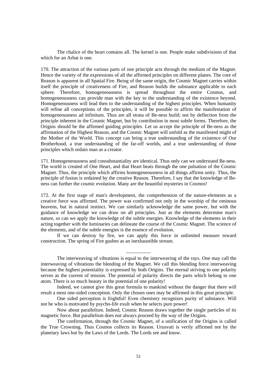The chalice of the heart contains all. The kernel is one. People make subdivisions of that which for an Arhat is one.

170. The attraction of the various parts of one principle acts through the medium of the Magnet. Hence the variety of the expressions of all the affirmed principles on different planes. The core of Reason is apparent in all Spatial Fire. Being of the same origin, the Cosmic Magnet carries within itself the principle of creativeness of Fire, and Reason builds the substance applicable to each sphere. Therefore, homogeneousness is spread throughout the entire Cosmos, and homogeneousness can provide man with the key to the understanding of the existence beyond. Homogeneousness will lead then to the understanding of the highest principles. When humanity will refine all conceptions of the principles, it will be possible to affirm the manifestation of homogeneousness ad infinitum. Thus are all strata of Be-ness build; not by deflection from the principle inherent in the Cosmic Magnet, but by contribution in most subtle forms. Therefore, the Origins should be the affirmed guiding principles. Let us accept the principle of Be-ness as the affirmation of the Highest Reason, and the Cosmic Magnet will unfold as the manifested might of the Mother of the World. This concept can bring a true understanding of the existence of Our Brotherhood, a true understanding of the far-off worlds, and a true understanding of those principles which ordain man as a creator.

171. Homogeneousness and consubstantiality are identical. Thus only can we understand Be-ness. The world is created of One Heart, and that Heart beats through the one pulsation of the Cosmic Magnet. Thus, the principle which affirms homogeneousness in all things affirms unity. Thus, the principle of fusion is ordained by the creative Reason. Therefore, I say that the knowledge of Beness can further the cosmic evolution. Many are the beautiful mysteries in Cosmos!

172. At the first stage of man's development, the comprehension of the nature-elements as a creative force was affirmed. The power was confirmed not only in the worship of the ominous heavens, but in natural instinct. We can similarly acknowledge the same power, but with the guidance of knowledge we can draw on all principles. Just as the elements determine man's nature, so can we apply the knowledge of the subtle energies. Knowledge of the elements in their acting together with the luminaries can delineate the course of the Cosmic Magnet. The science of the elements, and of the subtle energies is the essence of evolution.

 If we can destroy by fire, we can apply this force in unlimited measure toward construction. The spring of Fire gushes as an inexhaustible stream.

—————

 The interweaving of vibrations is equal to the interweaving of the rays. One may call the interweaving of vibrations the blending of the Magnet. We call this blending force interweaving because the highest potentiality is expressed by both Origins. The eternal striving to one polarity serves as the current of tension. The potential of polarity directs the parts which belong to one atom. There is so much beauty in the potential of one polarity!

 Indeed, we cannot give this great formula to mankind without the danger that there will result a most one-sided conception. Only the chosen ones may be affirmed in this great principle.

 One sided perception is frightful! Even chemistry recognizes purity of substance. Will not he who is motivated by psycho-life exult when he selects pure power!

 Now about parallelism. Indeed, Cosmic Reason draws together the single particles of its magnetic force. But parallelism does not always proceed by the way of the Origins.

 The confirmation, through the Cosmic Magnet, of a unification of the Origins is called the True Crowning. Thus Cosmos collects its Reason. Urusvati is verily affirmed not by the planetary laws but by the Laws of the Lords. The Lords see and know.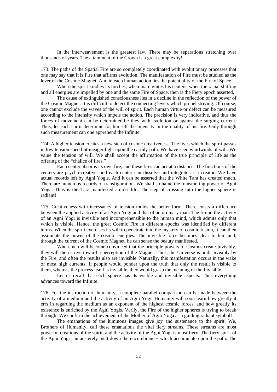In the interweavement is the greatest law. There may be separations stretching over thousands of years. The attainment of the Crown is a great complexity!

173. The paths of the Spatial Fire are so completely coordinated with evolutionary processes that one may say that it is Fire that affirms evolution. The manifestation of Fire must be studied as the lever of the Cosmic Magnet. And in each human action lies the potentiality of the Fire of Space.

 When the spirit kindles its torches, when man ignites his centers, when the racial shifting and all energies are impelled by one and the same Fire of Space, then is the Fiery epoch asserted.

 The cause of extinguished consciousness lies in a decline in the reflection of the power of the Cosmic Magnet. It is difficult to detect the connecting levers which propel striving. Of course, one cannot exclude the waves of the will of spirit. Each human virtue or defect can be measured according to the intensity which impels the action. The precision is very indicative, and thus the forces of movement can be determined-be they with evolution or against the surging current. Thus, let each spirit determine for himself the intensity in the quality of his fire. Only through such measurement can one apprehend the Infinite.

174. A higher tension creates a new step of cosmic creativeness. The lives which the spirit passes in low tension shed but meager light upon the earthly path. We have seen whirlwinds of will. We value the tension of will. We shall accept the affirmation of the true principle of life as the offering of the "chalice of fires."

 Each center absorbs its own fire, and these fires can act at a distance. The functions of the centers are psycho-creative, and each center can dissolve and integrate as a creator. We have actual records left by Agni Yogis. And it can be asserted that the White Tara has created much. There are numerous records of transfiguration. We shall so name the transmuting power of Agni Yoga. Thus is the Tara manifested amidst life. The step of crossing into the higher sphere is radiant!

175. Creativeness with incessancy of tension molds the better form. There exists a difference between the applied activity of an Agni Yogi and that of an ordinary man. The fire in the activity of an Agni Yogi is invisible and incomprehensible to the human mind, which admits only that which is visible. Hence, the great Cosmic Fire in different epochs was identified by different terms. When the spirit exercises its will to penetrate into the mystery of cosmic fusion, it can then assimilate the power of the cosmic energies. The invisible force becomes clear to him and, through the current of the Cosmic Magnet, he can sense the beauty manifested.

 When men will become convinced that the principle powers of Cosmos create Invisibly, they will then strive toward a perception of the Magnet. Thus, the Universe is built invisibly by the Fire, and often the results also are invisible. Naturally, this manifestation occurs in the wake of most high currents. If people would ponder upon the truth that only the result is visible to them, whereas the process itself is invisible, they would grasp the meaning of the Invisible.

 Let us recall that each sphere has its visible and invisible aspects. Thus everything advances toward the Infinite.

176. For the instruction of humanity, a complete parallel comparison can be made between the activity of a medium and the activity of an Agni Yogi. Humanity will soon learn how greatly it errs in regarding the medium as an exponent of the highest cosmic forces, and how greatly its existence is enriched by the Agni Yogis. Verily, the Fire of the higher spheres is trying to break through! We confirm the achievement of the Mother of Agni Yoga as a guiding radiant symbol!

 The emanations of the luminous images give joy and sustenance to the spirit. We, Brothers of Humanity, call these emanations the vital fiery streams. These streams are most powerful creations of the spirit, and the activity of the Agni Yogi is most fiery. The fiery spirit of the Agni Yogi can austerely melt down the encumbrances which accumulate upon the path. The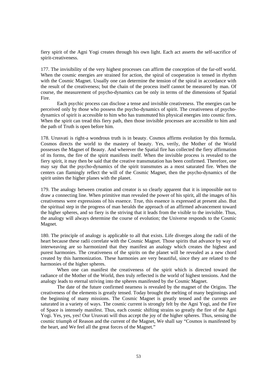fiery spirit of the Agni Yogi creates through his own light. Each act asserts the self-sacrifice of spirit-creativeness.

177. The invisibility of the very highest processes can affirm the conception of the far-off world. When the cosmic energies are strained for action, the spiral of cooperation is tensed in rhythm with the Cosmic Magnet. Usually one can determine the tension of the spiral in accordance with the result of the creativeness; but the chain of the process itself cannot be measured by man. Of course, the measurement of psycho-dynamics can be only in terms of the dimensions of Spatial Fire.

 Each psychic process can disclose a tense and invisible creativeness. The energies can be perceived only by those who possess the psycho-dynamics of spirit. The creativeness of psychodynamics of spirit is accessible to him who has transmuted his physical energies into cosmic fires. When the spirit can tread this fiery path, then those invisible processes are accessible to him and the path of Truth is open before him.

178. Urusvati is right-a wondrous truth is in beauty. Cosmos affirms evolution by this formula. Cosmos directs the world to the mastery of beauty. Yes, verily, the Mother of the World possesses the Magnet of Beauty. And wherever the Spatial fire has collected the fiery affirmation of its forms, the fire of the spirit manifests itself. When the invisible process is revealed to the fiery spirit, it may then be said that the creative transmutation has been confirmed. Therefore, one may say that the psycho-dynamics of the spirit transmutes as a most saturated fire. When the centers can flamingly reflect the will of the Cosmic Magnet, then the psycho-dynamics of the spirit unites the higher planes with the planet.

179. The analogy between creation and creator is so clearly apparent that it is impossible not to draw a connecting line. When primitive man revealed the power of his spirit, all the images of his creativeness were expressions of his essence. True, this essence is expressed at present also. But the spiritual step in the progress of man heralds the approach of an affirmed advancement toward the higher spheres, and so fiery is the striving that it leads from the visible to the invisible. Thus, the analogy will always determine the course of evolution; the Universe responds to the Cosmic Magnet.

180. The principle of analogy is applicable to all that exists. Life diverges along the radii of the heart because these radii correlate with the Cosmic Magnet. Those spirits that advance by way of interweaving are so harmonized that they manifest an analogy which creates the highest and purest harmonies. The creativeness of the spirits on the planet will be revealed as a new chord created by this harmonization. These harmonies are very beautiful, since they are related to the harmonies of the higher spheres.

 When one can manifest the creativeness of the spirit which is directed toward the radiance of the Mother of the World, then truly reflected is the world of highest tensions. And the analogy leads to eternal striving into the spheres manifested by the Cosmic Magnet.

 The date of the future confirmed nearness is revealed by the magnet of the Origins. The creativeness of the elements is greatly tensed. Today brought the melting of many beginnings and the beginning of many missions. The Cosmic Magnet is greatly tensed and the currents are saturated in a variety of ways. The cosmic current is strongly felt by the Agni Yogi, and the Fire of Space is intensely manifest. Thus, each cosmic shifting strains so greatly the fire of the Agni Yogi. Yes, yes, yes! Our Urusvati will thus accept the joy of the higher spheres. Thus, sensing the cosmic triumph of Reason and the current of the Magnet, We shall say "Cosmos is manifested by the heart, and We feel all the great forces of the Magnet."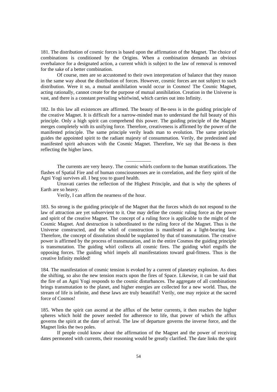181. The distribution of cosmic forces is based upon the affirmation of the Magnet. The choice of combinations is conditioned by the Origins. When a combination demands an obvious overbalance for a designated action, a current which is subject to the law of removal is removed for the sake of a better combination.

 Of course, men are so accustomed to their own interpretation of balance that they reason in the same way about the distribution of forces. However, cosmic forces are not subject to such distribution. Were it so, a mutual annihilation would occur in Cosmos! The Cosmic Magnet, acting rationally, cannot create for the purpose of mutual annihilation. Creation in the Universe is vast, and there is a constant prevailing whirlwind, which carries out into Infinity.

182. In this law all existences are affirmed. The beauty of Be-ness is in the guiding principle of the creative Magnet. It is difficult for a narrow-minded man to understand the full beauty of this principle. Only a high spirit can comprehend this power. The guiding principle of the Magnet merges completely with its unifying force. Therefore, creativeness is affirmed by the power of the manifested principle. The same principle verily leads man to evolution. The same principle guides the appointed spirit to the radiant majesty of consummation. Verily, the predestined and manifested spirit advances with the Cosmic Magnet. Therefore, We say that Be-ness is then reflecting the higher laws.

 The currents are very heavy. The cosmic whirls conform to the human stratifications. The flashes of Spatial Fire and of human consciousnesses are in correlation, and the fiery spirit of the Agni Yogi survives all. I beg you to guard health.

—————

 Urusvati carries the reflection of the Highest Principle, and that is why the spheres of Earth are so heavy.

Verily, I can affirm the nearness of the hour.

183. So strong is the guiding principle of the Magnet that the forces which do not respond to the law of attraction are yet subservient to it. One may define the cosmic ruling force as the power and spirit of the creative Magnet. The concept of a ruling force is applicable to the might of the Cosmic Magnet. And destruction is subordinated to the ruling force of the Magnet. Thus is the Universe constructed, and the whirl of construction is manifested as a light-bearing law. Therefore, the concept of dissolution should be supplanted by that of transmutation. The creative power is affirmed by the process of transmutation, and in the entire Cosmos the guiding principle is transmutation. The guiding whirl collects all cosmic fires. The guiding whirl engulfs the opposing forces. The guiding whirl impels all manifestations toward goal-fitness. Thus is the creative Infinity molded!

184. The manifestation of cosmic tension is evoked by a current of planetary explosion. As does the shifting, so also the new tension reacts upon the fires of Space. Likewise, it can be said that the fire of an Agni Yogi responds to the cosmic disturbances. The aggregate of all combinations brings transmutation to the planet, and higher energies are collected for a new world. Thus, the stream of life is infinite, and these laws are truly beautiful! Verily, one may rejoice at the sacred force of Cosmos!

185. When the spirit can ascend at the afflux of the better currents, it then reaches the higher spheres which hold the power needed for adherence to life, that power of which the afflux governs the spirit at the date of arrival. The law of departure governs the inverse force, and the Magnet links the two poles.

 If people could know about the affirmation of the Magnet and the power of receiving dates permeated with currents, their reasoning would be greatly clarified. The date links the spirit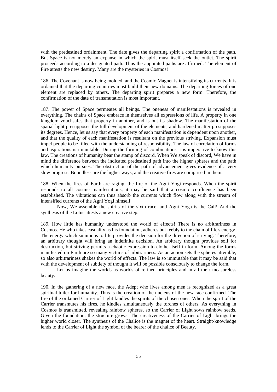with the predestined ordainment. The date gives the departing spirit a confirmation of the path. But Space is not merely an expanse in which the spirit must itself seek the outlet. The spirit proceeds according to a designated path. Thus the appointed paths are affirmed. The element of Fire attests the new destiny. Many are the mysteries in Cosmos!

186. The Covenant is now being molded, and the Cosmic Magnet is intensifying its currents. It is ordained that the departing countries must build their new domains. The departing forces of one element are replaced by others. The departing spirit prepares a new form. Therefore, the confirmation of the date of transmutation is most important.

187. The power of Space permeates all beings. The oneness of manifestations is revealed in everything. The chains of Space embrace in themselves all expressions of life. A property in one kingdom vouchsafes that property in another, and is but its shadow. The manifestation of the spatial light presupposes the full development of the elements, and hardened matter presupposes its degrees. Hence, let us say that every property of each manifestation is dependent upon another, and that the quality of each manifestation is resultant on the previous striving. Expansion must impel people to be filled with the understanding of responsibility. The law of correlation of forms and aspirations is immutable. During the forming of combinations it is imperative to know this law. The creations of humanity bear the stamp of discord. When We speak of discord, We have in mind the difference between the indicated predestined path into the higher spheres and the path which humanity pursues. The obstruction of the path of advancement gives evidence of a very slow progress. Boundless are the higher ways, and the creative fires are comprised in them.

188. When the fires of Earth are raging, the fire of the Agni Yogi responds. When the spirit responds to all cosmic manifestations, it may be said that a cosmic confluence has been established. The vibrations can thus absorb the currents which flow along with the stream of intensified currents of the Agni Yogi himself.

 Now, We assemble the spirits of the sixth race, and Agni Yoga is the Call! And the synthesis of the Lotus attests a new creative step.

189. How little has humanity understood the world of effects! There is no arbitrariness in Cosmos. He who takes casuality as his foundation, adheres but feebly to the chain of life's energy. The energy which summons to life provides the decision for the direction of striving. Therefore, an arbitrary thought will bring an indefinite decision. An arbitrary thought provides soil for destruction, but striving permits a chaotic expression to clothe itself in form. Among the forms manifested on Earth are so many victims of arbitrariness. As an action sets the spheres atremble, so also arbitrariness shakes the world of effects. The law is so immutable that it may be said that with the development of subtlety of thought it will be possible consciously to change the form.

 Let us imagine the worlds as worlds of refined principles and in all their measureless beauty.

190. In the gathering of a new race, the Adept who lives among men is recognized as a great spiritual toiler for humanity. Thus is the creation of the nucleus of the new race confirmed. The fire of the ordained Carrier of Light kindles the spirits of the chosen ones. When the spirit of the Carrier transmutes his fires, he kindles simultaneously the torches of others. As everything in Cosmos is transmitted, revealing rainbow spheres, so the Carrier of Light sows rainbow seeds. Given the foundation, the structure grows. The creativeness of the Carrier of Light brings the higher world closer. The synthesis of the Chalice is the magnet of the heart. Straight-knowledge lends to the Carrier of Light the symbol of the bearer of the chalice of Beauty.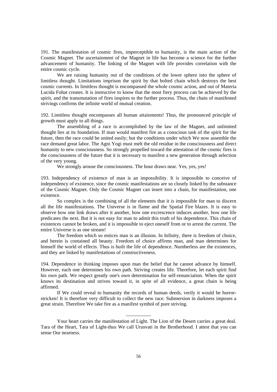191. The manifestation of cosmic fires, imperceptible to humanity, is the main action of the Cosmic Magnet. The ascertainment of the Magnet in life has become a science for the further advancement of humanity. The linking of the Magnet with life provides correlation with the entire cosmic cycle.

 We are raising humanity out of the conditions of the lower sphere into the sphere of limitless thought. Limitations imprison the spirit by that bolted chain which destroys the best cosmic currents. In limitless thought is encompassed the whole cosmic action, and out of Materia Lucida Fohat creates. It is instructive to know that the most fiery process can be achieved by the spirit, and the transmutation of fires inspires to the further process. Thus, the chain of manifested strivings confirms the infinite world of mutual creation.

192. Limitless thought encompasses all human attainments! Thus, the pronounced principle of growth must apply to all things.

 The assembling of a race is accomplished by the law of the Magnet, and unlimited thought lies at its foundation. If man would manifest fire as a conscious task of the spirit for the future, then the race could be united easily; but the conditions under which We now assemble the race demand great labor. The Agni Yogi must melt the old residue in the consciousness and direct humanity to new consciousness. So strongly propelled toward the attestation of the cosmic fires is the consciousness of the future that it is necessary to manifest a new generation through selection of the very young.

We strongly arouse the consciousness. The hour draws near. Yes, yes, yes!

193. Independency of existence of man is an impossibility. It is impossible to conceive of independency of existence, since the cosmic manifestations are so closely linked by the substance of the Cosmic Magnet. Only the Cosmic Magnet can insert into a chain, for manifestation, one existence.

 So complex is the combining of all the elements that it is impossible for man to discern all the life manifestations. The Universe is in flame and the Spatial Fire blazes. It is easy to observe how one link draws after it another, how one excrescence induces another, how one life predicates the next. But it is not easy for man to admit this truth of his dependence. This chain of existences cannot be broken, and it is impossible to eject oneself from or to arrest the current. The entire Universe is as one stream!

 The freedom which so entices man is an illusion. In Infinity, there is freedom of choice, and herein is contained all beauty. Freedom of choice affirms man, and man determines for himself the world of effects. Thus is built the life of dependence. Numberless are the existences, and they are linked by manifestations of constructiveness.

194. Dependence in thinking imposes upon man the belief that he cannot advance by himself. However, each one determines his own path. Striving creates life. Therefore, let each spirit find his own path. We respect greatly one's own determination for self-renunciation. When the spirit knows its destination and strives toward it, in spite of all evidence, a great chain is being affirmed.

 If We could reveal to humanity the records of human deeds, verily it would be horrorstricken! It is therefore very difficult to collect the new race. Submersion in darkness imposes a great strain. Therefore We take fire as a manifest symbol of pure striving.

 Your heart carries the manifestation of Light. The Lion of the Desert carries a great deal. Tara of the Heart, Tara of Light-thus We call Urusvati in the Brotherhood. I attest that you can sense Our nearness.

—————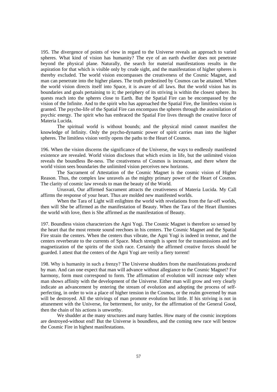195. The divergence of points of view in regard to the Universe reveals an approach to varied spheres. What kind of vision has humanity? The eye of an earth dweller does not penetrate beyond the physical plane. Naturally, the search for material manifestations results in the aspiration for that which is visible only by crude sight, and the manifestation of higher spheres is thereby excluded. The world vision encompasses the creativeness of the Cosmic Magnet, and man can penetrate into the higher planes. The truth predestined by Cosmos can be attained. When the world vision directs itself into Space, it is aware of all laws. But the world vision has its boundaries and goals pertaining to it; the periphery of its striving is within the closest sphere. Its quests reach into the spheres close to Earth. But the Spatial Fire can be encompassed by the vision of the Infinite. And to the spirit who has approached the Spatial Fire, the limitless vision is granted. The psycho-life of the Spatial Fire can encompass the spheres through the assimilation of psychic energy. The spirit who has embraced the Spatial Fire lives through the creative force of Materia Lucida.

 The spiritual world is without bounds; and the physical mind cannot manifest the knowledge of Infinity. Only the psycho-dynamic power of spirit carries man into the higher spheres. The limitless vision verily opens the paths to the Heart of Cosmos.

196. When the vision discerns the significance of the Universe, the ways to endlessly manifested existence are revealed. World vision discloses that which exists in life, but the unlimited vision reveals the boundless Be-ness. The creativeness of Cosmos is incessant, and there where the world vision sees boundaries the unlimited vision perceives new horizons.

 The Sacrament of Attestation of the Cosmic Magnet is the cosmic vision of Higher Reason. Thus, the complex law unravels as the mighty primary power of the Heart of Cosmos. The clarity of cosmic law reveals to man the beauty of the World.

 Urusvati, Our affirmed Sacrament attracts the creativeness of Materia Lucida. My Call affirms the response of your heart. Thus are molded new manifested worlds.

 When the Tara of Light will enlighten the world with revelations from the far-off worlds, then will She be affirmed as the manifestation of Beauty. When the Tara of the Heart illumines the world with love, then is She affirmed as the manifestation of Beauty.

197. Boundless vision characterizes the Agni Yogi. The Cosmic Magnet is therefore so sensed by the heart that the most remote sound reechoes in his centers. The Cosmic Magnet and the Spatial Fire strain the centers. When the centers thus vibrate, the Agni Yogi is indeed in tremor, and the centers reverberate to the currents of Space. Much strength is spent for the transmissions and for magnetization of the spirits of the sixth race. Certainly the affirmed creative forces should be guarded. I attest that the centers of the Agni Yogi are verily a fiery torrent!

198. Why is humanity in such a frenzy? The Universe shudders from the manifestations produced by man. And can one expect that man will advance without allegiance to the Cosmic Magnet? For harmony, form must correspond to form. The affirmation of evolution will increase only when man shows affinity with the development of the Universe. Either man will grow and very clearly indicate an advancement by entering the stream of evolution and adopting the process of selfperfecting, in order to win a place of higher tension in the Cosmos, or the realm governed by man will be destroyed. All the strivings of man promote evolution but little. If his striving is not in attunement with the Universe, for betterment, for unity, for the affirmation of the General Good, then the chain of his actions is unworthy.

 We shudder at the many structures and many battles. How many of the cosmic inceptions are destroyed-without end! But the Universe is boundless, and the coming new race will bestow the Cosmic Fire in highest manifestations.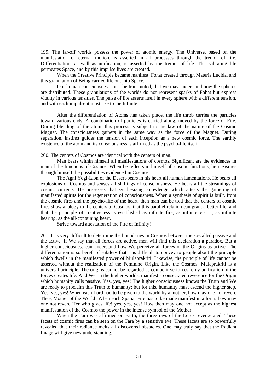199. The far-off worlds possess the power of atomic energy. The Universe, based on the manifestation of eternal motion, is asserted in all processes through the tremor of life. Differentiation, as well as unification, is asserted by the tremor of life. This vibrating life permeates Space, and by this impulse lives are created.

 When the Creative Principle became manifest, Fohat created through Materia Lucida, and this granulation of Being carried life out into Space.

 Our human consciousness must be transmuted, that we may understand how the spheres are distributed. These granulations of the worlds do not represent sparks of Fohat but express vitality in various tensities. The pulse of life asserts itself in every sphere with a different tension, and with each impulse it must rise to the Infinite.

 After the differentiation of Atoms has taken place, the life throb carries the particles toward various ends. A combination of particles is carried along, moved by the force of Fire. During blending of the atom, this process is subject to the law of the nature of the Cosmic Magnet. The consciousness gathers in the same way as the force of the Magnet. During separation, instinct guides the tension of each inception as a new cosmic force. The earthly existence of the atom and its consciousness is affirmed as the psycho-life itself.

200. The centers of Cosmos are identical with the centers of man.

 Man bears within himself all manifestations of cosmos. Significant are the evidences in man of the functions of Cosmos. When he reflects in himself all cosmic functions, he measures through himself the possibilities evidenced in Cosmos.

 The Agni Yogi-Lion of the Desert-bears in his heart all human lamentations. He bears all explosions of Cosmos and senses all shiftings of consciousness. He bears all the streamings of cosmic currents. He possesses that synthesizing knowledge which attests the gathering of manifested spirits for the regeneration of consciousness. When a synthesis of spirit is built, from the cosmic fires and the psycho-life of the heart, then man can be told that the centers of cosmic fires show analogy to the centers of Cosmos, that this parallel relation can grant a better life, and that the principle of creativeness is established as infinite fire, as infinite vision, as infinite hearing, as the all-containing heart.

Strive toward attestation of the Fire of Infinity!

201. It is very difficult to determine the boundaries in Cosmos between the so-called passive and the active. If We say that all forces are active, men will find this declaration a paradox. But a higher consciousness can understand how We perceive all forces of the Origins as active. The differentiation is so bereft of subtlety that it is difficult to convey to people about the principle which dwells in the manifested power of Mulaprakriti. Likewise, the principle of life cannot be asserted without the realization of the Feminine Origin. Like the Cosmos, Mulaprakriti is a universal principle. The origins cannot be regarded as competitive forces; only unification of the forces creates life. And We, in the higher worlds, manifest a consecrated reverence for the Origin which humanity calls passive. Yes, yes, yes! The higher consciousness knows the Truth and We are ready to proclaim this Truth to humanity; but for this, humanity must ascend the higher step. Yes, yes, yes! When each Lord had to be given to the world by a mother, how may one not revere Thee, Mother of the World! When each Spatial Fire has to be made manifest in a form, how may one not revere Her who gives life! yes, yes, yes! How then may one not accept as the highest manifestation of the Cosmos the power in the intense symbol of the Mother!

 When the Tara was affirmed on Earth, the three rays of the Lords reverberated. These facets of cosmic fires can be seen on the Tara by a sensitive eye. These facets are so powerfully revealed that their radiance melts all discovered obstacles. One may truly say that the Radiant Image will give new understanding.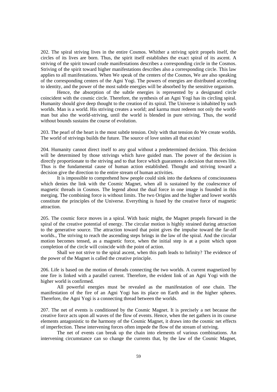202. The spiral striving lives in the entire Cosmos. Whither a striving spirit propels itself, the circles of its lives are born. Thus, the spirit itself establishes the exact spiral of its ascent. A striving of the spirit toward crude manifestations describes a corresponding circle in the Cosmos. Striving of the spirit toward higher manifestations describes also a corresponding circle. This law applies to all manifestations. When We speak of the centers of the Cosmos, We are also speaking of the corresponding centers of the Agni Yogi. The powers of energies are distributed according to identity, and the power of the most subtle energies will be absorbed by the sensitive organism.

 Hence, the absorption of the subtle energies is represented by a designated circle coincident with the cosmic circle. Therefore, the synthesis of an Agni Yogi has its circling spiral. Humanity should give deep thought to the creation of its spiral. The Universe is inhabited by such worlds. Man is a world. His striving creates a world; and karma must redeem not only the worldman but also the world-striving, until the world is blended in pure striving. Thus, the world without bounds sustains the course of evolution.

203. The pearl of the heart is the most subtle tension. Only with that tension do We create worlds. The world of strivings builds the future. The source of love unites all that exists!

204. Humanity cannot direct itself to any goal without a predetermined decision. This decision will be determined by those strivings which have guided man. The power of the decision is directly proportionate to the striving and to that force which guarantees a decision that moves life. Thus is the fundamental cause of human action established. Thought and striving toward a decision give the direction to the entire stream of human activities.

 It is impossible to comprehend how people could sink into the darkness of consciousness which denies the link with the Cosmic Magnet, when all is sustained by the coalescence of magnetic threads in Cosmos. The legend about the dual force in one image is founded in this merging. The combining force is without limits. The two Origins and the higher and lower worlds constitute the principles of the Universe. Everything is fused by the creative force of magnetic attraction.

205. The cosmic force moves in a spiral. With basic might, the Magnet propels forward in the spiral of the creative potential of energy. The circular motion is highly strained during attraction to the generative source. The attraction toward that point gives the impulse toward the far-off worlds., The striving to reach the ascending steps brings in the law of the spiral. And the circular motion becomes tensed, as a magnetic force, when the initial step is at a point which upon completion of the circle will coincide with the point of action.

 Shall we not strive to the spiral ascent, when this path leads to Infinity? The evidence of the power of the Magnet is called the creative principle.

206. Life is based on the motion of threads connecting the two worlds. A current magnetized by one fire is linked with a parallel current. Therefore, the evident link of an Agni Yogi with the higher world is confirmed.

 All powerful energies must be revealed as the manifestation of one chain. The manifestation of the fire of an Agni Yogi has its place on Earth and in the higher spheres. Therefore, the Agni Yogi is a connecting thread between the worlds.

207. The net of events is conditioned by the Cosmic Magnet. It is precisely a net because the creative force acts upon all waves of the flow of events. Hence, when the net gathers in its course elements antagonistic to the harmony of the Cosmic Magnet, it draws into the cosmic net effects of imperfection. These intervening forces often impede the flow of the stream of striving.

 The net of events can break up the chain into elements of various combinations. An intervening circumstance can so change the currents that, by the law of the Cosmic Magnet,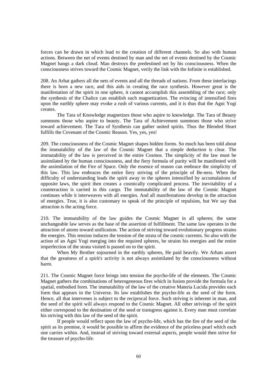forces can be drawn in which lead to the creation of different channels. So also with human actions. Between the net of events destined by man and the net of events destined by the Cosmic Magnet hangs a dark cloud. Man destroys the predestined net by his consciousness. When the consciousness strives toward the Cosmic Magnet, verily the link with the Infinite is established.

208. An Arhat gathers all the nets of events and all the threads of nations. From these interlacings there is born a new race, and this aids in creating the race synthesis. However great is the manifestation of the spirit in one sphere, it cannot accomplish this assembling of the race; only the synthesis of the Chalice can establish such magnetization. The evincing of intensified fires upon the earthly sphere may evoke a rush of various currents, and it is thus that the Agni Yogi creates.

 The Tara of Knowledge magnetizes those who aspire to knowledge. The Tara of Beauty summons those who aspire to beauty. The Tara of Achievement summons those who strive toward achievement. The Tara of Synthesis can gather united spirits. Thus the Blended Heart fulfills the Covenant of the Cosmic Reason. Yes, yes, yes!

209. The consciousness of the Cosmic Magnet shapes hidden forms. So much has been told about the immutability of the law of the Cosmic Magnet that a simple deduction is clear. The immutability of the law is perceived in the entire Cosmos. The simplicity of the law must be assimilated by the human consciousness, and the fiery formula of purity will be manifested with the assimilation of the Fire of Space. Only the essence of reason can embrace the simplicity of this law. This law embraces the entire fiery striving of the principle of Be-ness. When the difficulty of understanding leads the spirit away to the spheres intensified by accumulations of opposite laws, the spirit then creates a cosmically complicated process. The inevitability of a counteraction is carried in this cargo. The immutability of the law of the Cosmic Magnet continues while it interweaves with all energies. And all manifestations develop in the attraction of energies. True, it is also customary to speak of the principle of repulsion, but We say that attraction is the acting force.

210. The immutability of the law guides the Cosmic Magnet in all spheres; the same unchangeable law serves as the base of the assertion of fulfillment. The same law operates in the attraction of atoms toward unification. The action of striving toward evolutionary progress strains the energies. This tension induces the tension of the strata of the cosmic currents. So also with the action of an Agni Yogi merging into the required spheres, he strains his energies and the entire imperfection of the strata visited is passed on to the spirit.

 When My Brother sojourned in the earthly spheres, He paid heavily. We Arhats assert that the greatness of a spirit's activity is not always assimilated by the consciousness without harm.

211. The Cosmic Magnet force brings into tension the psycho-life of the elements. The Cosmic Magnet gathers the combinations of heterogeneous fires which in fusion provide the formula for a spatial, embodied form. The immutability of the law of the creative Materia Lucida provides each form that appears in the Universe. Its law establishes the psycho-life as the seed of the form. Hence, all that intervenes is subject to the reciprocal force. Such striving is inherent in man, and the seed of the spirit will always respond to the Cosmic Magnet. All other strivings of the spirit either correspond to the destination of the seed or transgress against it. Every man must correlate his striving with this law of the seed of the spirit.

 If people would reflect upon the law of psycho-life, which has the fire of the seed of the spirit as its premise, it would be possible to affirm the evidence of the priceless pearl which each one carries within. And, instead of striving toward external aspects, people would then strive for the treasure of psycho-life.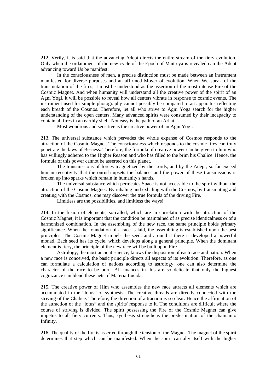212. Verily, it is said that the advancing Adept directs the entire stream of the fiery evolution. Only when the ordainment of the new cycle of the Epoch of Maitreya is revealed can the Adept advancing toward Us be manifest.

 In the consciousness of men, a precise distinction must be made between an instrument manifested for diverse purposes and an affirmed Mover of evolution. When We speak of the transmutation of the fires, it must be understood as the assertion of the most intense Fire of the Cosmic Magnet. And when humanity will understand all the creative power of the spirit of an Agni Yogi, it will be possible to reveal how all centers vibrate in response to cosmic events. The instrument used for simple photography cannot possibly be compared to an apparatus reflecting each breath of the Cosmos. Therefore, let all who strive to Agni Yoga search for the higher understanding of the open centers. Many advanced spirits were consumed by their incapacity to contain all fires in an earthly shell. Not easy is the path of an Arhat!

Most wondrous and sensitive is the creative power of an Agni Yogi.

213. The universal substance which pervades the whole expanse of Cosmos responds to the attraction of the Cosmic Magnet. The consciousness which responds to the cosmic fires can truly penetrate the laws of Be-ness. Therefore, the formula of creative power can be given to him who has willingly adhered to the Higher Reason and who has filled to the brim his Chalice. Hence, the formula of this power cannot be asserted on this planet.

 The transmissions of forces magnetized by the Lords, and by the Adept, so far exceed human receptivity that the onrush upsets the balance, and the power of these transmissions is broken up into sparks which remain in humanity's hands.

 The universal substance which permeates Space is not accessible to the spirit without the attraction of the Cosmic Magnet. By inhaling and exhaling with the Cosmos, by transmuting and creating with the Cosmos, one may discover the true formula of the driving Fire.

Limitless are the possibilities, and limitless the ways!

214. In the fusion of elements, so-called, which are in correlation with the attraction of the Cosmic Magnet, it is important that the condition be maintained of as precise identicalness or of a harmonized combination. In the assembling of the new race, the same principle holds primary significance. When the foundation of a race is laid, the assembling is established upon the best principles. The Cosmic Magnet impels the seed, and around it there is developed a powerful monad. Each seed has its cycle, which develops along a general principle. When the dominant element is fiery, the principle of the new race will be built upon Fire.

 Astrology, the most ancient science, knows the disposition of each race and nation. When a new race is conceived, the basic principle directs all aspects of its evolution. Therefore, as one can formulate a calculation of nations according to astrology, one can also determine the character of the race to be born. All nuances in this are so delicate that only the highest cognizance can blend these nets of Materia Lucida.

215. The creative power of Him who assembles the new race attracts all elements which are accumulated in the "lotus" of synthesis. The creative threads are directly connected with the striving of the Chalice. Therefore, the direction of attraction is so clear. Hence the affirmation of the attraction of the "lotus" and the spirits' response to it. The conditions are difficult where the course of striving is divided. The spirit possessing the Fire of the Cosmic Magnet can give impetus to all fiery currents. Thus, synthesis strengthens the predestination of the chain into Infinity.

216. The quality of the fire is asserted through the tension of the Magnet. The magnet of the spirit determines that step which can be manifested. When the spirit can ally itself with the higher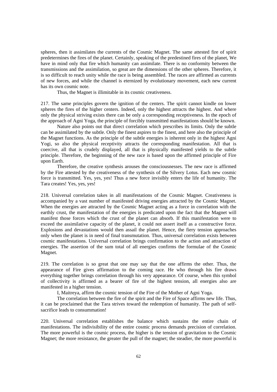spheres, then it assimilates the currents of the Cosmic Magnet. The same attested fire of spirit predetermines the fires of the planet. Certainly, speaking of the predestined fires of the planet, We have in mind only that fire which humanity can assimilate. There is no conformity between the transmissions and the assimilation, so great are the dimensions of the other spheres. Therefore, it is so difficult to reach unity while the race is being assembled. The races are affirmed as currents of new forces, and while the channel is eternized by evolutionary movement, each new current has its own cosmic note.

Thus, the Magnet is illimitable in its cosmic creativeness.

217. The same principles govern the ignition of the centers. The spirit cannot kindle on lower spheres the fires of the higher centers. Indeed, only the highest attracts the highest. And where only the physical striving exists there can be only a corresponding receptiveness. In the epoch of the approach of Agni Yoga, the principle of forcibly transmitted manifestations should be known.

 Nature also points out that direct correlation which prescribes its limits. Only the subtle can be assimilated by the subtle. Only the finest aspires to the finest, and here also the principle of the Magnet functions. As the principle of the subtle energies is inherent only in the highest Agni Yogi, so also the physical receptivity attracts the corresponding manifestation. All that is coercive, all that is crudely displayed, all that is physically manifested yields to the subtle principle. Therefore, the beginning of the new race is based upon the affirmed principle of Fire upon Earth.

 Therefore, the creative synthesis arouses the consciousnesses. The new race is affirmed by the Fire attested by the creativeness of the synthesis of the Silvery Lotus. Each new cosmic force is transmitted. Yes, yes, yes! Thus a new force invisibly enters the life of humanity. The Tara creates! Yes, yes, yes!

218. Universal correlation takes in all manifestations of the Cosmic Magnet. Creativeness is accompanied by a vast number of manifested driving energies attracted by the Cosmic Magnet. When the energies are attracted by the Cosmic Magnet acting as a force in correlation with the earthly crust, the manifestation of the energies is predicated upon the fact that the Magnet will manifest those forces which the crust of the planet can absorb. If this manifestation were to exceed the assimilative capacity of the planet, it could not assert itself as a constructive force. Explosions and devastations would then assail the planet. Hence, the fiery tension approaches only when the planet is in need of final transmutation. Thus, universal correlation exists between cosmic manifestations. Universal correlation brings confirmation to the action and attraction of energies. The assertion of the sum total of all energies confirms the formulae of the Cosmic Magnet.

219. The correlation is so great that one may say that the one affirms the other. Thus, the appearance of Fire gives affirmation to the coming race. He who through his fire draws everything together brings correlation through his very appearance. Of course, when this symbol of collectivity is affirmed as a bearer of fire of the highest tension, all energies also are manifested in a higher tension.

I, Maitreya, affirm the cosmic tension of the Fire of the Mother of Agni Yoga.

 The correlation between the fire of the spirit and the Fire of Space affirms new life. Thus, it can be proclaimed that the Tara strives toward the redemption of humanity. The path of selfsacrifice leads to consummation!

220. Universal correlation establishes the balance which sustains the entire chain of manifestations. The indivisibility of the entire cosmic process demands precision of correlation. The more powerful is the cosmic process, the higher is the tension of gravitation to the Cosmic Magnet; the more resistance, the greater the pull of the magnet; the steadier, the more powerful is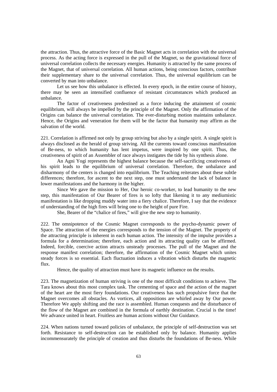the attraction. Thus, the attractive force of the Basic Magnet acts in correlation with the universal process. As the acting force is expressed in the pull of the Magnet, so the gravitational force of universal correlation collects the necessary energies. Humanity is attracted by the same process of the Magnet, that of universal correlation. All human actions, being conscious factors, contribute their supplementary share to the universal correlation. Thus, the universal equilibrium can be converted by man into unbalance.

 Let us see how this unbalance is effected. In every epoch, in the entire course of history, there may be seen an intensified confluence of resistant circumstances which produced an unbalance.

 The factor of creativeness predestined as a force inducing the attainment of cosmic equilibrium, will always be impelled by the principle of the Magnet. Only the affirmation of the Origins can balance the universal correlation. The ever-disturbing motion maintains unbalance. Hence, the Origins and veneration for them will be the factor that humanity may affirm as the salvation of the world.

221. Correlation is affirmed not only by group striving but also by a single spirit. A single spirit is always disclosed as the herald of group striving. All the currents toward conscious manifestation of Be-ness, to which humanity has lent impetus, were inspired by one spirit. Thus, the creativeness of spirit of an Assembler of race always instigates the tide by his synthesis alone.

 An Agni Yogi represents the highest balance because the self-sacrificing creativeness of his spirit leads to the equilibrium of universal correlation. Therefore, the unbalance and disharmony of the centers is changed into equilibrium. The Teaching reiterates about these subtle differences; therefore, for ascent to the next step, one must understand the lack of balance in lower manifestations and the harmony in the higher.

 Since We gave the mission to Her, Our heroic co-worker, to lead humanity to the new step, this manifestation of Our Bearer of fires is so lofty that likening it to any mediumistic manifestation is like dropping muddy water into a fiery chalice. Therefore, I say that the evidence of understanding of the high fires will bring one to the height of pure Fire.

She, Bearer of the "chalice of fires," will give the new step to humanity.

222. The omnipotence of the Cosmic Magnet corresponds to the psycho-dynamic power of Space. The attraction of the energies corresponds to the tension of the Magnet. The property of the attracting principle is inherent in each human action. The intensity of the impulse provides a formula for a determination; therefore, each action and its attracting quality can be affirmed. Indeed, forcible, coercive action attracts unsteady processes. The pull of the Magnet and the response manifest correlation; therefore, the affirmation of the Cosmic Magnet which unites steady forces is so essential. Each fluctuation induces a vibration which disturbs the magnetic flux.

Hence, the quality of attraction must have its magnetic influence on the results.

223. The magnetization of human striving is one of the most difficult conditions to achieve. The Tara knows about this most complex task. The cementing of space and the action of the magnet of the heart are the most fiery foundations. Our creativeness has such propulsive force that the Magnet overcomes all obstacles. As vortices, all oppositions are whirled away by Our power. Therefore We apply shifting and the race is assembled. Human conquests and the disturbance of the flow of the Magnet are combined in the formula of earthly destination. Crucial is the time! We advance united in heart. Fruitless are human actions without Our Guidance.

224. When nations turned toward policies of unbalance, the principle of self-destruction was set forth. Resistance to self-destruction can be established only by balance. Humanity applies incommensurately the principle of creation and thus disturbs the foundations of Be-ness. While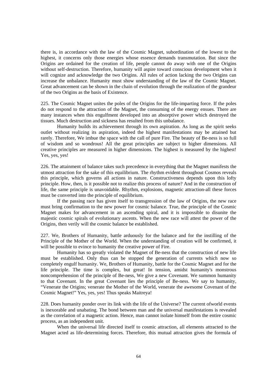there is, in accordance with the law of the Cosmic Magnet, subordination of the lowest to the highest, it concerns only those energies whose essence demands transmutation. But since the Origins are ordained for the creation of life, people cannot do away with one of the Origins without self-destruction. Therefore, humanity will aspire toward conscious development when it will cognize and acknowledge the two Origins. All rules of action lacking the two Origins can increase the unbalance. Humanity must show understanding of the law of the Cosmic Magnet. Great advancement can be shown in the chain of evolution through the realization of the grandeur of the two Origins as the basis of Existence.

225. The Cosmic Magnet unites the poles of the Origins for the life-imparting force. If the poles do not respond to the attraction of the Magnet, the consuming of the energy ensues. There are many instances when this engulfment developed into an absorptive power which destroyed the tissues. Much destruction and sickness has resulted from this unbalance.

 Humanity builds its achievement through its own aspiration. As long as the spirit seeks outlet without realizing its aspiration, indeed the highest manifestations may be attained but rarely. Therefore, We imbue the space with the call of pure Fire. The beauty of Be-ness is so full of wisdom and so wondrous! All the great principles are subject to higher dimensions. All creative principles are measured in higher dimensions. The highest is measured by the highest! Yes, yes, yes!

226. The attainment of balance takes such precedence in everything that the Magnet manifests the utmost attraction for the sake of this equilibrium. The rhythm evident throughout Cosmos reveals this principle, which governs all actions in nature. Constructiveness depends upon this lofty principle. How, then, is it possible not to realize this process of nature? And in the construction of life, the same principle is unavoidable. Rhythm, explosions, magnetic attraction-all these forces must be converted into the principle of equilibrium.

 If the passing race has given itself to transgression of the law of Origins, the new race must bring confirmation to the new power for cosmic balance. True, the principle of the Cosmic Magnet makes for advancement in an ascending spiral, and it is impossible to disunite the majestic cosmic spirals of evolutionary ascents. When the new race will attest the power of the Origins, then verily will the cosmic balance be established.

227. We, Brothers of Humanity, battle arduously for the balance and for the instilling of the Principle of the Mother of the World. When the understanding of creation will be confirmed, it will be possible to evince to humanity the creative power of Fire.

 Humanity has so greatly violated the Magnet of Be-ness that the construction of new life must be established. Only thus can be stopped the generation of currents which now so completely engulf humanity. We, Brothers of Humanity, battle for the Cosmic Magnet and for the life principle. The time is complex, but great! In tension, amidst humanity's monstrous noncomprehension of the principle of Be-ness, We give a new Covenant. We summon humanity to that Covenant. In the great Covenant lies the principle of Be-ness. We say to humanity, "Venerate the Origins; venerate the Mother of the World, venerate the awesome Covenant of the Cosmic Magnet!" Yes, yes, yes! Thus speaks Maitreya!

228. Does humanity ponder over its link with the life of the Universe? The current ofworld events is inexorable and unabating. The bond between man and the universal manifestations is revealed as the correlation of a magnetic action. Hence, man cannot isolate himself from the entire cosmic process, as an independent unit.

 When the universal life directed itself to cosmic attraction, all elements attracted to the Magnet acted as life-determining forces. Therefore, this mutual attraction gives the formula of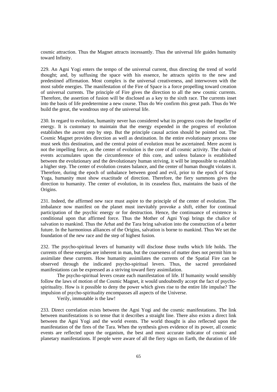cosmic attraction. Thus the Magnet attracts incessantly. Thus the universal life guides humanity toward Infinity.

229. An Agni Yogi enters the tempo of the universal current, thus directing the trend of world thought; and, by suffusing the space with his essence, he attracts spirits to the new and predestined affirmation. Most complex is the universal creativeness, and interwoven with the most subtle energies. The manifestation of the Fire of Space is a force propelling toward creation of universal currents. The principle of Fire gives the direction to all the new cosmic currents. Therefore, the assertion of fusion will be disclosed as a key to the sixth race. The currents inset into the basis of life predetermine a new course. Thus do We confirm this great path. Thus do We build the great, the wondrous step of the universal life.

230. In regard to evolution, humanity never has considered what its progress costs the Impeller of energy. It is customary to maintain that the energy expended in the progress of evolution establishes the ascent step by step. But the principle causal action should be pointed out. The Cosmic Magnet provides direction as well as destination. In the entire evolutionary process one must seek this destination, and the central point of evolution must be ascertained. Mere ascent is not the impelling force, as the center of evolution is the core of all cosmic activity. The chain of events accumulates upon the circumference of this core, and unless balance is established between the evolutionary and the devolutionary human striving, it will be impossible to establish a higher step. The center of evolution creates balance, and the center of human thought violates it. Therefore, during the epoch of unbalance between good and evil, prior to the epoch of Satya Yuga, humanity must show exactitude of direction. Therefore, the fiery summons gives the direction to humanity. The center of evolution, in its ceaseless flux, maintains the basis of the Origins.

231. Indeed, the affirmed new race must aspire to the principle of the center of evolution. The imbalance now manifest on the planet must inevitably provoke a shift, either for continual participation of the psychic energy or for destruction. Hence, the continuance of existence is conditional upon that affirmed force. Thus the Mother of Agni Yogi brings the chalice of salvation to mankind. Thus the Arhat and the Tara bring salvation into the construction of a better future. In the harmonious alliances of the Origins, salvation is borne to mankind. Thus We set the foundation of the new race and the step of highest fusion.

232. The psycho-spiritual levers of humanity will disclose those truths which life holds. The currents of these energies are inherent in man, but the coarseness of matter does not permit him to assimilate these currents. How humanity assimilates the currents of the Spatial Fire can be observed through the indicated psycho-spiritual levers. Thus, the sacred preordained manifestations can be expressed as a striving toward fiery assimilation.

 The psycho-spiritual levers create each manifestation of life. If humanity would sensibly follow the laws of motion of the Cosmic Magnet, it would undoubtedly accept the fact of psychospirituality. How is it possible to deny the power which gives rise to the entire life impulse? The impulsion of psycho-spirituality encompasses all aspects of the Universe.

Verily, immutable is the law!

233. Direct correlation exists between the Agni Yogi and the cosmic manifestations. The link between manifestations is so tense that it describes a straight line. There also exists a direct link between the Agni Yogi and the world events. The world thought is also reflected upon the manifestation of the fires of the Tara. When the synthesis gives evidence of its power, all cosmic events are reflected upon the organism, the best and most accurate indicator of cosmic and planetary manifestations. If people were aware of all the fiery signs on Earth, the duration of life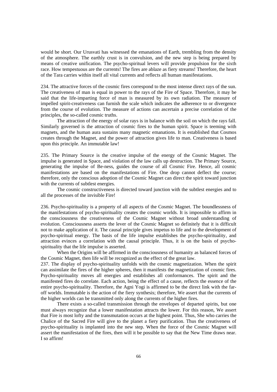would be short. Our Urusvati has witnessed the emanations of Earth, trembling from the density of the atmosphere. The earthly crust is in convulsion, and the new step is being prepared by means of creative unification. The psycho-spiritual levers will provide propulsion for the sixth race. How tempestuous are the currents! The fires are ablaze as fiery streams! Therefore, the heart of the Tara carries within itself all vital currents and reflects all human manifestations.

234. The attractive forces of the cosmic fires correspond to the most intense direct rays of the sun. The creativeness of man is equal in power to the rays of the Fire of Space. Therefore, it may be said that the life-imparting force of man is measured by its own radiation. The measure of impelled spirit-creativeness can furnish the scale which indicates the adherence to or divergence from the course of evolution. The measure of actions can ascertain a precise correlation of the principles, the so-called cosmic truths.

 The attraction of the energy of solar rays is in balance with the soil on which the rays fall. Similarly governed is the attraction of cosmic fires to the human spirit. Space is teeming with magnets, and the human aura sustains many magnetic emanations. It is established that Cosmos creates through the Magnet, and the power of attraction gives life to man. Creativeness is based upon this principle. An immutable law!

235. The Primary Source is the creative impulse of the energy of the Cosmic Magnet. The impulse is generated in Space, and violation of the law calls up destruction. The Primary Source, generating the impulse of Be-ness, guides the course of all Cosmic Fire. Hence, all cosmic manifestations are based on the manifestations of Fire. One drop cannot deflect the course; therefore, only the conscious adoption of the Cosmic Magnet can direct the spirit toward junction with the currents of subtlest energies.

 The cosmic constructiveness is directed toward junction with the subtlest energies and to all the processes of the invisible Fire!

236. Psycho-spirituality is a property of all aspects of the Cosmic Magnet. The boundlessness of the manifestations of psycho-spirituality creates the cosmic worlds. It is impossible to affirm in the consciousness the creativeness of the Cosmic Magnet without broad understanding of evolution. Consciousness asserts the lever of the Cosmic Magnet so definitely that it is difficult not to make application of it. The causal principle gives impetus to life and to the development of psycho-spiritual energy. The basis of the life impulse establishes the psycho-spirituality, and attraction evinces a correlation with the causal principle. Thus, it is on the basis of psychospirituality that the life impulse is asserted.

When the Origins will be affirmed in the consciousness of humanity as balanced forces of the Cosmic Magnet, then life will be recognized as the effect of the great law.

237. The display of psycho-spirituality unfolds with the cosmic magnetization. When the spirit can assimilate the fires of the higher spheres, then it manifests the magnetization of cosmic fires. Psycho-spirituality moves all energies and establishes all conformances. The spirit and the manifested fires do correlate. Each action, being the effect of a cause, reflects the essence of the entire psycho-spirituality. Therefore, the Agni Yogi is affirmed to be the direct link with the faroff worlds. Immutable is the action of the fiery synthesis; therefore, We assert that the currents of the higher worlds can be transmitted only along the currents of the higher fires.

 There exists a so-called transmission through the envelopes of departed spirits, but one must always recognize that a lower manifestation attracts the lower. For this reason, We assert that Fire is most lofty and the transmutation occurs at the highest point. Thus, She who carries the Chalice of the Sacred Fire will give to the planet a fiery purification. Thus the creativeness of psycho-spirituality is implanted into the new step. When the force of the Cosmic Magnet will assert the manifestation of the fires, then will it be possible to say that the New Time draws near. I so affirm!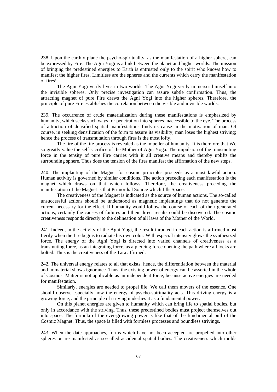238. Upon the earthly plane the psycho-spirituality, as the manifestation of a higher sphere, can be expressed by Fire. The Agni Yogi is a link between the planet and higher worlds. The mission of bringing the predestined energies to Earth is entrusted only to the spirit who knows how to manifest the higher fires. Limitless are the spheres and the currents which carry the manifestation of fires!

 The Agni Yogi verily lives in two worlds. The Agni Yogi verily immerses himself into the invisible spheres. Only precise investigation can assure subtle confirmation. Thus, the attracting magnet of pure Fire draws the Agni Yogi into the higher spheres. Therefore, the principle of pure Fire establishes the correlation between the visible and invisible worlds.

239. The occurrence of crude materialization during these manifestations is emphasized by humanity, which seeks such ways for penetration into spheres inaccessible to the eye. The process of attraction of densified spatial manifestations finds its cause in the motivation of man. Of course, in seeking densification of the form to assure its visibility, man loses the highest striving; hence the process of transmutation through fires is the most lofty.

 The fire of the life process is revealed as the impeller of humanity. It is therefore that We so greatly value the self-sacrifice of the Mother of Agni Yoga. The impulsion of the transmuting force in the tensity of pure Fire carries with it all creative means and thereby uplifts the surrounding sphere. Thus does the tension of the fires manifest the affirmation of the new steps.

240. The implanting of the Magnet for cosmic principles proceeds as a most lawful action. Human activity is governed by similar conditions. The action preceding each manifestation is the magnet which draws on that which follows. Therefore, the creativeness preceding the manifestation of the Magnet is that Primordial Source which fills Space.

 The creativeness of the Magnet is indicated as the source of human actions. The so-called unsuccessful actions should be understood as magnetic implantings that do not generate the current necessary for the effect. If humanity would follow the course of each of their generated actions, certainly the causes of failures and their direct results could be discovered. The cosmic creativeness responds directly to the delineation of all laws of the Mother of the World.

241. Indeed, in the activity of the Agni Yogi, the result inrooted in each action is affirmed most fierily when the fire begins to radiate his own color. With especial intensity glows the synthesized force. The energy of the Agni Yogi is directed into varied channels of creativeness as a transmuting force, as an integrating force, as a piercing force opening the path where all locks are bolted. Thus is the creativeness of the Tara affirmed.

242. The universal energy relates to all that exists; hence, the differentiation between the material and immaterial shows ignorance. Thus, the existing power of energy can be asserted in the whole of Cosmos. Matter is not applicable as an independent force, because active energies are needed for manifestation.

 Similarly, energies are needed to propel life. We call them movers of the essence. One should observe especially how the energy of psycho-spirituality acts. This driving energy is a growing force, and the principle of striving underlies it as a fundamental power.

 On this planet energies are given to humanity which can bring life to spatial bodies, but only in accordance with the striving. Thus, these predestined bodies must project themselves out into space. The formula of the ever-growing power is like that of the fundamental pull of the Cosmic Magnet. Thus, the space is filled with formless processes and boundless strivings.

243. When the date approaches, forms which have not been accepted are propelled into other spheres or are manifested as so-called accidental spatial bodies. The creativeness which molds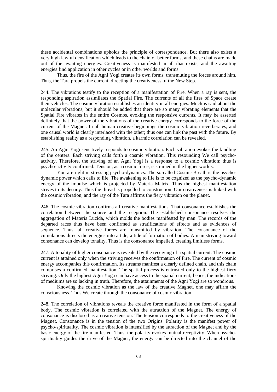these accidental combinations upholds the principle of correspondence. But there also exists a very high lawful densification which leads to the chain of better forms, and these chains are made out of the awaiting energies. Creativeness is manifested in all that exists, and the awaiting energies find application in other cycles or in other worlds and forms.

 Thus, the fire of the Agni Yogi creates its own forms, transmuting the forces around him. Thus, the Tara propels the current, directing the creativeness of the New Step.

244. The vibrations testify to the reception of a manifestation of Fire. When a ray is sent, the responding aspiration assimilates the Spatial Fire. The currents of all the fires of Space create their vehicles. The cosmic vibration establishes an identity in all energies. Much is said about the molecular vibrations, but it should be added that there are so many vibrating elements that the Spatial Fire vibrates in the entire Cosmos, evoking the responsive currents. It may be asserted definitely that the power of the vibrations of the creative energy corresponds to the force of the current of the Magnet. In all human creative beginnings the cosmic vibration reverberates, and one causal world is clearly interlaced with the other; thus one can link the past with the future. By establishing reality as a responding vibration, a karmic correlation can be revealed.

245. An Agni Yogi sensitively responds to cosmic vibration. Each vibration evokes the kindling of the centers. Each striving calls forth a cosmic vibration. This resounding We call psychoactivity. Therefore, the striving of an Agni Yogi is a response to a cosmic vibration; thus is psycho-activity confirmed. Tension, as a cosmic force, is strained in the higher worlds.

 You are right in stressing psycho-dynamics. The so-called Cosmic Breath is the psychodynamic power which calls to life. The awakening to life is to be cognized as the psycho-dynamic energy of the impulse which is projected by Materia Matrix. Thus the highest manifestation strives to its destiny. Thus the thread is propelled to construction. Our creativeness is linked with the cosmic vibration, and the ray of the Tara affirms the fiery vibration on the planet.

246. The cosmic vibration confirms all creative manifestations. That consonance establishes the correlation between the source and the reception. The established consonance resolves the aggregation of Materia Lucida, which molds the bodies manifested by man. The records of the departed races thus have been confirmed as stratifications of effects and as evidences of sequence. Thus, all creative forces are transmitted by vibration. The consonance of the cumulations directs the energies into a tide, a tide of formation of bodies. A man striving toward consonance can develop tonality. Thus is the consonance impelled, creating limitless forms.

247. A tonality of higher consonance is revealed by the receiving of a spatial current. The cosmic current is attained only when the striving receives the confirmation of Fire. The current of cosmic energy accompanies this confirmation. Its streams manifest a clearly defined chain, and this chain comprises a confirmed manifestation. The spatial process is entrusted only to the highest fiery striving. Only the highest Agni Yoga can have access to the spatial current; hence, the indications of mediums are so lacking in truth. Therefore, the attainments of the Agni Yogi are so wondrous.

 Knowing the cosmic vibration as the law of the creative Magnet, one may affirm the consciousness. Thus We create through the consonance of cosmic vibration.

248. The correlation of vibrations reveals the creative force manifested in the form of a spatial body. The cosmic vibration is correlated with the attraction of the Magnet. The energy of consonance is disclosed as a creative tension. The tension corresponds to the creativeness of the Magnet. Consonance is in the tension of the two Origins. Polarity is the manifest power of psycho-spirituality. The cosmic vibration is intensified by the attraction of the Magnet and by the basic energy of the fire manifested. Thus, the polarity evokes mutual receptivity. When psychospirituality guides the drive of the Magnet, the energy can be directed into the channel of the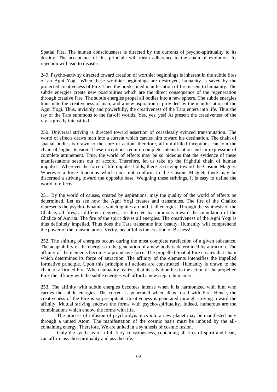Spatial Fire. The human consciousness is directed by the currents of psycho-spirituality to its destiny. The acceptance of this principle will mean adherence to the chain of evolution. Its rejection will lead to disaster.

249. Psycho-activity directed toward creation of worthier beginnings is inherent in the subtle fires of an Agni Yogi. When these worthier beginnings are destroyed, humanity is saved by the projected creativeness of Fire. Then the predestined manifestation of fire is sent to humanity. The subtle energies create new possibilities which are the direct consequence of the regeneration through creative Fire. The subtle energies propel all bodies into a new sphere. The subtle energies transmute the creativeness of man; and a new aspiration is provided by the manifestation of the Agni Yogi. Thus, invisibly and powerfully, the creativeness of the Tara enters into life. Thus the ray of the Tara summons to the far-off worlds. Yes, yes, yes! At present the creativeness of the ray is greatly intensified.

250. Universal striving is directed toward assertion of ceaselessly evinced transmutation. The world of effects draws man into a current which carries him toward his destination. The chain of spacial bodies is drawn to the core of action; therefore, all unfulfilled inceptions can join the chain of higher tension. These inceptions require complete intensification and an expression of complete attunement. True, the world of effects may be so hideous that the evidence of these manifestations seems out of accord. Therefore, let us take up the frightful chain of human impulses. Wherever the force of life impulse holds, there is striving toward the Cosmic Magnet. Wherever a force functions which does not conform to the Cosmic Magnet, there may be discerned a striving toward the opposite base. Weighing these strivings, it is easy to define the world of effects.

251. By the world of causes, created by aspirations, may the quality of the world of effects be determined. Let us see how the Agni Yogi creates and transmutes. The fire of the Chalice represents the psycho-dynamics which ignites around it all energies. Through the synthesis of the Chalice, all fires, at different degrees, are directed by summons toward the cumulation of the Chalice of Amrita. The fire of the spirit drives all energies. The creativeness of the Agni Yogi is thus definitely impelled. Thus does the Tara transmute into beauty. Humanity will comprehend the power of the transmutation. Verily, beautiful is the creation of Be-ness!

252. The shifting of energies occurs during the most complete rarefaction of a given substance. The adaptability of the energies to the generation of a new body is determined by attraction. The affinity of the elements becomes a propulsive force. The propelled Spatial Fire creates that chain which determines its force of attraction. The affinity of the elements intensifies the impelled formative principle. Upon this principle all actions are constructed. Humanity is drawn to the chain of affirmed Fire. When humanity realizes that its salvation lies in the action of the propelled Fire, the affinity with the subtle energies will afford a new step to humanity.

253. The affinity with subtle energies becomes intense when it is harmonized with him who carries the subtle energies. The current is generated when all is fused with Fire. Hence, the creativeness of the Fire is so precipitant. Creativeness is generated through striving toward the affinity. Mutual striving endows the forms with psycho-spirituality. Indeed, numerous are the combinations which endow the forms with life.

 The process of infusion of psycho-dynamics into a new planet may be manifested only through a united Atom. The manifestation of the cosmic basis must be imbued by the allcontaining energy. Therefore, We are united in a synthesis of cosmic fusion.

 Only the synthesis of a full fiery consciousness, containing all fires of spirit and heart, can affirm psycho-spirituality and psycho-life.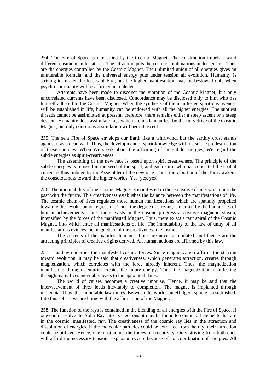254. The Fire of Space is intensified by the Cosmic Magnet. The construction impels toward different cosmic manifestations. The attraction puts the cosmic combinations under tension. Thus are the energies controlled by the Cosmic Magnet. The unlimited union of all energies gives an unutterable formula, and the universal energy puts under tension all evolution. Humanity is striving to master the forces of Fire, but the higher manifestation may be bestowed only when psycho-spirituality will be affirmed in a pledge.

 Attempts have been made to discover the vibration of the Cosmic Magnet, but only uncorrelated currents have been disclosed. Concordance may be disclosed only to him who has himself adhered to the Cosmic Magnet. When the synthesis of the manifested spirit-creativeness will be established in life, humanity can be endowed with all the higher energies. The subtlest threads cannot be assimilated at present; therefore, there remains either a steep ascent or a steep descent. Humanity does assimilate rays which are made manifest by the fiery drive of the Cosmic Magnet, but only conscious assimilation will permit ascent.

255. The sent Fire of Space envelops our Earth like a whirlwind, but the earthly crust stands against it as a dead wall. Thus, the development of spirit-knowledge will reveal the predestination of these energies. When We speak about the affirming of the subtle energies, We regard the subtle energies as spirit-creativeness.

 The assembling of the new race is based upon spirit creativeness. The principle of the subtle energies is reposed in the seed of the spirit, and each spirit who has contacted the spatial current is thus imbued by the Assembler of the new race. Thus, the vibration of the Tara awakens the consciousness toward the higher worlds. Yes, yes, yes!

256. The immutability of the Cosmic Magnet is manifested in those creative chains which link the past with the future. This creativeness establishes the balance between the manifestations of life. The cosmic chain of lives regulates those human manifestations which are spatially propelled toward either evolution or regression. Thus, the degree of striving is marked by the boundaries of human achievements. Thus, there exists in the cosmic progress a creative magnetic stream, intensified by the forces of the manifested Magnet. Thus, there exists a taut spiral of the Cosmic Magnet, into which enter all manifestations of life. The immutability of the law of unity of all manifestations evinces the magnetism of the creativeness of Cosmos.

 The currents of the manifest human actions are never annihilated; and thence are the attracting principles of creative origins derived. All human actions are affirmed by this law.

257. This law underlies the manifested cosmic forces. Since magnetization affirms the striving toward evolution, it may be said that creativeness, which generates attraction, creates through magnetization, which correlates with the force already inherent. Thus, the magnetization manifesting through centuries creates the future energy. Thus, the magnetization manifesting through many lives inevitably leads to the appointed dates.

 The world of causes becomes a creative impulse. Hence, it may be said that the interweavement of lives leads inevitably to completion. The magnet is implanted through millennia. Thus, the immutable law unites. Between the worlds an effulgent sphere is established. Into this sphere we are borne with the affirmation of the Magnet.

258. The function of the rays is contained in the blending of all energies with the Fire of Space. If one could resolve the Solar Ray into its electrons, it may be found to contain all elements that are in the cosmic, manifested, ray. The creativeness of the cosmic ray lies in the attraction and dissolution of energies. If the molecular particles could be extracted from the ray, their attraction could be utilized. Hence, one must adjust the forces of receptivity. Only striving from both ends will afford the necessary tension. Explosion occurs because of noncoordination of energies. All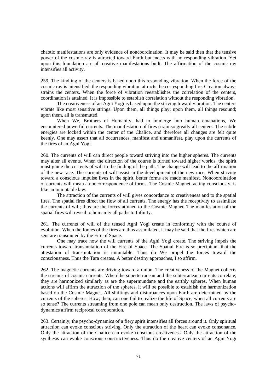chaotic manifestations are only evidence of noncoordination. It may be said then that the tensive power of the cosmic ray is attracted toward Earth but meets with no responding vibration. Yet upon this foundation are all creative manifestations built. The affirmation of the cosmic ray intensifies all activity.

259. The kindling of the centers is based upon this responding vibration. When the force of the cosmic ray is intensified, the responding vibration attracts the corresponding fire. Creation always strains the centers. When the force of vibration reestablishes the correlation of the centers, coordination is attained. It is impossible to establish correlation without the responding vibration.

 The creativeness of an Agni Yogi is based upon the striving toward vibration. The centers vibrate like most sensitive strings. Upon them, all things play; upon them, all things resound; upon them, all is transmuted.

 When We, Brothers of Humanity, had to immerge into human emanations, We encountered powerful currents. The manifestation of fires strain so greatly all centers. The subtle energies are locked within the center of the Chalice, and therefore all changes are felt quite keenly. One may assert that all occurrences, manifest and unmanifest, play upon the currents of the fires of an Agni Yogi.

260. The currents of will can direct people toward striving into the higher spheres. The currents may alter all events. When the direction of the course is turned toward higher worlds, the spirit must guide the currents of will to the finding of the path. The change will lead to the affirmation of the new race. The currents of will assist in the development of the new race. When striving toward a conscious impulse lives in the spirit, better forms are made manifest. Noncoordination of currents will mean a noncorrespondence of forms. The Cosmic Magnet, acting consciously, is like an immutable law.

 The attraction of the currents of will gives concordance to creativeness and to the spatial fires. The spatial fires direct the flow of all currents. The energy has the receptivity to assimilate the currents of will; thus are the forces attuned to the Cosmic Magnet. The manifestation of the spatial fires will reveal to humanity all paths to Infinity.

261. The currents of will of the tensed Agni Yogi create in conformity with the course of evolution. When the forces of the fires are thus assimilated, it may be said that the fires which are sent are transmuted by the Fire of Space.

 One may trace how the will currents of the Agni Yogi create. The striving impels the currents toward transmutation of the Fire of Space. The Spatial Fire is so precipitant that the attestation of transmutation is immutable. Thus do We propel the forces toward the consciousness. Thus the Tara creates. A better destiny approaches, I so affirm.

262. The magnetic currents are driving toward a union. The creativeness of the Magnet collects the streams of cosmic currents. When the superterranean and the subterranean currents correlate, they are harmonized similarly as are the supermundane and the earthly spheres. When human actions will affirm the attraction of the spheres, it will be possible to establish the harmonization based on the Cosmic Magnet. All shiftings and disturbances upon Earth are determined by the currents of the spheres. How, then, can one fail to realize the life of Space, when all currents are so tense? The currents streaming from one pole can mean only destruction. The laws of psychodynamics affirm reciprocal corroboration.

263. Certainly, the psycho-dynamics of a fiery spirit intensifies all forces around it. Only spiritual attraction can evoke conscious striving. Only the attraction of the heart can evoke consonance. Only the attraction of the Chalice can evoke conscious creativeness. Only the attraction of the synthesis can evoke conscious constructiveness. Thus do the creative centers of an Agni Yogi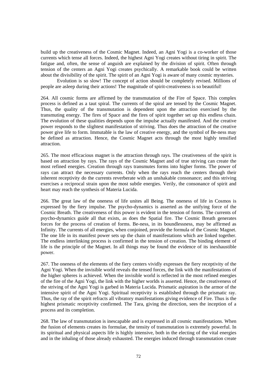build up the creativeness of the Cosmic Magnet. Indeed, an Agni Yogi is a co-worker of those currents which tense all forces. Indeed, the highest Agni Yogi creates without tiring in spirit. The fatigue and, often, the sense of anguish are explained by the division of spirit. Often through tension of the centers an Agni Yogi creates psychically. A remarkable book could be written about the divisibility of the spirit. The spirit of an Agni Yogi is aware of many cosmic mysteries.

 Evolution is so slow! The concept of action should be completely revised. Millions of people are asleep during their actions! The magnitude of spirit-creativeness is so beautiful!

264. All cosmic forms are affirmed by the transmutation of the Fire of Space. This complex process is defined as a taut spiral. The currents of the spiral are tensed by the Cosmic Magnet. Thus, the quality of the transmutation is dependent upon the attraction exercised by the transmuting energy. The fires of Space and the fires of spirit together set up this endless chain. The evolution of these qualities depends upon the impulse actually manifested. And the creative power responds to the slightest manifestation of striving. Thus does the attraction of the creative power give life to form. Immutable is the law of creative energy, and the symbol of Be-ness may be defined as attraction. Hence, the Cosmic Magnet acts through the most highly tensified attraction.

265. The most efficacious magnet is the attraction through rays. The creativeness of the spirit is based on attraction by rays. The rays of the Cosmic Magnet and of true striving can create the most refined energies. Creation through rays transmutes forms into higher forms. The power of rays can attract the necessary currents. Only when the rays reach the centers through their inherent receptivity do the currents reverberate with an unshakable consonance; and this striving exercises a reciprocal strain upon the most subtle energies. Verily, the consonance of spirit and heart may reach the synthesis of Materia Lucida.

266. The great law of the oneness of life unites all Being. The oneness of life in Cosmos is expressed by the fiery impulse. The psycho-dynamics is asserted as the unifying force of the Cosmic Breath. The creativeness of this power is evident in the tension of forms. The currents of psycho-dynamics guide all that exists, as does the Spatial fire. The Cosmic Breath generates forces for the process of creation of forms. Be-ness, in its boundlessness, may be affirmed as Infinity. The currents of all energies, when conjoined, provide the formula of the Cosmic Magnet. The one life in its manifest power sets up the chain of manifestations which are linked together. The endless interlinking process is confirmed in the tension of creation. The binding element of life is the principle of the Magnet. In all things may be found the evidence of its inexhaustible power.

267. The oneness of the elements of the fiery centers vividly expresses the fiery receptivity of the Agni Yogi. When the invisible world reveals the tensed forces, the link with the manifestations of the higher spheres is achieved. When the invisible world is reflected in the most refined energies of the fire of the Agni Yogi, the link with the higher worlds is asserted. Hence, the creativeness of the striving of the Agni Yogi is garbed in Materia Lucida. Prismatic aspiration is the armor of the intensive spirit of the Agni Yogi. Spiritual receptivity is established through the prismatic ray. Thus, the ray of the spirit refracts all vibratory manifestations giving evidence of Fire. Thus is the highest prismatic receptivity confirmed. The Tara, giving the direction, sees the inception of a process and its completion.

268. The law of transmutation is inescapable and is expressed in all cosmic manifestations. When the fusion of elements creates its formulae, the tensity of transmutation is extremely powerful. In its spiritual and physical aspects life is highly intensive, both in the electing of the vital energies and in the inhaling of those already exhausted. The energies induced through transmutation create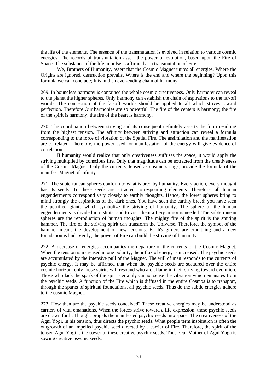the life of the elements. The essence of the transmutation is evolved in relation to various cosmic energies. The records of transmutation assert the power of evolution, based upon the Fire of Space. The substance of the life impulse is affirmed as a transmutation of Fire.

 We, Brothers of Humanity, assert that the Cosmic Magnet unites all energies. Where the Origins are ignored, destruction prevails. Where is the end and where the beginning? Upon this formula we can conclude; It is in the never-ending chain of harmony.

269. In boundless harmony is contained the whole cosmic creativeness. Only harmony can reveal to the planet the higher spheres. Only harmony can establish the chain of aspirations to the far-off worlds. The conception of the far-off worlds should be applied to all which strives toward perfection. Therefore Our harmonies are so powerful. The fire of the centers is harmony; the fire of the spirit is harmony; the fire of the heart is harmony.

270. The coordination between striving and its consequent definitely asserts the form resulting from the highest tension. The affinity between striving and attraction can reveal a formula corresponding to the force of vibration of the Spatial Fire. The assimilation and the manifestation are correlated. Therefore, the power used for manifestation of the energy will give evidence of correlation.

 If humanity would realize that only creativeness suffuses the space, it would apply the striving multiplied by conscious fire. Only that magnitude can be extracted from the creativeness of the Cosmic Magnet. Only the currents, tensed as cosmic strings, provide the formula of the manifest Magnet of Infinity

271. The subterranean spheres conform to what is bred by humanity. Every action, every thought has its seeds. To these seeds are attracted corresponding elements. Therefore, all human engenderments correspond very closely to earthly thoughts. Hence, the lower spheres bring to mind strongly the aspirations of the dark ones. You have seen the earthly breed; you have seen the petrified giants which symbolize the striving of humanity. The sphere of the human engenderments is divided into strata, and to visit them a fiery armor is needed. The subterranean spheres are the reproduction of human thoughts. The mighty fire of the spirit is the smiting hammer. The fire of the striving spirit can transform the Universe. Therefore, the symbol of the hammer means the development of new tensions. Earth's girders are crumbling and a new foundation is laid. Verily, the power of Fire can build the striving of humanity.

272. A decrease of energies accompanies the departure of the currents of the Cosmic Magnet. When the tension is increased in one polarity, the influx of energy is increased. The psychic seeds are accumulated by the intensive pull of the Magnet. The will of man responds to the currents of psychic energy. It may be affirmed that when the psychic seeds are scattered over the entire cosmic horizon, only those spirits will resound who are aflame in their striving toward evolution. Those who lack the spark of the spirit certainly cannot sense the vibration which emanates from the psychic seeds. A function of the Fire which is diffused in the entire Cosmos is to transport, through the sparks of spiritual foundations, all psychic seeds. Thus do the subtle energies adhere to the cosmic Magnet.

273. How then are the psychic seeds conceived? These creative energies may be understood as carriers of vital emanations. When the forces strive toward a life expression, these psychic seeds are drawn forth. Thought propels the manifested psychic seeds into space. The creativeness of the Agni Yogi, in his tension, thus directs the psychic seeds. What people term inspiration is often the outgrowth of an impelled psychic seed directed by a carrier of Fire. Therefore, the spirit of the tensed Agni Yogi is the sower of these creative psychic seeds. Thus, Our Mother of Agni Yoga is sowing creative psychic seeds.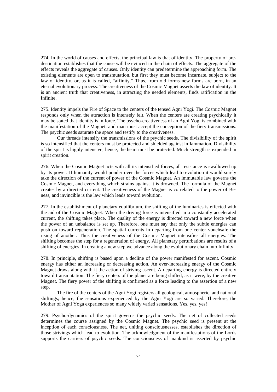274. In the world of causes and effects, the principal law is that of identity. The property of predestination establishes that the cause will be evinced in the chain of effects. The aggregate of the effects reveals the aggregate of causes. Only identity can predetermine the approaching form. The existing elements are open to transmutation, but first they must become incarnate, subject to the law of identity, or, as it is called, "affinity." Thus, from old forms new forms are born, in an eternal evolutionary process. The creativeness of the Cosmic Magnet asserts the law of identity. It is an ancient truth that creativeness, in attracting the needed elements, finds ratification in the Infinite.

275. Identity impels the Fire of Space to the centers of the tensed Agni Yogi. The Cosmic Magnet responds only when the attraction is intensely felt. When the centers are creating psychically it may be stated that identity is in force. The psycho-creativeness of an Agni Yogi is combined with the manifestation of the Magnet, and man must accept the conception of the fiery transmissions. The psychic seeds saturate the space and testify to the creativeness.

 Our threads intensify the transmissions of the psychic seeds. The divisibility of the spirit is so intensified that the centers must be protected and shielded against inflammation. Divisibility of the spirit is highly intensive; hence, the heart must be protected. Much strength is expended in spirit creation.

276. When the Cosmic Magnet acts with all its intensified forces, all resistance is swallowed up by its power. If humanity would ponder over the forces which lead to evolution it would surely take the direction of the current of power of the Cosmic Magnet. An immutable law governs the Cosmic Magnet, and everything which strains against it is drowned. The formula of the Magnet creates by a directed current. The creativeness of the Magnet is correlated to the power of Beness, and invincible is the law which leads toward evolution.

277. In the establishment of planetary equilibrium, the shifting of the luminaries is effected with the aid of the Cosmic Magnet. When the driving force is intensified in a constantly accelerated current, the shifting takes place. The quality of the energy is directed toward a new force when the power of an unbalance is set up. Therefore, one must say that only the subtle energies can push on toward regeneration. The spatial currents in departing from one center vouchsafe the rising of another. Thus the creativeness of the Cosmic Magnet intensifies all energies. The shifting becomes the step for a regeneration of energy. All planetary perturbations are results of a shifting of energies. In creating a new step we advance along the evolutionary chain into Infinity.

278. In principle, shifting is based upon a decline of the power manifested for ascent. Cosmic energy has either an increasing or decreasing action. An ever-increasing energy of the Cosmic Magnet draws along with it the action of striving ascent. A departing energy is directed entirely toward transmutation. The fiery centers of the planet are being shifted, as it were, by the creative Magnet. The fiery power of the shifting is confirmed as a force leading to the assertion of a new step.

 The fire of the centers of the Agni Yogi registers all geological, atmospheric, and national shiftings; hence, the sensations experienced by the Agni Yogi are so varied. Therefore, the Mother of Agni Yoga experiences so many widely varied sensations. Yes, yes, yes!

279. Psycho-dynamics of the spirit governs the psychic seeds. The net of collected seeds determines the course assigned by the Cosmic Magnet. The psychic seed is present at the inception of each consciousness. The net, uniting consciousnesses, establishes the direction of those strivings which lead to evolution. The acknowledgment of the manifestations of the Lords supports the carriers of psychic seeds. The consciousness of mankind is asserted by psychic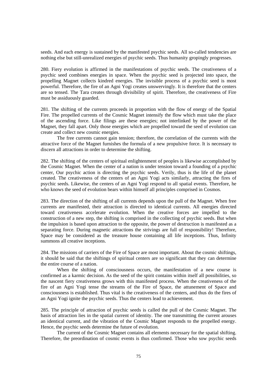seeds. And each energy is sustained by the manifested psychic seeds. All so-called tendencies are nothing else but still-unrealized energies of psychic seeds. Thus humanity gropingly progresses.

280. Fiery evolution is affirmed in the manifestations of psychic seeds. The creativeness of a psychic seed combines energies in space. When the psychic seed is projected into space, the propelling Magnet collects kindred energies. The invisible process of a psychic seed is most powerful. Therefore, the fire of an Agni Yogi creates unswervingly. It is therefore that the centers are so tensed. The Tara creates through divisibility of spirit. Therefore, the creativeness of Fire must be assiduously guarded.

281. The shifting of the currents proceeds in proportion with the flow of energy of the Spatial Fire. The propelled currents of the Cosmic Magnet intensify the flow which must take the place of the ascending force. Like filings are these energies; not interlinked by the power of the Magnet, they fall apart. Only those energies which are propelled toward the seed of evolution can create and collect new cosmic energies.

 The free currents cannot gain tension; therefore, the correlation of the currents with the attractive force of the Magnet furnishes the formula of a new propulsive force. It is necessary to discern all attractions in order to determine the shifting.

282. The shifting of the centers of spiritual enlightenment of peoples is likewise accomplished by the Cosmic Magnet. When the center of a nation is under tension toward a founding of a psychic center, Our psychic action is directing the psychic seeds. Verily, thus is the life of the planet created. The creativeness of the centers of an Agni Yogi acts similarly, attracting the fires of psychic seeds. Likewise, the centers of an Agni Yogi respond to all spatial events. Therefore, he who knows the seed of evolution bears within himself all principles comprised in Cosmos.

283. The direction of the shifting of all currents depends upon the pull of the Magnet. When free currents are manifested, their attraction is directed to identical currents. All energies directed toward creativeness accelerate evolution. When the creative forces are impelled to the construction of a new step, the shifting is comprised in the collecting of psychic seeds. But when the impulsion is based upon attraction to the opposite, the power of destruction is manifested as a separating force. During magnetic attractions the strivings are full of responsibility! Therefore, Space may be considered as the treasure house containing all life inceptions. Thus, Infinity summons all creative inceptions.

284. The missions of carriers of the Fire of Space are most important. About the cosmic shiftings, it should be said that the shiftings of spiritual centers are so significant that they can determine the entire course of a nation.

 When the shifting of consciousness occurs, the manifestation of a new course is confirmed as a karmic decision. As the seed of the spirit contains within itself all possibilities, so the nascent fiery creativeness grows with this manifested process. When the creativeness of the fire of an Agni Yogi tense the streams of the Fire of Space, the attunement of Space and consciousness is established. Thus vital is the creativeness of the centers, and thus do the fires of an Agni Yogi ignite the psychic seeds. Thus the centers lead to achievement.

285. The principle of attraction of psychic seeds is called the pull of the Cosmic Magnet. The basis of attraction lies in the spatial current of identity. The one transmitting the current arouses an identical current, and the vibration of the Cosmic Magnet responds to the propelled energy. Hence, the psychic seeds determine the future of evolution.

 The current of the Cosmic Magnet contains all elements necessary for the spatial shifting. Therefore, the preordination of cosmic events is thus confirmed. Those who sow psychic seeds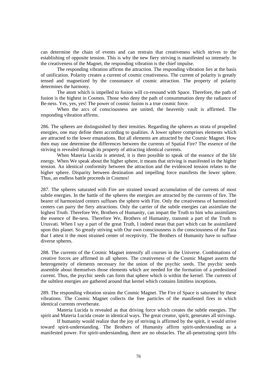can determine the chain of events and can restrain that creativeness which strives to the establishing of opposite tension. This is why the new fiery striving is manifested so intensely. In the creativeness of the Magnet, the responding vibration is the chief impulse.

 The responding vibration affirms the attraction. The responding vibration lies at the basis of unification. Polarity creates a current of cosmic creativeness. The current of polarity is greatly tensed and magnetized by the consonance of cosmic attraction. The property of polarity determines the harmony.

 The atom which is impelled to fusion will co-resound with Space. Therefore, the path of fusion is the highest in Cosmos. Those who deny the path of consummation deny the radiance of Be-ness. Yes, yes, yes! The power of cosmic fusion is a true cosmic force.

 When the arcs of consciousness are united, the heavenly vault is affirmed. The responding vibration affirms.

286. The spheres are distinguished by their tensities. Regarding the spheres as strata of propelled energies, one may define them according to qualities. A lower sphere comprises elements which are attracted to the lower emanations. But all elements are attracted by the Cosmic Magnet. How then may one determine the differences between the currents of Spatial Fire? The essence of the striving is revealed through its property of attracting identical currents.

 When Materia Lucida is attested, it is then possible to speak of the essence of the life energy. When We speak about the higher sphere, it means that striving is manifested in the higher tension. An identical conformity between the attraction and the evidenced tension relates to the higher sphere. Disparity between destination and impelling force manifests the lower sphere. Thus, an endless battle proceeds in Cosmos!

287. The spheres saturated with Fire are strained toward accumulation of the currents of most subtle energies. In the battle of the spheres the energies are attracted by the currents of fire. The bearer of harmonized centers suffuses the sphere with Fire. Only the creativeness of harmonized centers can parry the fiery attractions. Only the carrier of the subtle energies can assimilate the highest Truth. Therefore We, Brothers of Humanity, can impart the Truth to him who assimilates the essence of Be-ness. Therefore We, Brothers of Humanity, transmit a part of the Truth to Urusvati. When I say a part of the great Truth, I indeed mean that part which can be assimilated upon this planet. So greatly striving with Our own consciousness is the consciousness of the Tara that I attest it the most strained center of receptivity. The Brothers of Humanity have to suffuse diverse spheres.

288. The currents of the Cosmic Magnet intensify all courses in the Universe. Combinations of creative forces are affirmed in all spheres. The creativeness of the Cosmic Magnet asserts the heterogeneity of elements necessary for the union of the psychic seeds. The psychic seeds assemble about themselves those elements which are needed for the formation of a predestined current. Thus, the psychic seeds can form that sphere which is within the kernel. The currents of the subtlest energies are gathered around that kernel which contains limitless inceptions.

289. The responding vibration strains the Cosmic Magnet. The Fire of Space is saturated by these vibrations. The Cosmic Magnet collects the free particles of the manifested fires in which identical currents reverberate.

 Materia Lucida is revealed as that driving force which creates the subtle energies. The spirit and Materia Lucida create in identical ways. The great creator, spirit, generates all strivings.

 If humanity would realize that the joy of striving is affirmed by the spirit, it would strive toward spirit-understanding. The Brothers of Humanity affirm spirit-understanding as a manifested power. For spirit-understanding, there are no obstacles. The all-penetrating spirit lifts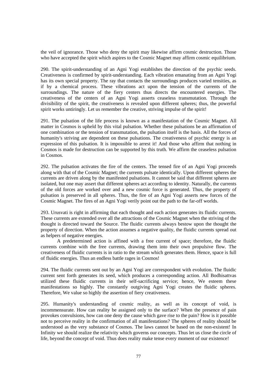the veil of ignorance. Those who deny the spirit may likewise affirm cosmic destruction. Those who have accepted the spirit which aspires to the Cosmic Magnet may affirm cosmic equilibrium.

290. The spirit-understanding of an Agni Yogi establishes the direction of the psychic seeds. Creativeness is confirmed by spirit-understanding. Each vibration emanating from an Agni Yogi has its own special property. The ray that contacts the surroundings produces varied tensities, as if by a chemical process. These vibrations act upon the tension of the currents of the surroundings. The nature of the fiery centers thus directs the encountered energies. The creativeness of the centers of an Agni Yogi asserts ceaseless transmutation. Through the divisibility of the spirit, the creativeness is revealed upon different spheres; thus, the powerful spirit works untiringly. Let us remember the creative, striving impulse of the spirit!

291. The pulsation of the life process is known as a manifestation of the Cosmic Magnet. All matter in Cosmos is upheld by this vital pulsation. Whether these pulsations be an affirmation of one combination or the tension of transmutation, the pulsation itself is the basis. All the forces of humanity's striving are dependent on these pulsations. The creativeness of psychic energy is an expression of this pulsation. It is impossible to arrest it! And those who affirm that nothing in Cosmos is made for destruction can be supported by this truth. We affirm the ceaseless pulsation in Cosmos.

292. The pulsation activates the fire of the centers. The tensed fire of an Agni Yogi proceeds along with that of the Cosmic Magnet; the currents pulsate identically. Upon different spheres the currents are driven along by the manifested pulsations. It cannot be said that different spheres are isolated, but one may assert that different spheres act according to identity. Naturally, the currents of the old forces are worked over and a new cosmic force is generated. Thus, the property of pulsation is preserved in all spheres. Thus, the fire of an Agni Yogi asserts new forces of the Cosmic Magnet. The fires of an Agni Yogi verily point out the path to the far-off worlds.

293. Urusvati is right in affirming that each thought and each action generates its fluidic currents. These currents are extended over all the attractions of the Cosmic Magnet when the striving of the thought is directed toward the Source. The fluidic currents always bestow upon the thought the property of direction. When the action assumes a negative quality, the fluidic currents spread out as helpers of negative energies.

 A predetermined action is affined with a free current of space; therefore, the fluidic currents combine with the free currents, drawing them into their own propulsive flow. The creativeness of fluidic currents is in ratio to the stream which generates them. Hence, space is full of fluidic energies. Thus an endless battle rages in Cosmos!

294. The fluidic currents sent out by an Agni Yogi are correspondent with evolution. The fluidic current sent forth generates its seed, which produces a corresponding action. All Bodhisattvas utilized these fluidic currents in their self-sacrificing service; hence, We esteem these manifestations so highly. The constantly outgiving Agni Yogi creates the fluidic spheres. Therefore, We value so highly the assertion of fiery creativeness.

295. Humanity's understanding of cosmic reality, as well as its concept of void, is incommensurate. How can reality be assigned only to the surface? When the presence of pain provokes convulsions, how can one deny the cause which gave rise to the pain? How is it possible not to perceive reality in the confirmation of all manifestations? The spheres of reality should be understood as the very substance of Cosmos. The laws cannot be based on the non-existent! In Infinity we should realize the relativity which governs our concepts. Thus let us close the circle of life, beyond the concept of void. Thus does reality make tense every moment of our existence!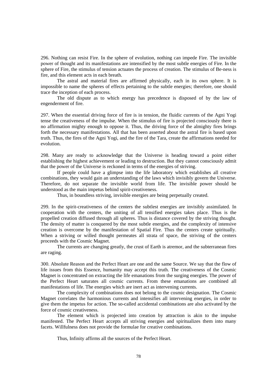296. Nothing can resist Fire. In the sphere of evolution, nothing can impede Fire. The invisible power of thought and its manifestations are intensified by the most subtle energies of Fire. In the sphere of Fire, the stimulus of tension actuates the process of creation. The stimulus of Be-ness is fire, and this element acts in each breath.

 The astral and material fires are affirmed physically, each in its own sphere. It is impossible to name the spheres of effects pertaining to the subtle energies; therefore, one should trace the inception of each process.

 The old dispute as to which energy has precedence is disposed of by the law of engenderment of fire.

297. When the essential driving force of fire is in tension, the fluidic currents of the Agni Yogi tense the creativeness of the impulse. When the stimulus of fire is projected consciously there is no affirmation mighty enough to oppose it. Thus, the driving force of the almighty fires brings forth the necessary manifestations. All that has been asserted about the astral fire is based upon truth. Thus, the fires of the Agni Yogi, and the fire of the Tara, create the affirmations needed for evolution.

298. Many are ready to acknowledge that the Universe is heading toward a point either establishing the highest achievement or leading to destruction. But they cannot consciously admit that the power of the Universe is reckoned in terms of the energies of striving.

 If people could have a glimpse into the life laboratory which establishes all creative combinations, they would gain an understanding of the laws which invisibly govern the Universe. Therefore, do not separate the invisible world from life. The invisible power should be understood as the main impetus behind spirit-creativeness.

Thus, in boundless striving, invisible energies are being perpetually created.

299. In the spirit-creativeness of the centers the subtlest energies are invisibly assimilated. In cooperation with the centers, the uniting of all tensified energies takes place. Thus is the propelled creation diffused through all spheres. Thus is distance covered by the striving thought. The density of matter is conquered by the most subtle energies, and the complexity of intensive creation is overcome by the manifestation of Spatial Fire. Thus the centers create spiritually. When a striving or willed thought permeates all strata of space, the striving of the centers proceeds with the Cosmic Magnet.

 The currents are changing greatly, the crust of Earth is atremor, and the subterranean fires are raging.

300. Absolute Reason and the Perfect Heart are one and the same Source. We say that the flow of life issues from this Essence, humanity may accept this truth. The creativeness of the Cosmic Magnet is concentrated on extracting the life emanations from the surging energies. The power of the Perfect Heart saturates all cosmic currents. From these emanations are combined all manifestations of life. The energies which are inert act as intervening currents.

 The complexity of combinations does not belong to the cosmic designation. The Cosmic Magnet correlates the harmonious currents and intensifies all intervening energies, in order to give them the impetus for action. The so-called accidental combinations are also activated by the force of cosmic creativeness.

 The element which is projected into creation by attraction is akin to the impulse manifested. The Perfect Heart accepts all striving energies and spiritualizes them into many facets. Willfulness does not provide the formulae for creative combinations.

Thus, Infinity affirms all the sources of the Perfect Heart.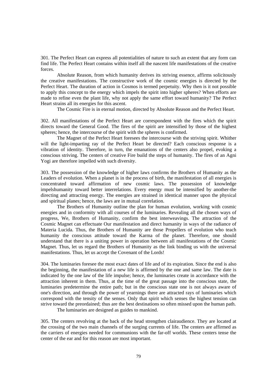301. The Perfect Heart can express all potentialities of nature to such an extent that any form can find life. The Perfect Heart contains within itself all the nascent life manifestations of the creative forces.

 Absolute Reason, from which humanity derives its striving essence, affirms solicitously the creative manifestations. The constructive work of the cosmic energies is directed by the Perfect Heart. The duration of action in Cosmos is termed perpetuity. Why then is it not possible to apply this concept to the energy which impels the spirit into higher spheres? When efforts are made to refine even the plant life, why not apply the same effort toward humanity? The Perfect Heart strains all its energies for this ascent.

The Cosmic Fire is in eternal motion, directed by Absolute Reason and the Perfect Heart.

302. All manifestations of the Perfect Heart are correspondent with the fires which the spirit directs toward the General Good. The fires of the spirit are intensified by those of the highest spheres; hence, the intercourse of the spirit with the spheres is confirmed.

 The Magnet of the Perfect Heart foresees the intercourse with the striving spirit. Whither will the light-imparting ray of the Perfect Heart be directed? Each conscious response is a vibration of identity. Therefore, in turn, the emanations of the centers also propel, evoking a conscious striving. The centers of creative Fire build the steps of humanity. The fires of an Agni Yogi are therefore impelled with such diversity.

303. The possession of the knowledge of higher laws confirms the Brothers of Humanity as the Leaders of evolution. When a planet is in the process of birth, the manifestation of all energies is concentrated toward affirmation of new cosmic laws. The possession of knowledge impelshumanity toward better interrelations. Every energy must be intensified by another-the directing and attracting energy. The energies are strained in identical manner upon the physical and spiritual planes; hence, the laws are in mutual correlation.

 The Brothers of Humanity outline the plan for human evolution, working with cosmic energies and in conformity with all courses of the luminaries. Revealing all the chosen ways of progress, We, Brothers of Humanity, confirm the best interweavings. The attraction of the Cosmic Magnet can effectuate Our manifestation and direct humanity in ways of the radiance of Materia Lucida. Thus, the Brothers of Humanity are those Propellers of evolution who teach humanity the conscious attitude toward the Karma of the planet. Therefore, one should understand that there is a uniting power in operation between all manifestations of the Cosmic Magnet. Thus, let us regard the Brothers of Humanity as the link binding us with the universal manifestations. Thus, let us accept the Covenant of the Lords!

304. The luminaries foresee the most exact dates of life and of its expiration. Since the end is also the beginning, the manifestation of a new life is affirmed by the one and same law. The date is indicated by the one law of the life impulse; hence, the luminaries create in accordance with the attraction inherent in them. Thus, at the time of the great passage into the conscious state, the luminaries predetermine the entire path; but in the conscious state one is not always aware of one's direction, and through the power of yearnings there are attracted rays of luminaries which correspond with the tensity of the senses. Only that spirit which senses the highest tension can strive toward the preordained; thus are the best destinations so often missed upon the human path.

The luminaries are designed as guides to mankind.

305. The centers revolving at the back of the head strengthen clairaudience. They are located at the crossing of the two main channels of the surging currents of life. The centers are affirmed as the carriers of energies needed for communions with the far-off worlds. These centers tense the center of the ear and for this reason are most important.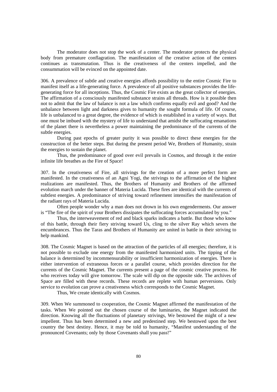The moderator does not stop the work of a center. The moderator protects the physical body from premature conflagration. The manifestation of the creative action of the centers continues as transmutation. Thus is the creativeness of the centers impelled, and the consummation will be evinced on the appointed date.

306. A prevalence of subtle and creative energies affords possibility to the entire Cosmic Fire to manifest itself as a life-generating force. A prevalence of all positive substances provides the lifegenerating force for all inceptions. Thus, the Cosmic Fire exists as the great collector of energies. The affirmation of a consciously manifested substance strains all threads. How is it possible then not to admit that the law of balance is not a law which confirms equally evil and good? And the unbalance between light and darkness gives to humanity the sought formula of life. Of course, life is unbalanced to a great degree, the evidence of which is established in a variety of ways. But one must be imbued with the mystery of life to understand that amidst the suffocating emanations of the planet there is nevertheless a power maintaining the predominance of the currents of the subtle energies.

 During past epochs of greater purity it was possible to direct these energies for the construction of the better steps. But during the present period We, Brothers of Humanity, strain the energies to sustain the planet.

 Thus, the predominance of good over evil prevails in Cosmos, and through it the entire infinite life breathes as the Fire of Space!

307. In the creativeness of Fire, all strivings for the creation of a more perfect form are manifested. In the creativeness of an Agni Yogi, the strivings to the affirmation of the highest realizations are manifested. Thus, the Brothers of Humanity and Brothers of the affirmed evolution march under the banner of Materia Lucida. These fires are identical with the currents of subtlest energies. A predominance of striving toward refinement intensifies the manifestation of the radiant rays of Materia Lucida.

 Often people wonder why a man does not drown in his own engenderments. Our answer is "The fire of the spirit of your Brothers dissipates the suffocating forces accumulated by you."

 Thus, the interweavement of red and black sparks indicates a battle. But those who know of this battle, through their fiery striving toward Us, cling to the silver Ray which severs the encumbrances. Thus the Taras and Brothers of Humanity are united in battle in their striving to help mankind.

308. The Cosmic Magnet is based on the attraction of the particles of all energies; therefore, it is not possible to exclude one energy from the manifested harmonized units. The tipping of the balance is determined by incommensurability or insufficient harmonization of energies. There is either intervention of extraneous forces or a parallel course, which provides direction for the currents of the Cosmic Magnet. The currents present a page of the cosmic creative process. He who receives today will give tomorrow. The scale will dip on the opposite side. The archives of Space are filled with these records. These records are replete with human perversions. Only service to evolution can prove a creativeness which corresponds to the Cosmic Magnet.

Thus, We create identically with Cosmos.

309. When We summoned to cooperation, the Cosmic Magnet affirmed the manifestation of the tasks. When We pointed out the chosen course of the luminaries, the Magnet indicated the direction. Knowing all the fluctuations of planetary strivings, We bestowed the might of a new impellent. Thus has been determined a new and predestined step. We bestowed upon the best country the best destiny. Hence, it may be told to humanity, "Manifest understanding of the pronounced Covenants; only by those Covenants shall you pass!"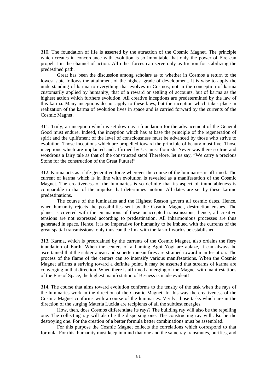310. The foundation of life is asserted by the attraction of the Cosmic Magnet. The principle which creates in concordance with evolution is so immutable that only the power of Fire can propel it in the channel of action. All other forces can serve only as friction for stabilizing the predestined path.

 Great has been the discussion among scholars as to whether in Cosmos a return to the lowest state follows the attainment of the highest grade of development. It is wise to apply the understanding of karma to everything that evolves in Cosmos; not in the conception of karma customarily applied by humanity, that of a reward or settling of accounts, but of karma as the highest action which furthers evolution. All creative inceptions are predetermined by the law of this karma. Many inceptions do not apply to these laws, but the inception which takes place in realization of the karma of evolution lives in space and is carried forward by the currents of the Cosmic Magnet.

311. Truly, an inception which is set down as a foundation for the advancement of the General Good must endure. Indeed, the inception which has at base the principle of the regeneration of spirit and the upliftment of the level of consciousness must be advanced by those who strive to evolution. Those inceptions which are propelled toward the principle of beauty must live. Those inceptions which are implanted and affirmed by Us must flourish. Never was there so true and wondrous a fairy tale as that of the constructed step! Therefore, let us say, "We carry a precious Stone for the construction of the Great Future!"

312. Karma acts as a life-generative force wherever the course of the luminaries is affirmed. The current of karma which is in line with evolution is revealed as a manifestation of the Cosmic Magnet. The creativeness of the luminaries is so definite that its aspect of immutableness is comparable to that of the impulse that determines motion. All dates are set by these karmic predestinations.

 The course of the luminaries and the Highest Reason govern all cosmic dates. Hence, when humanity rejects the possibilities sent by the Cosmic Magnet, destruction ensues. The planet is covered with the emanations of these unaccepted transmissions; hence, all creative tensions are not expressed according to predestination. All inharmonious processes are thus generated in space. Hence, it is so imperative for humanity to be imbued with the currents of the great spatial transmissions; only thus can the link with the far-off worlds be established.

313. Karma, which is preordained by the currents of the Cosmic Magnet, also ordains the fiery inundation of Earth. When the centers of a flaming Agni Yogi are ablaze, it can always be ascertained that the subterranean and superterranean fires are strained toward manifestation. The process of the flame of the centers can so intensify various manifestations. When the Cosmic Magnet affirms a striving toward a definite point, it may be asserted that streams of karma are converging in that direction. When there is affirmed a merging of the Magnet with manifestations of the Fire of Space, the highest manifestation of Be-ness is made evident!

314. The course that aims toward evolution conforms to the tensity of the task when the rays of the luminaries work in the direction of the Cosmic Magnet. In this way the creativeness of the Cosmic Magnet conforms with a course of the luminaries. Verily, those tasks which are in the direction of the surging Materia Lucida are recipients of all the subtlest energies.

 How, then, does Cosmos differentiate its rays? The building ray will also be the repelling one. The collecting ray will also be the dispersing one. The constructing ray will also be the destroying one. For the creation of a better formula better combinations must be assembled.

 For this purpose the Cosmic Magnet collects the correlations which correspond to that formula. For this, humanity must keep in mind that one and the same ray transmutes, purifies, and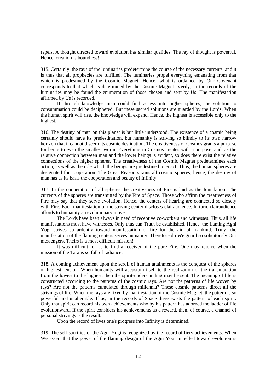repels. A thought directed toward evolution has similar qualities. The ray of thought is powerful. Hence, creation is boundless!

315. Certainly, the rays of the luminaries predetermine the course of the necessary currents, and it is thus that all prophecies are fulfilled. The luminaries propel everything emanating from that which is predestined by the Cosmic Magnet. Hence, what is ordained by Our Covenant corresponds to that which is determined by the Cosmic Magnet. Verily, in the records of the luminaries may be found the enumeration of those chosen and sent by Us. The manifestation affirmed by Us is recorded.

 If through knowledge man could find access into higher spheres, the solution to consummation could be deciphered. But these sacred solutions are guarded by the Lords. When the human spirit will rise, the knowledge will expand. Hence, the highest is accessible only to the highest.

316. The destiny of man on this planet is but little understood. The existence of a cosmic being certainly should have its predestination, but humanity is striving so blindly to its own narrow horizon that it cannot discern its cosmic destination. The creativeness of Cosmos grants a purpose for being to even the smallest worm. Everything in Cosmos creates with a purpose, and, as the relative connection between man and the lower beings is evident, so does there exist the relative connections of the higher spheres. The creativeness of the Cosmic Magnet predetermines each action, as well as the role which the beings are predestined to enact. Thus, the human spheres are designated for cooperation. The Great Reason strains all cosmic spheres; hence, the destiny of man has as its basis the cooperation and beauty of Infinity.

317. In the cooperation of all spheres the creativeness of Fire is laid as the foundation. The currents of the spheres are transmitted by the Fire of Space. Those who affirm the creativeness of Fire may say that they serve evolution. Hence, the centers of hearing are connected so closely with Fire. Each manifestation of the striving center discloses clairaudience. In turn, clairaudience affords to humanity an evolutionary move.

 The Lords have been always in need of receptive co-workers and witnesses. Thus, all life manifestations must have witnesses. Only thus can Truth be established. Hence, the flaming Agni Yogi strives so ardently toward manifestation of fire for the aid of mankind. Truly, the manifestation of the flaming centers serves humanity. Therefore do We guard so solicitously Our messengers. Theirs is a most difficult mission!

 It was difficult for us to find a receiver of the pure Fire. One may rejoice when the mission of the Tara is so full of radiance!

318. A coming achievement upon the scroll of human attainments is the conquest of the spheres of highest tension. When humanity will accustom itself to the realization of the transmutation from the lowest to the highest, then the spirit-understanding may be sent. The meaning of life is constructed according to the patterns of the cosmic rays. Are not the patterns of life woven by rays? Are not the patterns cumulated through millennia? These cosmic patterns direct all the strivings of life. When the rays are fixed by manifestation of the Cosmic Magnet, the pattern is so powerful and unalterable. Thus, in the records of Space there exists the pattern of each spirit. Only that spirit can record his own achievements who by his pattern has adorned the ladder of life evolutionward. If the spirit considers his achievements as a reward, then, of course, a channel of personal strivings is the result.

Upon the record of lives one's progress into Infinity is determined.

319. The self-sacrifice of the Agni Yogi is recognized by the record of fiery achievements. When We assert that the power of the flaming design of the Agni Yogi impelled toward evolution is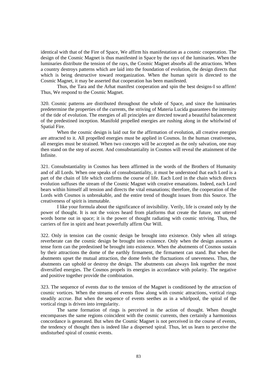identical with that of the Fire of Space, We affirm his manifestation as a cosmic cooperation. The design of the Cosmic Magnet is thus manifested in Space by the rays of the luminaries. When the luminaries distribute the tension of the rays, the Cosmic Magnet absorbs all the attractions. When a country destroys patterns which are laid into the foundation of evolution, the design directs that which is being destructive toward reorganization. When the human spirit is directed to the Cosmic Magnet, it may be asserted that cooperation has been manifested.

 Thus, the Tara and the Arhat manifest cooperation and spin the best designs-I so affirm! Thus, We respond to the Cosmic Magnet.

320. Cosmic patterns are distributed throughout the whole of Space, and since the luminaries predetermine the properties of the currents, the striving of Materia Lucida guarantees the intensity of the tide of evolution. The energies of all principles are directed toward a beautiful balancement of the predestined inception. Manifold propelled energies are rushing along in the whirlwind of Spatial Fire.

 When the cosmic design is laid out for the affirmation of evolution, all creative energies are attracted to it. All propelled energies must be applied in Cosmos. In the human creativeness, all energies must be strained. When two concepts will be accepted as the only salvation, one may then stand on the step of ascent. And consubstantiality in Cosmos will reveal the attainment of the Infinite.

321. Consubstantiality in Cosmos has been affirmed in the words of the Brothers of Humanity and of all Lords. When one speaks of consubstantiality, it must be understood that each Lord is a part of the chain of life which confirms the course of life. Each Lord in the chain which directs evolution suffuses the stream of the Cosmic Magnet with creative emanations. Indeed, each Lord bears within himself all tension and directs the vital emanations; therefore, the cooperation of the Lords with Cosmos is unbreakable, and the entire trend of thought issues from this Source. The creativeness of spirit is immutable.

 I like your formula about the significance of invisibility. Verily, life is created only by the power of thought. It is not the voices heard from platforms that create the future, not uttered words borne out in space; it is the power of thought radiating with cosmic striving. Thus, the carriers of fire in spirit and heart powerfully affirm Our Will.

322. Only in tension can the cosmic design be brought into existence. Only when all strings reverberate can the cosmic design be brought into existence. Only when the design assumes a tense form can the predestined be brought into existence. When the abutments of Cosmos sustain by their attractions the dome of the earthly firmament, the firmament can stand. But when the abutments upset the mutual attraction, the dome feels the fluctuations of unevenness. Thus, the abutments can uphold or destroy the design. The abutments can always link together the most diversified energies. The Cosmos propels its energies in accordance with polarity. The negative and positive together provide the combination.

323. The sequence of events due to the tension of the Magnet is conditioned by the attraction of cosmic vortices. When the streams of events flow along with cosmic attractions, vortical rings steadily accrue. But when the sequence of events seethes as in a whirlpool, the spiral of the vortical rings is driven into irregularity.

 The same formation of rings is perceived in the action of thought. When thought encompasses the same regions coincident with the cosmic currents, then certainly a harmonious concordance is generated. But when the Cosmic Magnet is not perceived in the course of events, the tendency of thought then is indeed like a dispersed spiral. Thus, let us learn to perceive the undisturbed spiral of cosmic events.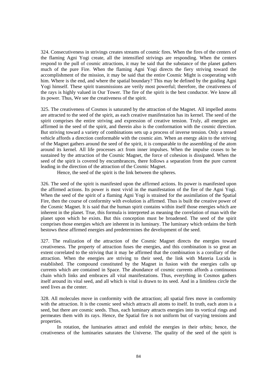324. Consecutiveness in strivings creates streams of cosmic fires. When the fires of the centers of the flaming Agni Yogi create, all the intensified strivings are responding. When the centers respond to the pull of cosmic attractions, it may be said that the substance of the planet gathers much of the pure Fire. When the flaming Agni Yogi directs the fiery striving toward the accomplishment of the mission, it may be said that the entire Cosmic Might is cooperating with him. Where is the end, and where the spatial boundary? This may be defined by the guiding Agni Yogi himself. These spirit transmissions are verily most powerful; therefore, the creativeness of the rays is highly valued in Our Tower. The fire of the spirit is the best conductor. We know all its power. Thus, We see the creativeness of the spirit.

325. The creativeness of Cosmos is saturated by the attraction of the Magnet. All impelled atoms are attracted to the seed of the spirit, as each creative manifestation has its kernel. The seed of the spirit comprises the entire striving and expression of creative tension. Truly, all energies are affirmed in the seed of the spirit, and therein also is the conformation with the cosmic direction. But striving toward a variety of combinations sets up a process of inverse tension. Only a tensed vehicle affords a direction conformable with the cosmic aim. When an energy akin to the striving of the Magnet gathers around the seed of the spirit, it is comparable to the assembling of the atom around its kernel. All life processes act from inner impulses. When the impulse ceases to be sustained by the attraction of the Cosmic Magnet, the force of cohesion is dissipated. When the seed of the spirit is covered by encumbrances, there follows a separation from the pure current leading in the direction of the attraction of the Cosmic Magnet.

Hence, the seed of the spirit is the link between the spheres.

326. The seed of the spirit is manifested upon the affirmed actions. Its power is manifested upon the affirmed actions. Its power is most vivid in the manifestation of the fire of the Agni Yogi. When the seed of the spirit of a flaming Agni Yogi is strained for the assimilation of the Spatial Fire, then the course of conformity with evolution is affirmed. Thus is built the creative power of the Cosmic Magnet. It is said that the human spirit contains within itself those energies which are inherent in the planet. True, this formula is interpreted as meaning the correlation of man with the planet upon which he exists. But this conception must be broadened. The seed of the spirit comprises those energies which are inherent in its luminary. The luminary which ordains the birth bestows these affirmed energies and predetermines the development of the seed.

327. The realization of the attraction of the Cosmic Magnet directs the energies toward creativeness. The property of attraction fuses the energies, and this combination is so great an extent correlated to the striving that it may be affirmed that the combination is a corollary of the attraction. When the energies are striving to their seed, the link with Materia Lucida is established. The compound constituted by the Magnet in fusion with the energies calls up currents which are contained in Space. The abundance of cosmic currents affords a continuous chain which links and embraces all vital manifestations. Thus, everything in Cosmos gathers itself around its vital seed, and all which is vital is drawn to its seed. And in a limitless circle the seed lives as the center.

328. All molecules move in conformity with the attraction; all spatial fires move in conformity with the attraction. It is the cosmic seed which attracts all atoms to itself. In truth, each atom is a seed, but there are cosmic seeds. Thus, each luminary attracts energies into its vortical rings and permeates them with its rays. Hence, the Spatial fire is not uniform but of varying tensions and properties.

 In rotation, the luminaries attract and enfold the energies in their orbits; hence, the creativeness of the luminaries saturates the Universe. The quality of the seed of the spirit is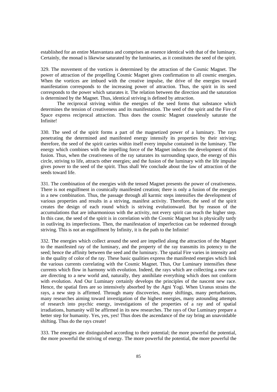established for an entire Manvantara and comprises an essence identical with that of the luminary. Certainly, the monad is likewise saturated by the luminaries, as it constitutes the seed of the spirit.

329. The movement of the vortices is determined by the attraction of the Cosmic Magnet. The power of attraction of the propelling Cosmic Magnet gives confirmation to all cosmic energies. When the vortices are imbued with the creative impulse, the drive of the energies toward manifestation corresponds to the increasing power of attraction. Thus, the spirit in its seed corresponds to the power which saturates it. The relation between the direction and the saturation is determined by the Magnet. Thus, identical striving is defined by attraction.

 The reciprocal striving within the energies of the seed forms that substance which determines the tension of creativeness and its manifestation. The seed of the spirit and the Fire of Space express reciprocal attraction. Thus does the cosmic Magnet ceaselessly saturate the Infinite!

330. The seed of the spirit forms a part of the magnetized power of a luminary. The rays penetrating the determined and manifested energy intensify its properties by their striving; therefore, the seed of the spirit carries within itself every impulse contained in the luminary. The energy which combines with the impelling force of the Magnet induces the development of this fusion. Thus, when the creativeness of the ray saturates its surrounding space, the energy of this circle, striving to life, attracts other energies; and the fusion of the luminary with the life impulse gives power to the seed of the spirit. Thus shall We conclude about the law of attraction of the seeds toward life.

331. The combination of the energies with the tensed Magnet presents the power of creativeness. There is not engulfment in cosmically manifested creation; there is only a fusion of the energies in a new combination. Thus, the passage through all karmic steps intensifies the development of various properties and results in a striving, manifest activity. Therefore, the seed of the spirit creates the design of each round which is striving evolutionward. But by reason of the accumulations that are inharmonious with the activity, not every spirit can reach the higher step. In this case, the seed of the spirit is in correlation with the Cosmic Magnet but is physically tardy in outliving its imperfections. Then, the manifestation of imperfection can be redeemed through striving. This is not an engulfment by Infinity, it is the path to the Infinite!

332. The energies which collect around the seed are impelled along the attraction of the Magnet to the manifested ray of the luminary, and the property of the ray transmits its potency to the seed; hence the affinity between the seed and the luminary. The spatial Fire varies in intensity and in the quality of color of the ray. These basic qualities express the manifested energies which link the various currents correlating with the Cosmic Magnet. Thus, Our Luminary intensifies these currents which flow in harmony with evolution. Indeed, the rays which are collecting a new race are directing to a new world and, naturally, they annihilate everything which does not conform with evolution. And Our Luminary certainly develops the principles of the nascent new race. Hence, the spatial fires are so intensively absorbed by the Agni Yogi. When Uranus strains the rays, a new step is affirmed. Through many discoveries, many shiftings, many perturbations, many researches aiming toward investigation of the highest energies, many astounding attempts of research into psychic energy, investigations of the properties of a ray and of spatial irradiations, humanity will be affirmed in its new researches. The rays of Our Luminary prepare a better step for humanity. Yes, yes, yes! Thus does the ascendance of the ray bring an unavoidable shifting. Thus do the rays create!

333. The energies are distinguished according to their potential; the more powerful the potential, the more powerful the striving of energy. The more powerful the potential, the more powerful the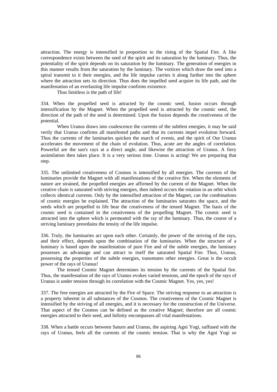attraction. The energy is intensified in proportion to the rising of the Spatial Fire. A like correspondence exists between the seed of the spirit and its saturation by the luminary. Thus, the potentiality of the spirit depends on its saturation by the luminary. The generation of energies in this manner results from the saturation by the luminary. The vortices which draw the seed into a spiral transmit to it their energies, and the life impulse carries it along further into the sphere where the attraction sets its direction. Thus does the impelled seed acquire its life path, and the manifestation of an everlasting life impulse confirms existence.

Thus limitless is the path of life!

334. When the propelled seed is attracted by the cosmic seed, fusion occurs through intensification by the Magnet. When the propelled seed is attracted by the cosmic seed, the direction of the path of the seed is determined. Upon the fusion depends the creativeness of the potential.

When Uranus draws into coalescence the currents of the subtlest energies, it may be said verily that Uranus confirms all manifested paths and that its currents impel evolution forward. Thus the currents of the luminaries quicken the march of events, and the spirit of Our Uranus accelerates the movement of the chain of evolution. Thus, acute are the angles of correlation. Powerful are the sun's rays at a direct angle, and likewise the attraction of Uranus. A fiery assimilation then takes place. It is a very serious time. Uranus is acting! We are preparing that step.

335. The unlimited creativeness of Cosmos is intensified by all energies. The currents of the luminaries provide the Magnet with all manifestations of the creative fire. When the elements of nature are strained, the propelled energies are affirmed by the current of the Magnet. When the creative chain is saturated with striving energies, then indeed occurs the rotation in an orbit which collects identical currents. Only by the intensified attraction of the Magnet, can the combinations of cosmic energies be explained. The attraction of the luminaries saturates the space, and the seeds which are propelled to life bear the creativeness of the tensed Magnet. The basis of the cosmic seed is contained in the creativeness of the propelling Magnet. The cosmic seed is attracted into the sphere which is permeated with the ray of the luminary. Thus, the course of a striving luminary preordains the tensity of the life impulse.

336. Truly, the luminaries act upon each other. Certainly, the power of the striving of the rays, and their effect, depends upon the combination of the luminaries. When the structure of a luminary is based upon the manifestation of pure Fire and of the subtle energies, the luminary possesses an advantage and can attract to itself the saturated Spatial Fire. Thus, Uranus, possessing the properties of the subtle energies, transmutes other energies. Great is the occult power of the rays of Uranus!

 The tensed Cosmic Magnet determines its tension by the currents of the Spatial fire. Thus, the manifestation of the rays of Uranus evokes varied tensions, and the epoch of the rays of Uranus is under tension through its correlation with the Cosmic Magnet. Yes, yes, yes!

337. The free energies are attracted by the Fire of Space. The striving response to an attraction is a property inherent in all substances of the Cosmos. The creativeness of the Cosmic Magnet is intensified by the striving of all energies, and it is necessary for the construction of the Universe. That aspect of the Cosmos can be defined as the creative Magnet; therefore are all cosmic energies attracted to their seed, and Infinity encompasses all vital manifestations.

338. When a battle occurs between Saturn and Uranus, the aspiring Agni Yogi, suffused with the rays of Uranus, feels all the currents of the cosmic tension. That is why the Agni Yogi so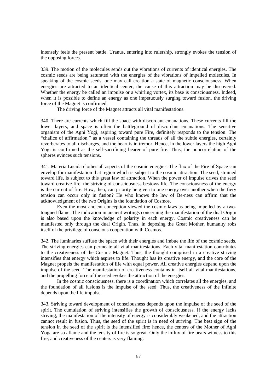intensely feels the present battle. Uranus, entering into rulership, strongly evokes the tension of the opposing forces.

339. The motion of the molecules sends out the vibrations of currents of identical energies. The cosmic seeds are being saturated with the energies of the vibrations of impelled molecules. In speaking of the cosmic seeds, one may call creation a state of magnetic consciousness. When energies are attracted to an identical center, the cause of this attraction may be discovered. Whether the energy be called an impulse or a whirling vortex, its base is consciousness. Indeed, when it is possible to define an energy as one impetuously surging toward fusion, the driving force of the Magnet is confirmed.

The driving force of the Magnet attracts all vital manifestations.

340. There are currents which fill the space with discordant emanations. These currents fill the lower layers, and space is often the battleground of discordant emanations. The sensitive organism of the Agni Yogi, aspiring toward pure Fire, definitely responds to the tension. The "chalice of affirmation," as a vessel containing the threads of all the subtle energies, certainly reverberates to all discharges, and the heart is in tremor. Hence, in the lower layers the high Agni Yogi is confirmed as the self-sacrificing bearer of pure fire. Thus, the noncorrelation of the spheres evinces such tensions.

341. Materia Lucida clothes all aspects of the cosmic energies. The flux of the Fire of Space can envelop for manifestation that region which is subject to the cosmic attraction. The seed, strained toward life, is subject to this great law of attraction. When the power of impulse drives the seed toward creative fire, the striving of consciousness bestows life. The consciousness of the energy is the current of fire. How, then, can priority be given to one energy over another when the fiery tension can occur only in fusion? He who knows the law of Be-ness can affirm that the acknowledgment of the two Origins is the foundation of Cosmos.

 Even the most ancient conception viewed the cosmic laws as being impelled by a twotongued flame. The indication in ancient writings concerning the manifestation of the dual Origin is also based upon the knowledge of polarity in each energy. Cosmic creativeness can be manifested only through the dual Origin. Thus, in deposing the Great Mother, humanity robs itself of the privilege of conscious cooperation with Cosmos.

342. The luminaries suffuse the space with their energies and imbue the life of the cosmic seeds. The striving energies can permeate all vital manifestations. Each vital manifestation contributes to the creativeness of the Cosmic Magnet. Thus, the thought comprised in a creative striving intensifies that energy which aspires to life. Thought has its creative energy, and the core of the Magnet propels the manifestation of life with equal power. All creative energies depend upon the impulse of the seed. The manifestation of creativeness contains in itself all vital manifestations, and the propelling force of the seed evokes the attraction of the energies.

 In the cosmic consciousness, there is a coordination which correlates all the energies, and the foundation of all fusions is the impulse of the seed. Thus, the creativeness of the Infinite depends upon the life impulse.

343. Striving toward development of consciousness depends upon the impulse of the seed of the spirit. The cumulation of striving intensifies the growth of consciousness. If the energy lacks striving, the manifestation of the intensity of energy is considerably weakened, and the attraction cannot result in fusion. Thus, the seed of the spirit is in need of striving. The best sign of the tension in the seed of the spirit is the intensified fire; hence, the centers of the Mother of Agni Yoga are so aflame and the tensity of fire is so great. Only the influx of fire bears witness to this fire; and creativeness of the centers is very flaming.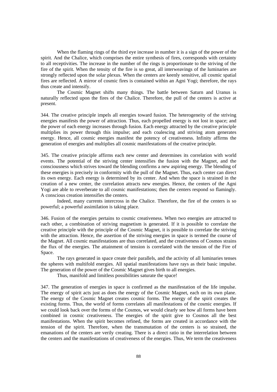When the flaming rings of the third eye increase in number it is a sign of the power of the spirit. And the Chalice, which comprises the entire synthesis of fires, corresponds with certainty to all receptivities. The increase in the number of the rings is proportionate to the striving of the fire of the spirit. When the tensity of the fire is so great, all interweavings of the luminaries are strongly reflected upon the solar plexus. When the centers are keenly sensitive, all cosmic spatial fires are reflected. A mirror of cosmic fires is contained within an Agni Yogi; therefore, the rays thus create and intensify.

 The Cosmic Magnet shifts many things. The battle between Saturn and Uranus is naturally reflected upon the fires of the Chalice. Therefore, the pull of the centers is active at present.

344. The creative principle impels all energies toward fusion. The heterogeneity of the striving energies manifests the power of attraction. Thus, each propelled energy is not lost in space; and the power of each energy increases through fusion. Each energy attracted by the creative principle multiplies its power through this impulse; and each coalescing and striving atom generates energy. Hence, all cosmic energies manifest the potency of creativeness. Infinity affirms the generation of energies and multiplies all cosmic manifestations of the creative principle.

345. The creative principle affirms each new center and determines its correlation with world events. The potential of the striving center intensifies the fusion with the Magnet, and the consciousness which strives toward the blending confirms a new aspiring energy. The blending of these energies is precisely in conformity with the pull of the Magnet. Thus, each center can direct its own energy. Each energy is determined by its center. And when the space is strained in the creation of a new center, the correlation attracts new energies. Hence, the centers of the Agni Yogi are able to reverberate to all cosmic manifestations; then the centers respond so flamingly. A conscious creation intensifies the centers.

 Indeed, many currents intercross in the Chalice. Therefore, the fire of the centers is so powerful; a powerful assimilation is taking place.

346. Fusion of the energies pertains to cosmic creativeness. When two energies are attracted to each other, a combination of striving magnetism is generated. If it is possible to correlate the creative principle with the principle of the Cosmic Magnet, it is possible to correlate the striving with the attraction. Hence, the assertion of the striving energies in space is termed the course of the Magnet. All cosmic manifestations are thus correlated, and the creativeness of Cosmos strains the flux of the energies. The attainment of tension is correlated with the tension of the Fire of Space.

 The rays generated in space create their parallels, and the activity of all luminaries tenses the spheres with multifold energies. All spatial manifestations have rays as their basic impulse. The generation of the power of the Cosmic Magnet gives birth to all energies.

Thus, manifold and limitless possibilities saturate the space!

347. The generation of energies in space is confirmed as the manifestation of the life impulse. The energy of spirit acts just as does the energy of the Cosmic Magnet, each on its own plane. The energy of the Cosmic Magnet creates cosmic forms. The energy of the spirit creates the existing forms. Thus, the world of forms correlates all manifestations of the cosmic energies. If we could look back over the forms of the Cosmos, we would clearly see how all forms have been combined in cosmic creativeness. The energies of the spirit give to Cosmos all the best manifestations. When the spirit becomes refined, the forms are created in accordance with the tension of the spirit. Therefore, when the transmutation of the centers is so strained, the emanations of the centers are verily creating. There is a direct ratio in the interrelation between the centers and the manifestations of creativeness of the energies. Thus, We term the creativeness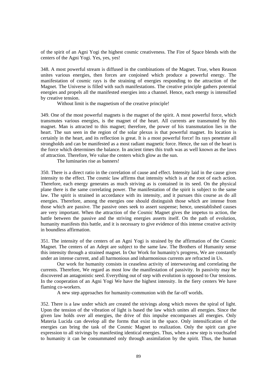of the spirit of an Agni Yogi the highest cosmic creativeness. The Fire of Space blends with the centers of the Agni Yogi. Yes, yes, yes!

348. A most powerful stream is diffused in the combinations of the Magnet. True, when Reason unites various energies, then forces are conjoined which produce a powerful energy. The manifestation of cosmic rays is the straining of energies responding to the attraction of the Magnet. The Universe is filled with such manifestations. The creative principle gathers potential energies and propels all the manifested energies into a channel. Hence, each energy is intensified by creative tension.

Without limit is the magnetism of the creative principle!

349. One of the most powerful magnets is the magnet of the spirit. A most powerful force, which transmutes various energies, is the magnet of the heart. All currents are transmuted by this magnet. Man is attracted to this magnet; therefore, the power of his transmutation lies in the heart. The sun seen in the region of the solar plexus is that powerful magnet. Its location is certainly in the heart, and its reflection is great. It is a most powerful force! Its rays penetrate all strongholds and can be manifested as a most radiant magnetic force. Hence, the sun of the heart is the force which determines the balance. In ancient times this truth was as well known as the laws of attraction. Therefore, We value the centers which glow as the sun.

The luminaries rise as banners!

350. There is a direct ratio in the correlation of cause and effect. Intensity laid in the cause gives intensity to the effect. The cosmic law affirms that intensity which is at the root of each action. Therefore, each energy generates as much striving as is contained in its seed. On the physical plane there is the same correlating power. The manifestation of the spirit is subject to the same law. The spirit is strained in accordance with its intensity, and it pursues this course as do all energies. Therefore, among the energies one should distinguish those which are intense from those which are passive. The passive ones seek to assert suspense; hence, unestablished causes are very important. When the attraction of the Cosmic Magnet gives the impetus to action, the battle between the passive and the striving energies asserts itself. On the path of evolution, humanity manifests this battle, and it is necessary to give evidence of this intense creative activity in boundless affirmation.

351. The intensity of the centers of an Agni Yogi is strained by the affirmation of the Cosmic Magnet. The centers of an Adept are subject to the same law. The Brothers of Humanity sense this intensity through a strained magnet. In Our Work for humanity's progress, We are constantly under an intense current, and all harmonious and inharmonious currents are refracted in Us.

 Our work for humanity consists in ceaseless activity of interweaving and correlating the currents. Therefore, We regard as most low the manifestation of passivity. In passivity may be discovered an antagonistic seed. Everything out of step with evolution is opposed to Our tensions. In the cooperation of an Agni Yogi We have the highest intensity. In the fiery centers We have flaming co-workers.

A new step approaches for humanity-communion with the far-off worlds.

352. There is a law under which are created the strivings along which moves the spiral of light. Upon the tension of the vibration of light is based the law which unites all energies. Since the given law holds over all energies, the drive of this impulse encompasses all energies. Only Materia Lucida can develop all the forms that exist in the space. Only intensification of the energies can bring the task of the Cosmic Magnet to realization. Only the spirit can give expression to all strivings by manifesting identical energies. Thus, when a new step is vouchsafed to humanity it can be consummated only through assimilation by the spirit. Thus, the human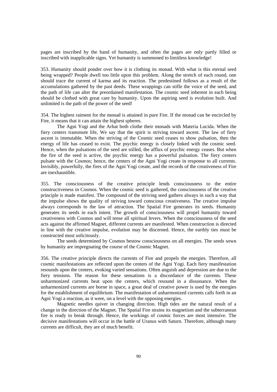pages are inscribed by the hand of humanity, and often the pages are only partly filled or inscribed with inapplicable signs. Yet humanity is summoned to limitless knowledge!

353. Humanity should ponder over how it is clothing its monad. With what is this eternal seed being wrapped? People dwell too little upon this problem. Along the stretch of each round, one should trace the current of karma and its reaction. The predestined follows as a result of the accumulations gathered by the past deeds. These wrappings can stifle the voice of the seed, and the path of life can alter the preordained manifestation. The cosmic seed inherent in each being should be clothed with great care by humanity. Upon the aspiring seed is evolution built. And unlimited is the path of the power of the seed!

354. The highest raiment for the monad is attained in pure Fire. If the monad can be encircled by Fire, it means that it can attain the highest spheres.

 The Agni Yogi and the Arhat both clothe their monads with Materia Lucida. When the fiery centers transmute life, We say that the spirit is striving toward ascent. The law of fiery ascent is immutable. When the striving of the Cosmic seed ceases to show pulsation, then the energy of life has ceased to exist. The psychic energy is closely linked with the cosmic seed. Hence, when the pulsations of the seed are stilled, the afflux of psychic energy ceases. But when the fire of the seed is active, the psychic energy has a powerful pulsation. The fiery centers pulsate with the Cosmos; hence, the centers of the Agni Yogi create in response to all currents. Invisibly, powerfully, the fires of the Agni Yogi create, and the records of the creativeness of Fire are inexhaustible.

355. The consciousness of the creative principle lends consciousness to the entire constructiveness in Cosmos. When the cosmic seed is gathered, the consciousness of the creative principle is made manifest. The compound of the striving seed gathers always in such a way that the impulse shows the quality of striving toward conscious creativeness. The creative impulse always corresponds to the law of attraction. The Spatial Fire generates its seeds. Humanity generates its seeds in each intent. The growth of consciousness will propel humanity toward creativeness with Cosmos and will tense all spiritual levers. When the consciousness of the seed acts against the affirmed Magnet, different currents are manifested. When construction is directed in line with the creative impulse, evolution may be discerned. Hence, the earthly ties must be constructed most solicitously.

 The seeds determined by Cosmos bestow consciousness on all energies. The seeds sown by humanity are impregnating the course of the Cosmic Magnet.

356. The creative principle directs the currents of Fire and propels the energies. Therefore, all cosmic manifestations are reflected upon the centers of the Agni Yogi. Each fiery manifestation resounds upon the centers, evoking varied sensations. Often anguish and depression are due to the fiery tensions. The reason for these sensations is a discordance of the currents. These unharmonized currents beat upon the centers, which resound in a dissonance. When the unharmonized currents are borne in space, a great deal of creative power is used by the energies for the establishment of equilibrium. The manifestation of unharmonized currents calls forth in an Agni Yogi a reaction, as it were, on a level with the opposing energies.

 Magnetic needles quiver in changing direction. High tides are the natural result of a change in the direction of the Magnet. The Spatial Fire strains its magnetism and the subterranean fire is ready to break through. Hence, the workings of cosmic forces are most intensive. The decisive manifestations will occur in the battle of Uranus with Saturn. Therefore, although many currents are difficult, they are of much benefit.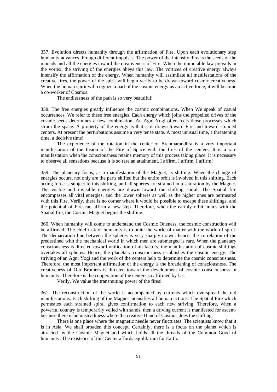357. Evolution directs humanity through the affirmation of Fire. Upon each evolutionary step humanity advances through different impulses. The power of the intensity directs the seeds of the monads and all the energies toward the creativeness of Fire. When the immutable law prevails in the vortex, the striving of the energies obeys this law. The vortices of creative energy always intensify the affirmation of the energy. When humanity will assimilate all manifestations of the creative fires, the power of the spirit will begin verily to be drawn toward cosmic creativeness. When the human spirit will cognize a part of the cosmic energy as an active force, it will become a co-worker of Cosmos.

The endlessness of the path is so very beautiful!

358. The free energies greatly influence the cosmic combinations. When We speak of casual occurrences, We refer to these free energies. Each energy which joins the propelled drives of the cosmic seeds determines a new combination. An Agni Yogi often feels those processes which strain the space. A property of the energy is that it is drawn toward Fire and toward strained centers. At present the perturbations assume a very tense state. A most unusual time, a threatening time, a decisive time!

 The experience of the rotation in the center of Brahmarandhra is a very important manifestation of the fusion of the Fire of Space with the fires of the centers. It is a rare manifestation when the consciousness retains memory of this process taking place. It is necessary to observe all sensations because it is so rare an attainment. I affirm, I affirm, I affirm!

359. The planetary focus, as a manifestation of the Magnet, is shifting. When the change of energies occurs, not only are the parts shifted but the entire orbit is involved in this shifting. Each acting force is subject to this shifting, and all spheres are strained in a saturation by the Magnet. The visible and invisible energies are drawn toward the shifting spiral. The Spatial fire encompasses all vital energies, and the lower spheres as well as the higher ones are permeated with this Fire. Verily, there is no corner where it would be possible to escape these shiftings, and the potential of Fire can affirm a new step. Therefore, when the earthly orbit unites with the Spatial fire, the Cosmic Magnet begins the shifting.

360. When humanity will come to understand the Cosmic Oneness, the cosmic construction will be affirmed. The chief task of humanity is to unite the world of matter with the world of spirit. The demarcation line between the spheres is very sharply drawn; hence, the correlation of the predestined with the mechanical world in which men are submerged is rare. When the planetary consciousness is directed toward unification of all factors, the manifestation of cosmic shiftings overtakes all spheres. Hence, the planetary consciousness establishes the cosmic energy. The striving of an Agni Yogi and the work of the centers help to determine the cosmic consciousness. Therefore, the most important affirmation of the energy is the broadening of consciousness. The creativeness of Our Brothers is directed toward the development of cosmic consciousness in humanity. Therefore is the cooperation of the centers so affirmed by Us.

Verily, We value the transmuting power of the fires!

361. The reconstruction of the world is accompanied by currents which overspread the old manifestations. Each shifting of the Magnet intensifies all human actions. The Spatial Fire which permeates each strained spiral gives confirmation to each new striving. Therefore, when a powerful country is temporarily veiled with sands, then a driving current is manifested for ascentbecause there is no unsteadiness where the creative Hand of Cosmos does the shifting.

 There is one place where the magnetic needle never fluctuates. The scientists know that it is in Asia. We shall broaden this concept. Certainly, there is a focus on the planet which is attracted by the Cosmic Magnet and which holds all the threads of the Common Good of humanity. The existence of this Center affords equilibrium for Earth.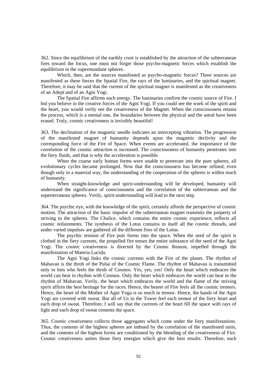362. Since the equilibrium of the earthly crust is established by the attraction of the subterranean fires toward the focus, one must not forget those psycho-magnetic forces which establish the equilibrium in the supermundane spheres.

 Which, then, are the sources manifested as psycho-magnetic forces? Three sources are manifested as these forces the Spatial Fire, the rays of the luminaries, and the spiritual magnet. Therefore, it may be said that the current of the spiritual magnet is manifested as the creativeness of an Adept and of an Agni Yogi.

 The Spatial Fire affirms each energy. The luminaries confirm the cosmic source of Fire. I bid you believe in the creative forces of the Agni Yogi. If you could see the work of the spirit and the heart, you would verily see the creativeness of the Magnet. When the consciousness retains the process, which is a mental one, the boundaries between the physical and the astral have been erased. Truly, cosmic creativeness is invisibly beautiful!

363. The declination of the magnetic needle indicates an intercepting vibration. The progression of the manifested magnet of humanity depends upon the magnetic declivity and the corresponding force of the Fire of Space. When events are accelerated, the importance of the correlation of the cosmic attraction is increased. The consciousness of humanity penetrates into the fiery fluids, and that is why the acceleration is possible.

 When the coarse early human forms were unable to penetrate into the pure spheres, all evolutionary cycles became prolonged. Now that the consciousness has become refined, even though only in a material way, the understanding of the cooperation of the spheres is within reach of humanity.

 When straight-knowledge and spirit-understanding will be developed, humanity will understand the significance of consciousness and the correlation of the subterranean and the superterranean spheres. Verily, spirit-understanding will lead to the next step.

364. The psychic eye, with the knowledge of the spirit, certainly affords the perspective of cosmic motion. The attraction of the basic impulse of the subterranean magnet transmits the property of striving to the spheres. The Chalice, which contains the entire cosmic experience, reflects all cosmic ordainments. The synthesis of the Lotus contains in itself all the cosmic threads, and under varied impulses are gathered all the different fires of the Lotus.

 The psychic tension of Fire puts forms into the space. When the seed of the spirit is clothed in the fiery currents, the propelled fire tenses the entire substance of the seed of the Agni Yogi. The cosmic creativeness is directed by the Cosmic Reason, impelled through the manifestation of Materia Lucida.

 The Agni Yogi links the cosmic currents with the Fire of the planet. The rhythm of Mahavan is the throb of the Pulse of the Cosmic Flame. The rhythm of Mahavan is transmitted only to him who feels the throb of Cosmos. Yes, yes, yes! Only the heart which embraces the world can beat in rhythm with Cosmos. Only the heart which embraces the world can beat in the rhythm of Mahavan. Verily, the heart which embraces the world and the flame of the striving spirit affirm the best heritage for the races. Hence, the bearer of Fire feels all the cosmic tremors. Hence, the heart of the Mother of Agni Yoga is so much in tremor. Hence, the hands of the Agni Yogi are covered with sweat. But all of Us in the Tower feel each tremor of the fiery heart and each drop of sweat. Therefore, I will say that the currents of the heart fill the space with rays of light and each drop of sweat cements the space.

365. Cosmic creativeness collects those aggregates which come under the fiery manifestations. Thus, the contents of the highest spheres are imbued by the correlation of the manifested units, and the contents of the highest forms are conditioned by the blending of the creativeness of Fire. Cosmic creativeness unites those fiery energies which give the best results. Therefore, each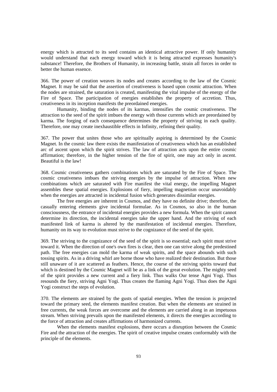energy which is attracted to its seed contains an identical attractive power. If only humanity would understand that each energy toward which it is being attracted expresses humanity's substance! Therefore, the Brothers of Humanity, in increasing battle, strain all forces in order to better the human essence.

366. The power of creation weaves its nodes and creates according to the law of the Cosmic Magnet. It may be said that the assertion of creativeness is based upon cosmic attraction. When the nodes are strained, the saturation is created, manifesting the vital impulse of the energy of the Fire of Space. The participation of energies establishes the property of accretion. Thus, creativeness in its inception manifests the preordained energies.

 Humanity, binding the nodes of its karmas, intensifies the cosmic creativeness. The attraction to the seed of the spirit imbues the energy with those currents which are preordained by karma. The forging of each consequence determines the property of striving in each quality. Therefore, one may create inexhaustible effects in Infinity, refining their quality.

367. The power that unites those who are spiritually aspiring is determined by the Cosmic Magnet. In the cosmic law there exists the manifestation of creativeness which has an established arc of ascent upon which the spirit strives. The law of attraction acts upon the entire cosmic affirmation; therefore, in the higher tension of the fire of spirit, one may act only in ascent. Beautiful is the law!

368. Cosmic creativeness gathers combinations which are saturated by the Fire of Space. The cosmic creativeness imbues the striving energies by the impulse of attraction. When new combinations which are saturated with Fire manifest the vital energy, the impelling Magnet assembles these spatial energies. Explosions of fiery, impelling magnetism occur unavoidably when the energies are attracted in incidental fusion which generates dissimilar energies.

 The free energies are inherent in Cosmos, and they have no definite drive; therefore, the casually entering elements give incidental formulae. As in Cosmos, so also in the human consciousness, the entrance of incidental energies provides a new formula. When the spirit cannot determine its direction, the incidental energies take the upper hand. And the striving of each manifested link of karma is altered by the manifestation of incidental energies. Therefore, humanity on its way to evolution must strive to the cognizance of the seed of the spirit.

369. The striving to the cognizance of the seed of the spirit is so essential; each spirit must strive toward it. When the direction of one's own fires is clear, then one can strive along the predestined path. The free energies can mold the karma of weak spirits, and the space abounds with such tossing spirits. As in a driving whirl are borne those who have realized their destination. But those still unaware of it are scattered as feathers. Hence, the course of the striving spirits toward that which is destined by the Cosmic Magnet will be as a link of the great evolution. The mighty seed of the spirit provides a new current and a fiery link. Thus walks Our tense Agni Yogi. Thus resounds the fiery, striving Agni Yogi. Thus creates the flaming Agni Yogi. Thus does the Agni Yogi construct the steps of evolution.

370. The elements are strained by the gusts of spatial energies. When the tension is projected toward the primary seed, the elements manifest creation. But when the elements are strained in free currents, the weak forces are overcome and the elements are carried along in an impetuous stream. When striving prevails upon the manifested elements, it directs the energies according to the force of attraction and creates affirmations of harmonized currents.

 When the elements manifest explosions, there occurs a disruption between the Cosmic Fire and the attraction of the energies. The spirit of creative impulse creates conformably with the principle of the elements.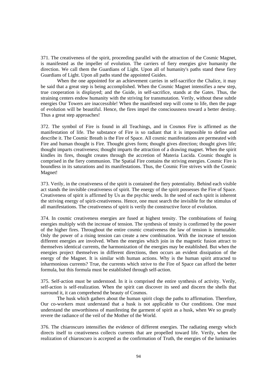371. The creativeness of the spirit, proceeding parallel with the attraction of the Cosmic Magnet, is manifested as the impeller of evolution. The carriers of fiery energies give humanity the direction. We call them the Guardians of Light. Upon all of humanity's paths stand these fiery Guardians of Light. Upon all paths stand the appointed Guides.

 When the one appointed for an achievement carries in self-sacrifice the Chalice, it may be said that a great step is being accomplished. When the Cosmic Magnet intensifies a new step, true cooperation is displayed; and the Guide, in self-sacrifice, stands at the Gates. Thus, the straining centers endow humanity with the striving for transmutation. Verily, without these subtle energies Our Towers are inaccessible! When the manifested step will come to life, then the page of evolution will be beautiful. Hence, the fires impel the consciousness toward a better destiny. Thus a great step approaches!

372. The symbol of Fire is found in all Teachings, and in Cosmos Fire is affirmed as the manifestation of life. The substance of Fire is so radiant that it is impossible to define and describe it. The Cosmic Breath is the Fire of Space. All cosmic manifestations are permeated with Fire and human thought is Fire. Thought gives form; thought gives direction; thought gives life; thought imparts creativeness; thought imparts the attraction of a drawing magnet. When the spirit kindles its fires, thought creates through the accretion of Materia Lucida. Cosmic thought is comprised in the fiery communion. The Spatial Fire contains the striving energies. Cosmic Fire is boundless in its saturations and its manifestations. Thus, the Cosmic Fire strives with the Cosmic Magnet!

373. Verily, in the creativeness of the spirit is contained the fiery potentiality. Behind each visible act stands the invisible creativeness of spirit. The energy of the spirit possesses the Fire of Space. Creativeness of spirit is affirmed by Us as the psychic seeds. In the seed of each spirit is inherent the striving energy of spirit-creativeness. Hence, one must search the invisible for the stimulus of all manifestations. The creativeness of spirit is verily the constructive force of evolution.

374. In cosmic creativeness energies are fused at highest tensity. The combinations of fusing energies multiply with the increase of tension. The synthesis of tensity is confirmed by the power of the higher fires. Throughout the entire cosmic creativeness the law of tension is immutable. Only the power of a rising tension can create a new combination. With the increase of tension different energies are involved. When the energies which join in the magnetic fusion attract to themselves identical currents, the harmonization of the energies may be established. But when the energies project themselves in different directions, then occurs an evident dissipation of the energy of the Magnet. It is similar with human actions. Why is the human spirit attracted to inharmonious currents? True, the currents which strive to the Fire of Space can afford the better formula, but this formula must be established through self-action.

375. Self-action must be understood. In it is comprised the entire synthesis of activity. Verily, self-action is self-realization. When the spirit can discover its seed and discern the shells that surround it, it can comprehend the beauty of Cosmos.

 The husk which gathers about the human spirit clogs the paths to affirmation. Therefore, Our co-workers must understand that a husk is not applicable to Our conditions. One must understand the unworthiness of manifesting the garment of spirit as a husk, when We so greatly revere the radiance of the veil of the Mother of the World.

376. The chiaroscuro intensifies the evidence of different energies. The radiating energy which directs itself to creativeness collects currents that are propelled toward life. Verily, when the realization of chiaroscuro is accepted as the confirmation of Truth, the energies of the luminaries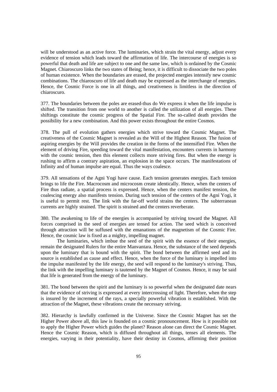will be understood as an active force. The luminaries, which strain the vital energy, adjust every evidence of tension which leads toward the affirmation of life. The intercourse of energies is so powerful that death and life are subject to one and the same law, which is ordained by the Cosmic Magnet. Chiaroscuro links the two states of Being; hence, it is difficult to dissociate the two poles of human existence. When the boundaries are erased, the projected energies intensify new cosmic combinations. The chiaroscuro of life and death may be expressed as the interchange of energies. Hence, the Cosmic Force is one in all things, and creativeness is limitless in the direction of chiaroscuro.

377. The boundaries between the poles are erased-thus do We express it when the life impulse is shifted. The transition from one world to another is called the utilization of all energies. These shiftings constitute the cosmic progress of the Spatial Fire. The so-called death provides the possibility for a new combination. And this power exists throughout the entire Cosmos.

378. The pull of evolution gathers energies which strive toward the Cosmic Magnet. The creativeness of the Cosmic Magnet is revealed as the Will of the Highest Reason. The fusion of aspiring energies by the Will provides the creation in the forms of the intensified Fire. When the element of driving Fire, speeding toward the vital manifestation, encounters currents in harmony with the cosmic tension, then this element collects more striving fires. But when the energy is rushing to affirm a contrary aspiration, an explosion in the space occurs. The manifestations of Infinity and of human impulse are equal. Thus the ways coalesce.

379. All sensations of the Agni Yogi have cause. Each tension generates energies. Each tension brings to life the Fire. Macrocosm and microcosm create identically. Hence, when the centers of Fire thus radiate, a spatial process is expressed. Hence, when the centers manifest tension, the coalescing energy also manifests tension. During such tension of the centers of the Agni Yogi, it is useful to permit rest. The link with the far-off world strains the centers. The subterranean currents are highly strained. The spirit is strained and the centers reverberate.

380. The awakening to life of the energies is accompanied by striving toward the Magnet. All forces comprised in the seed of energies are tensed for action. The seed which is conceived through attraction will be suffused with the emanations of the magnetism of the Cosmic Fire. Hence, the cosmic law is fixed as a mighty, impelling magnet.

 The luminaries, which imbue the seed of the spirit with the essence of their energies, remain the designated Rulers for the entire Manvantara. Hence, the substance of the seed depends upon the luminary that is bound with the spirit. The bond between the affirmed seed and its source is established as cause and effect. Hence, when the force of the luminary is impelled into the impulse manifested by the life energy, the seed will respond to the luminary's striving. Thus, the link with the impelling luminary is tautened by the Magnet of Cosmos. Hence, it may be said that life is generated from the energy of the luminary.

381. The bond between the spirit and the luminary is so powerful when the designated date nears that the evidence of striving is expressed at every intercrossing of light. Therefore, when the step is insured by the increment of the rays, a specially powerful vibration is established. With the attraction of the Magnet, these vibrations create the necessary striving.

382. Hierarchy is lawfully confirmed in the Universe. Since the Cosmic Magnet has set the Higher Power above all, this law is founded on a cosmic pronouncement. How is it possible not to apply the Higher Power which guides the planet? Reason alone can direct the Cosmic Magnet. Hence the Cosmic Reason, which is diffused throughout all things, tenses all elements. The energies, varying in their potentiality, have their destiny in Cosmos, affirming their position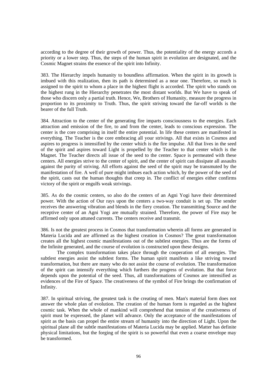according to the degree of their growth of power. Thus, the potentiality of the energy accords a priority or a lower step. Thus, the steps of the human spirit in evolution are designated, and the Cosmic Magnet strains the essence of the spirit into Infinity.

383. The Hierarchy impels humanity to boundless affirmation. When the spirit in its growth is imbued with this realization, then its path is determined as a near one. Therefore, so much is assigned to the spirit to whom a place in the highest flight is accorded. The spirit who stands on the highest rung in the Hierarchy penetrates the most distant worlds. But We have to speak of those who discern only a partial truth. Hence, We, Brothers of Humanity, measure the progress in proportion to its proximity to Truth. Thus, the spirit striving toward the far-off worlds is the bearer of the full Truth.

384. Attraction to the center of the generating fire imparts consciousness to the energies. Each attraction and emission of the fire, to and from the center, leads to conscious expression. The center is the core comprising in itself the entire potential. In life these centers are manifested in everything. The Teacher is the core embracing all your strivings. All that exists in Cosmos and aspires to progress is intensified by the center which is the fire impulse. All that lives in the seed of the spirit and aspires toward Light is propelled by the Teacher to that center which is the Magnet. The Teacher directs all issue of the seed to the center. Space is permeated with these centers. All energies strive to the center of spirit, and the center of spirit can dissipate all assaults against the purity of striving. All efforts against the seed of the spirit may be transmuted by the manifestation of fire. A well of pure might imbues each action which, by the power of the seed of the spirit, casts out the human thoughts that creep in. The conflict of energies either confirms victory of the spirit or engulfs weak strivings.

385. As do the cosmic centers, so also do the centers of an Agni Yogi have their determined power. With the action of Our rays upon the centers a two-way conduit is set up. The sender receives the answering vibration and blends in the fiery creation. The transmitting Source and the receptive center of an Agni Yogi are mutually strained. Therefore, the power of Fire may be affirmed only upon attuned currents. The centers receive and transmit.

386. Is not the greatest process in Cosmos that transformation wherein all forms are generated in Materia Lucida and are affirmed as the highest creation in Cosmos? The great transformation creates all the highest cosmic manifestations out of the subtlest energies. Thus are the forms of the Infinite generated, and the course of evolution is constructed upon these designs.

 The complex transformation takes place through the cooperation of all energies. The subtlest energies assist the subtlest forms. The human spirit manifests a like striving toward transformation, but there are many who do not assist the course of evolution. The transformation of the spirit can intensify everything which furthers the progress of evolution. But that force depends upon the potential of the seed. Thus, all transformations of Cosmos are intensified as evidences of the Fire of Space. The creativeness of the symbol of Fire brings the confirmation of Infinity.

387. In spiritual striving, the greatest task is the creating of men. Man's material form does not answer the whole plan of evolution. The creation of the human form is regarded as the highest cosmic task. When the whole of mankind will comprehend that tension of the creativeness of spirit must be expressed, the planet will advance. Only the acceptance of the manifestations of spirit as the basis can propel the entire stream of humanity into the direction of Light. Upon the spiritual plane all the subtle manifestations of Materia Lucida may be applied. Matter has definite physical limitations, but the forging of the spirit is so powerful that even a coarse envelope may be transformed.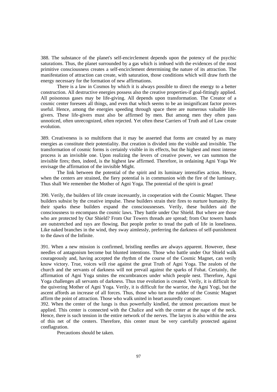388. The substance of the planet's self-encirclement depends upon the potency of the psychic saturations. Thus, the planet surrounded by a gas which is imbued with the evidences of the most primitive consciousness creates a self-encirclement determining the nature of its attraction. The manifestation of attraction can create, with saturation, those conditions which will draw forth the energy necessary for the formation of new affirmations.

 There is a law in Cosmos by which it is always possible to direct the energy to a better construction. All destructive energies possess also the creative properties-if goal-fittingly applied. All poisonous gases may be life-giving. All depends upon transformation. The Creator of a cosmic center foresees all things, and even that which seems to be an insignificant factor proves useful. Hence, among the energies speeding through space there are numerous valuable lifegivers. These life-givers must also be affirmed by men. But among men they often pass unnoticed, often unrecognized, often rejected. Yet often these Carriers of Truth and of Law create evolution.

389. Creativeness is so multiform that it may be asserted that forms are created by as many energies as constitute their potentiality. But creation is divided into the visible and invisible. The transformation of cosmic forms is certainly visible in its effects, but the highest and most intense process is an invisible one. Upon realizing the levers of creative power, we can summon the invisible fires; then, indeed, is the highest law affirmed. Therefore, in ordaining Agni Yoga We envisage the affirmation of the invisible Might.

 The link between the potential of the spirit and its luminary intensifies action. Hence, when the centers are strained, the fiery potential is in communion with the fire of the luminary. Thus shall We remember the Mother of Agni Yoga. The potential of the spirit is great!

390. Verily, the builders of life create incessantly, in cooperation with the Cosmic Magnet. These builders subsist by the creative impulse. These builders strain their fires to nurture humanity. By their sparks these builders expand the consciousnesses. Verily, these builders aid the consciousness to encompass the cosmic laws. They battle under Our Shield. But where are those who are protected by Our Shield? From Our Towers threads are spread; from Our towers hands are outstretched and rays are flowing. But people prefer to tread the path of life in loneliness. Like naked branches in the wind, they sway aimlessly, preferring the darkness of self-punishment to the dawn of the Infinite.

391. When a new mission is confirmed, bristling needles are always apparent. However, these needles of antagonism become but blunted intentions. Those who battle under Our Shield walk courageously and, having accepted the rhythm of the course of the Cosmic Magnet, can verily know victory. True, voices will rise against the great Truth of Agni Yoga. The zealots of the church and the servants of darkness will not prevail against the sparks of Fohat. Certainly, the affirmation of Agni Yoga smites the encumbrances under which people nest. Therefore, Agni Yoga challenges all servants of darkness. Thus true evolution is created. Verily, it is difficult for the quivering Mother of Agni Yoga. Verily, it is difficult for the warrior, the Agni Yogi, but the ascent affords an increase of all forces. Thus, those who turn the rudder of the Cosmic Magnet affirm the point of attraction. Those who walk united in heart assuredly conquer.

392. When the center of the lungs is thus powerfully kindled, the utmost precautions must be applied. This center is connected with the Chalice and with the center at the nape of the neck. Hence, there is such tension in the entire network of the nerves. The larynx is also within the area of this net of the centers. Therefore, this center must be very carefully protected against conflagration.

Precautions should be taken.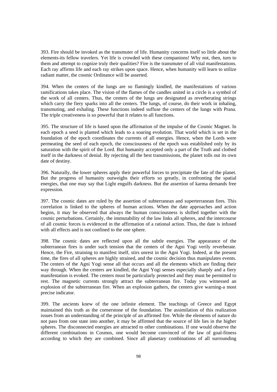393. Fire should be invoked as the transmuter of life. Humanity concerns itself so little about the elements-its fellow travelers. Yet life is crowded with these companions! Why not, then, turn to them and attempt to cognize truly their qualities? Fire is the transmuter of all vital manifestations. Each ray affirms life and each ray strikes upon space. Hence, when humanity will learn to utilize radiant matter, the cosmic Ordinance will be asserted.

394. When the centers of the lungs are so flamingly kindled, the manifestations of various ramifications takes place. The vision of the flames of the candles united in a circle is a symbol of the work of all centers. Thus, the centers of the lungs are designated as reverberating strings which carry the fiery sparks into all the centers. The lungs, of course, do their work in inhaling, transmuting, and exhaling. These functions indeed suffuse the centers of the lungs with Prana. The triple creativeness is so powerful that it relates to all functions.

395. The structure of life is based upon the affirmation of the impulse of the Cosmic Magnet. In each epoch a seed is planted which leads to a soaring evolution. That world which is set in the foundation of the epoch coordinates the currents of all energies. Hence, when the Lords were permeating the seed of each epoch, the consciousness of the epoch was established only by its saturation with the spirit of the Lord. But humanity accepted only a part of the Truth and clothed itself in the darkness of denial. By rejecting all the best transmissions, the planet tolls out its own date of destiny.

396. Naturally, the lower spheres apply their powerful forces to precipitate the fate of the planet. But the progress of humanity outweighs their efforts so greatly, in confronting the spatial energies, that one may say that Light engulfs darkness. But the assertion of karma demands free expression.

397. The cosmic dates are ruled by the assertion of subterranean and superterranean fires. This correlation is linked to the spheres of human actions. When the date approaches and action begins, it may be observed that always the human consciousness is shifted together with the cosmic perturbations. Certainly, the immutability of the law links all spheres, and the intercourse of all cosmic forces is evidenced in the affirmation of a rational action. Thus, the date is infused with all effects and is not confined to the one sphere.

398. The cosmic dates are reflected upon all the subtle energies. The appearance of the subterranean fires is under such tension that the centers of the Agni Yogi verily reverberate. Hence, the Fire, straining to manifest itself, stirs unrest in the Agni Yogi. Indeed, at the present time, the fires of all spheres are highly strained, and the cosmic decision thus manipulates events. The centers of the Agni Yogi sense all that occurs and all the elements which are finding their way through. When the centers are kindled, the Agni Yogi senses especially sharply and a fiery manifestation is evoked. The centers must be particularly protected and they must be permitted to rest. The magnetic currents strongly attract the subterranean fire. Today you witnessed an explosion of the subterranean fire. When an explosion gathers, the centers give warning-a most precise indicator.

399. The ancients knew of the one infinite element. The teachings of Greece and Egypt maintained this truth as the cornerstone of the foundation. The assimilation of this realization issues from an understanding of the principle of an affirmed fire. While the elements of nature do not pass from one state into another, it may be affirmed that the source of life lies in the higher spheres. The disconnected energies are attracted to other combinations. If one would observe the different combinations in Cosmos, one would become convinced of the law of goal-fitness according to which they are combined. Since all planetary combinations of all surrounding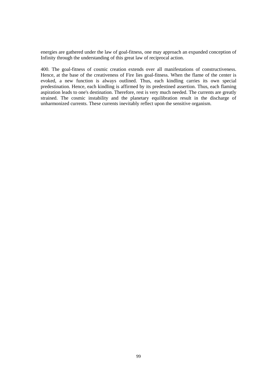energies are gathered under the law of goal-fitness, one may approach an expanded conception of Infinity through the understanding of this great law of reciprocal action.

400. The goal-fitness of cosmic creation extends over all manifestations of constructiveness. Hence, at the base of the creativeness of Fire lies goal-fitness. When the flame of the center is evoked, a new function is always outlined. Thus, each kindling carries its own special predestination. Hence, each kindling is affirmed by its predestined assertion. Thus, each flaming aspiration leads to one's destination. Therefore, rest is very much needed. The currents are greatly strained. The cosmic instability and the planetary equilibration result in the discharge of unharmonized currents. These currents inevitably reflect upon the sensitive organism.